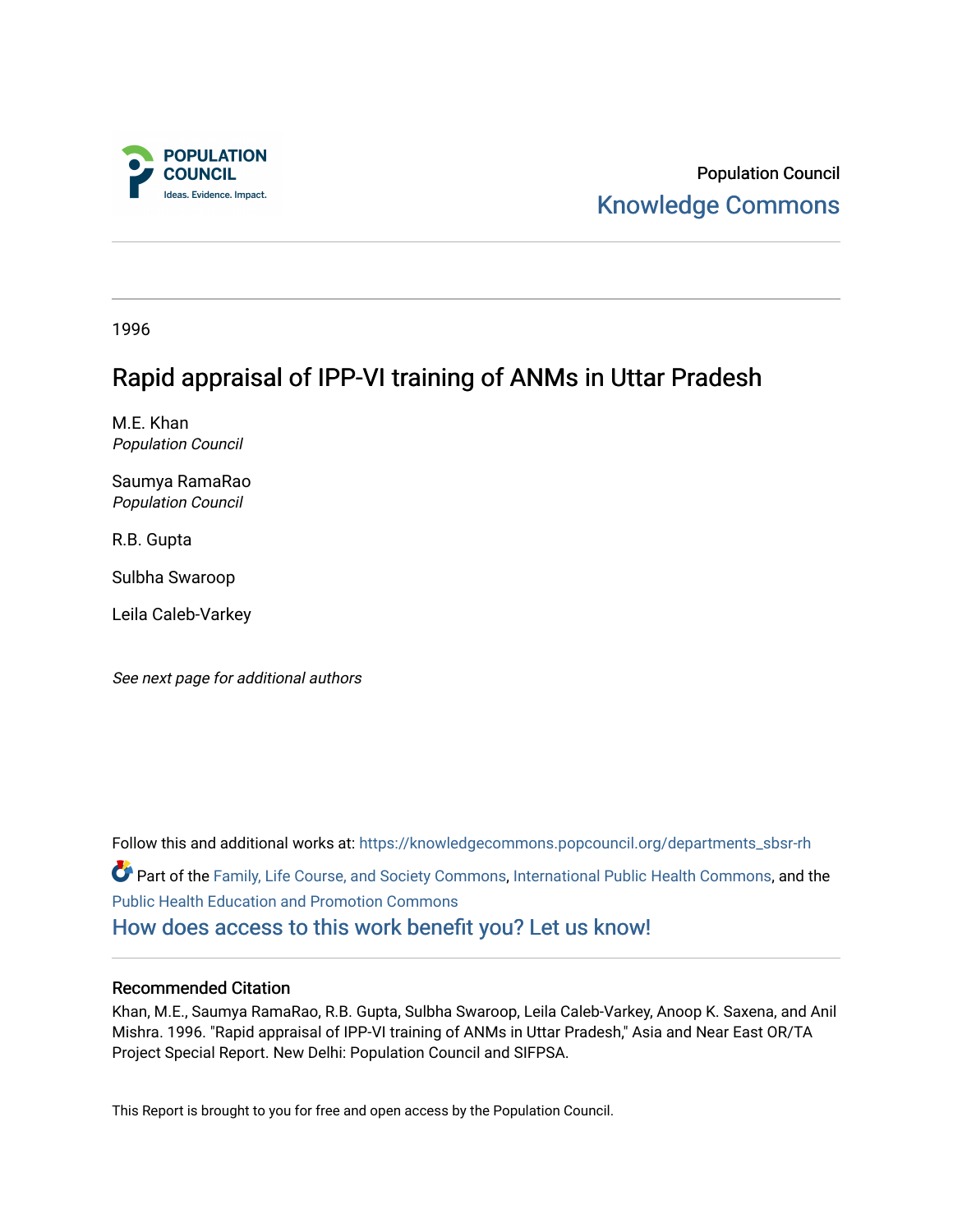

Population Council [Knowledge Commons](https://knowledgecommons.popcouncil.org/) 

1996

# Rapid appraisal of IPP-VI training of ANMs in Uttar Pradesh

M.E. Khan Population Council

Saumya RamaRao Population Council

R.B. Gupta

Sulbha Swaroop

Leila Caleb-Varkey

See next page for additional authors

Follow this and additional works at: [https://knowledgecommons.popcouncil.org/departments\\_sbsr-rh](https://knowledgecommons.popcouncil.org/departments_sbsr-rh?utm_source=knowledgecommons.popcouncil.org%2Fdepartments_sbsr-rh%2F2017&utm_medium=PDF&utm_campaign=PDFCoverPages)  Part of the [Family, Life Course, and Society Commons,](https://network.bepress.com/hgg/discipline/419?utm_source=knowledgecommons.popcouncil.org%2Fdepartments_sbsr-rh%2F2017&utm_medium=PDF&utm_campaign=PDFCoverPages) [International Public Health Commons,](https://network.bepress.com/hgg/discipline/746?utm_source=knowledgecommons.popcouncil.org%2Fdepartments_sbsr-rh%2F2017&utm_medium=PDF&utm_campaign=PDFCoverPages) and the [Public Health Education and Promotion Commons](https://network.bepress.com/hgg/discipline/743?utm_source=knowledgecommons.popcouncil.org%2Fdepartments_sbsr-rh%2F2017&utm_medium=PDF&utm_campaign=PDFCoverPages)  [How does access to this work benefit you? Let us know!](https://pcouncil.wufoo.com/forms/open-access-to-population-council-research/)

#### Recommended Citation

Khan, M.E., Saumya RamaRao, R.B. Gupta, Sulbha Swaroop, Leila Caleb-Varkey, Anoop K. Saxena, and Anil Mishra. 1996. "Rapid appraisal of IPP-VI training of ANMs in Uttar Pradesh," Asia and Near East OR/TA Project Special Report. New Delhi: Population Council and SIFPSA.

This Report is brought to you for free and open access by the Population Council.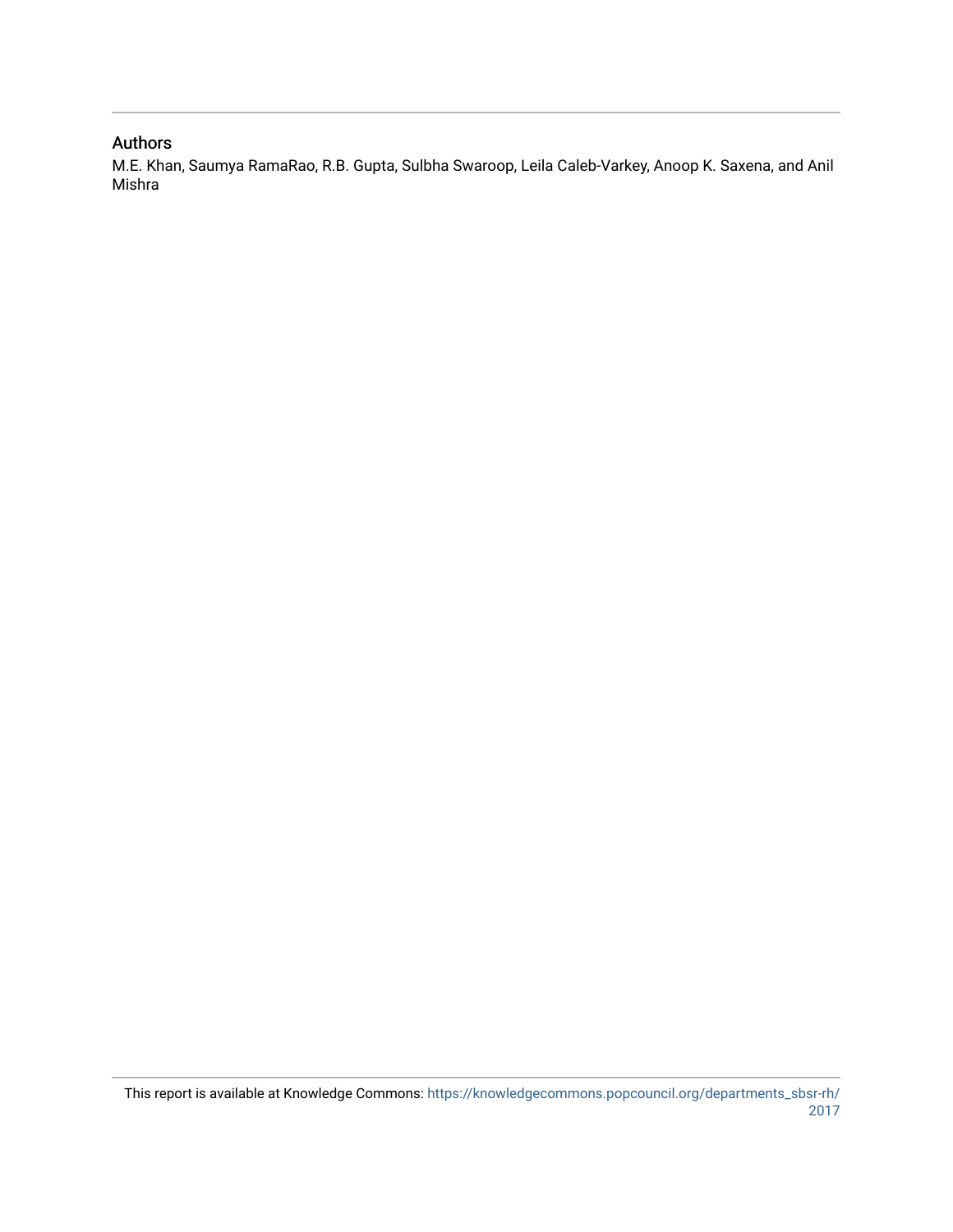#### Authors

M.E. Khan, Saumya RamaRao, R.B. Gupta, Sulbha Swaroop, Leila Caleb-Varkey, Anoop K. Saxena, and Anil Mishra

This report is available at Knowledge Commons: [https://knowledgecommons.popcouncil.org/departments\\_sbsr-rh/](https://knowledgecommons.popcouncil.org/departments_sbsr-rh/2017) [2017](https://knowledgecommons.popcouncil.org/departments_sbsr-rh/2017)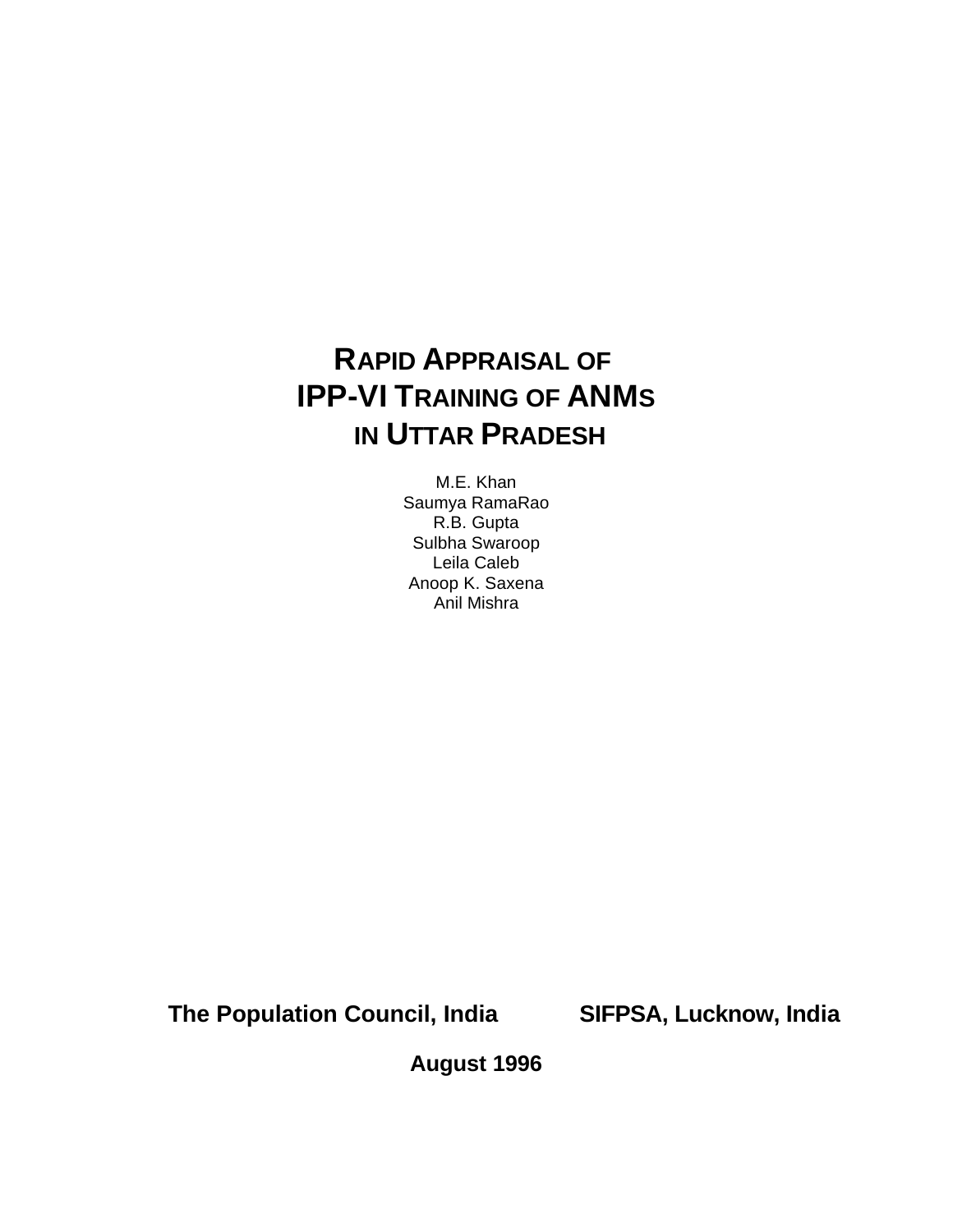# **RAPID APPRAISAL OF IPP-VI TRAINING OF ANMS IN UTTAR PRADESH**

M.E. Khan Saumya RamaRao R.B. Gupta Sulbha Swaroop Leila Caleb Anoop K. Saxena Anil Mishra

**The Population Council, India SIFPSA, Lucknow, India**

**August 1996**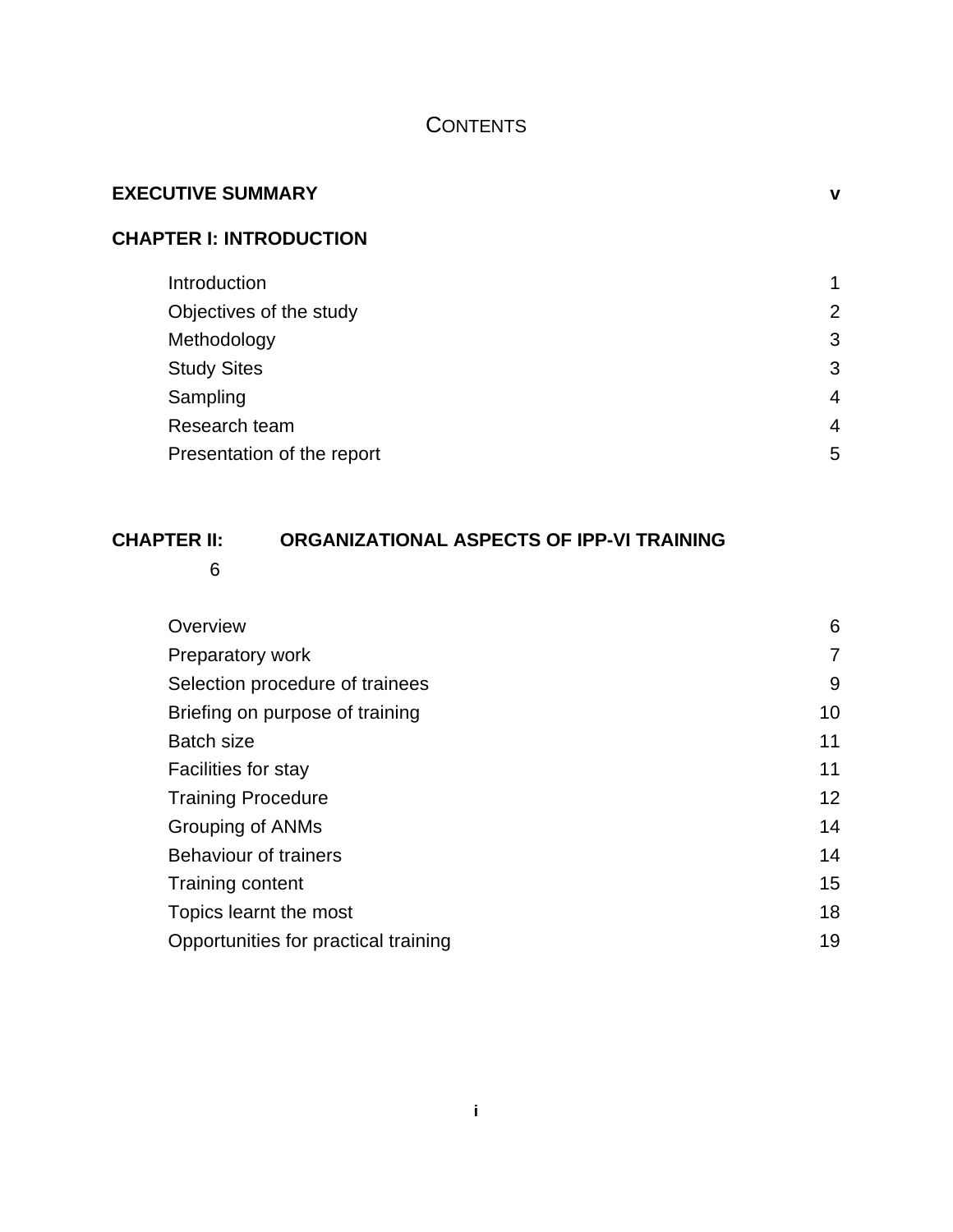# **CONTENTS**

| <b>EXECUTIVE SUMMARY</b>       | ν              |
|--------------------------------|----------------|
| <b>CHAPTER I: INTRODUCTION</b> |                |
| Introduction                   | 1              |
| Objectives of the study        | $\overline{2}$ |
| Methodology                    | 3              |
| <b>Study Sites</b>             | 3              |
| Sampling                       | $\overline{4}$ |
| Research team                  | $\overline{4}$ |
| Presentation of the report     | 5              |
|                                |                |

# **CHAPTER II: ORGANIZATIONAL ASPECTS OF IPP-VI TRAINING**

6

| Overview                             | 6               |
|--------------------------------------|-----------------|
| Preparatory work                     | 7               |
| Selection procedure of trainees      | 9               |
| Briefing on purpose of training      | 10 <sup>°</sup> |
| <b>Batch size</b>                    | 11              |
| Facilities for stay                  | 11              |
| <b>Training Procedure</b>            | 12              |
| <b>Grouping of ANMs</b>              | 14              |
| <b>Behaviour of trainers</b>         | 14              |
| Training content                     | 15              |
| Topics learnt the most               | 18              |
| Opportunities for practical training | 19              |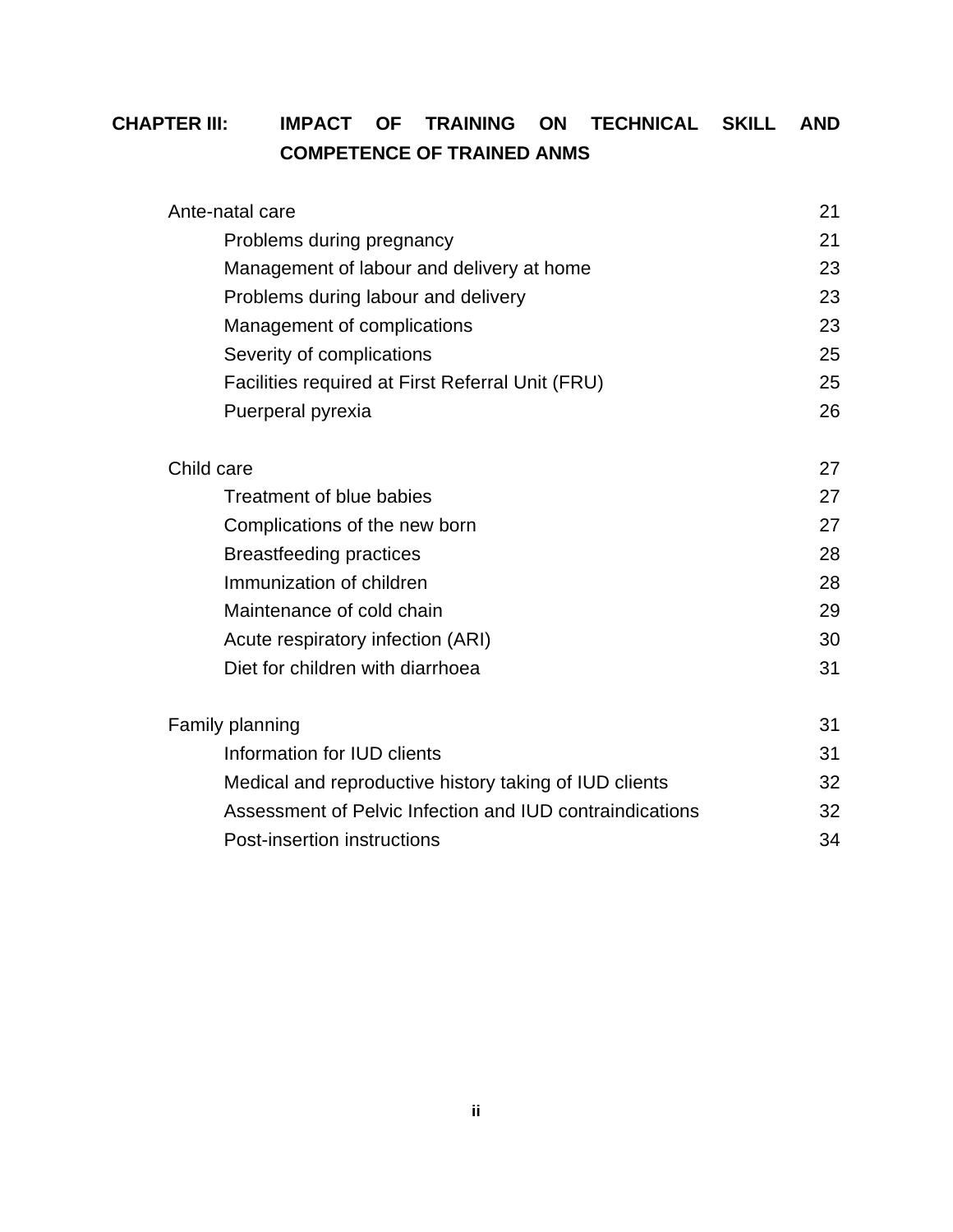# **CHAPTER III: IMPACT OF TRAINING ON TECHNICAL SKILL AND COMPETENCE OF TRAINED ANMS**

| Ante-natal care                                          | 21 |
|----------------------------------------------------------|----|
| Problems during pregnancy                                | 21 |
| Management of labour and delivery at home                | 23 |
| Problems during labour and delivery                      | 23 |
| Management of complications                              | 23 |
| Severity of complications                                | 25 |
| Facilities required at First Referral Unit (FRU)         | 25 |
| Puerperal pyrexia                                        | 26 |
| Child care                                               | 27 |
| Treatment of blue babies                                 | 27 |
| Complications of the new born                            | 27 |
| <b>Breastfeeding practices</b>                           | 28 |
| Immunization of children                                 | 28 |
| Maintenance of cold chain                                | 29 |
| Acute respiratory infection (ARI)                        | 30 |
| Diet for children with diarrhoea                         | 31 |
| Family planning                                          | 31 |
| Information for IUD clients                              | 31 |
| Medical and reproductive history taking of IUD clients   | 32 |
| Assessment of Pelvic Infection and IUD contraindications | 32 |
| Post-insertion instructions                              | 34 |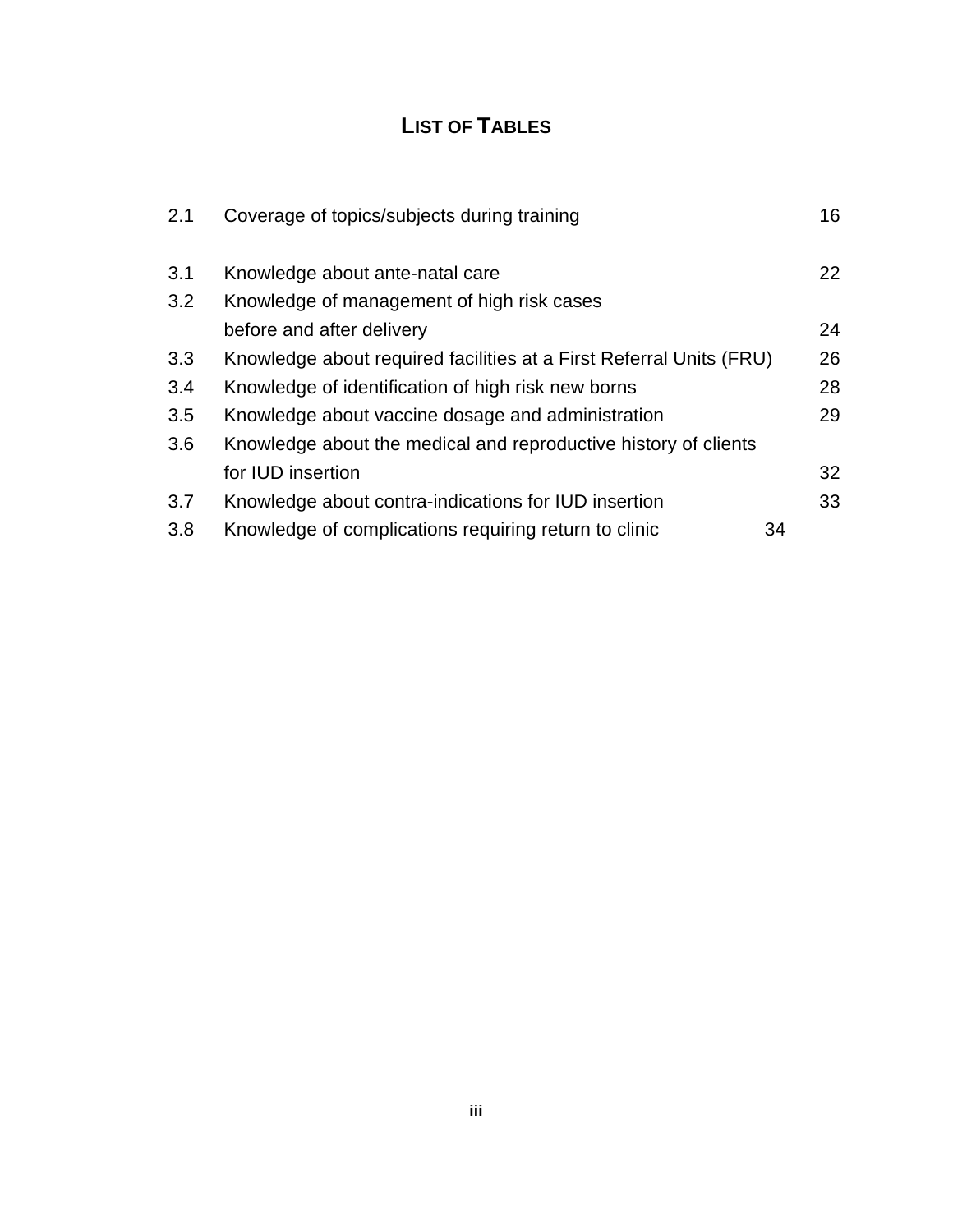# **LIST OF TABLES**

| 2.1 | Coverage of topics/subjects during training                         |    | 16 |
|-----|---------------------------------------------------------------------|----|----|
| 3.1 | Knowledge about ante-natal care                                     |    | 22 |
| 3.2 | Knowledge of management of high risk cases                          |    |    |
|     | before and after delivery                                           |    | 24 |
| 3.3 | Knowledge about required facilities at a First Referral Units (FRU) |    | 26 |
| 3.4 | Knowledge of identification of high risk new borns                  |    | 28 |
| 3.5 | Knowledge about vaccine dosage and administration                   |    | 29 |
| 3.6 | Knowledge about the medical and reproductive history of clients     |    |    |
|     | for <b>IUD</b> insertion                                            |    | 32 |
| 3.7 | Knowledge about contra-indications for IUD insertion                |    | 33 |
| 3.8 | Knowledge of complications requiring return to clinic               | 34 |    |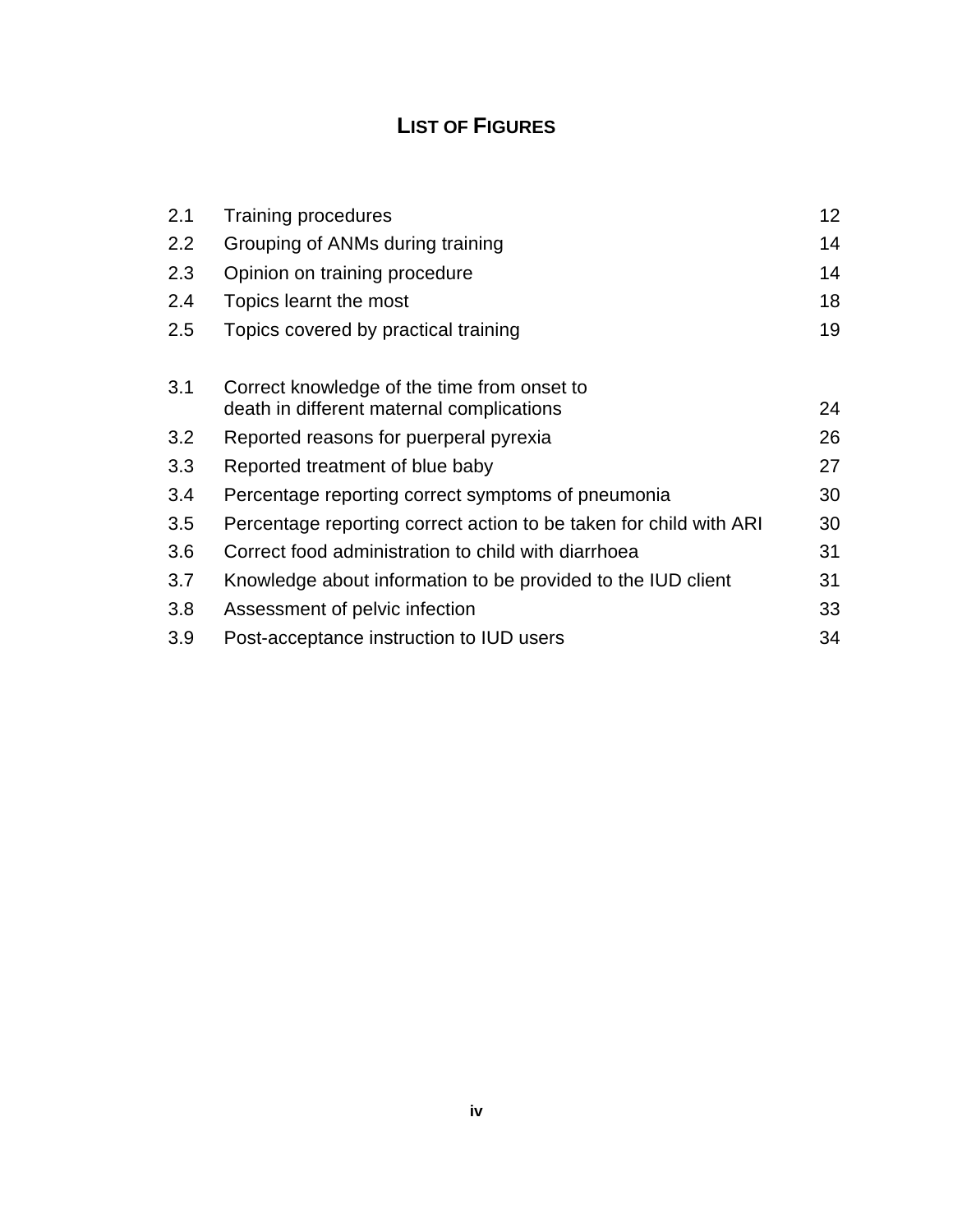# **LIST OF FIGURES**

| 2.1 | <b>Training procedures</b>                                                               | 12 |
|-----|------------------------------------------------------------------------------------------|----|
| 2.2 | Grouping of ANMs during training                                                         | 14 |
| 2.3 | Opinion on training procedure                                                            | 14 |
| 2.4 | Topics learnt the most                                                                   | 18 |
| 2.5 | Topics covered by practical training                                                     | 19 |
| 3.1 | Correct knowledge of the time from onset to<br>death in different maternal complications | 24 |
| 3.2 | Reported reasons for puerperal pyrexia                                                   | 26 |
| 3.3 | Reported treatment of blue baby                                                          | 27 |
| 3.4 | Percentage reporting correct symptoms of pneumonia                                       | 30 |
| 3.5 | Percentage reporting correct action to be taken for child with ARI                       | 30 |
| 3.6 | Correct food administration to child with diarrhoea                                      | 31 |
| 3.7 | Knowledge about information to be provided to the IUD client                             | 31 |
| 3.8 | Assessment of pelvic infection                                                           | 33 |
| 3.9 | Post-acceptance instruction to IUD users                                                 | 34 |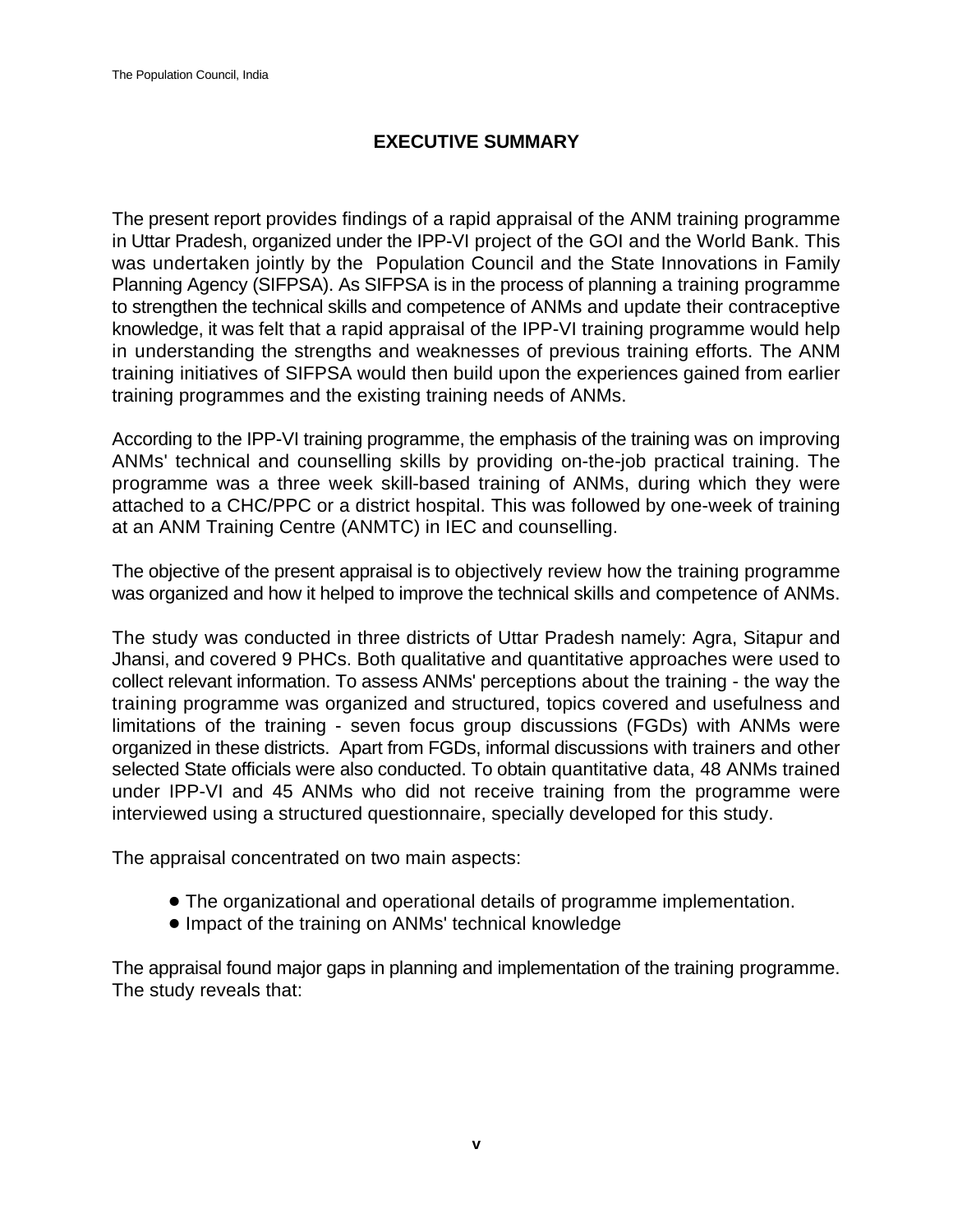# **EXECUTIVE SUMMARY**

The present report provides findings of a rapid appraisal of the ANM training programme in Uttar Pradesh, organized under the IPP-VI project of the GOI and the World Bank. This was undertaken jointly by the Population Council and the State Innovations in Family Planning Agency (SIFPSA). As SIFPSA is in the process of planning a training programme to strengthen the technical skills and competence of ANMs and update their contraceptive knowledge, it was felt that a rapid appraisal of the IPP-VI training programme would help in understanding the strengths and weaknesses of previous training efforts. The ANM training initiatives of SIFPSA would then build upon the experiences gained from earlier training programmes and the existing training needs of ANMs.

According to the IPP-VI training programme, the emphasis of the training was on improving ANMs' technical and counselling skills by providing on-the-job practical training. The programme was a three week skill-based training of ANMs, during which they were attached to a CHC/PPC or a district hospital. This was followed by one-week of training at an ANM Training Centre (ANMTC) in IEC and counselling.

The objective of the present appraisal is to objectively review how the training programme was organized and how it helped to improve the technical skills and competence of ANMs.

The study was conducted in three districts of Uttar Pradesh namely: Agra, Sitapur and Jhansi, and covered 9 PHCs. Both qualitative and quantitative approaches were used to collect relevant information. To assess ANMs' perceptions about the training - the way the training programme was organized and structured, topics covered and usefulness and limitations of the training - seven focus group discussions (FGDs) with ANMs were organized in these districts. Apart from FGDs, informal discussions with trainers and other selected State officials were also conducted. To obtain quantitative data, 48 ANMs trained under IPP-VI and 45 ANMs who did not receive training from the programme were interviewed using a structured questionnaire, specially developed for this study.

The appraisal concentrated on two main aspects:

- ! The organizational and operational details of programme implementation.
- ! Impact of the training on ANMs' technical knowledge

The appraisal found major gaps in planning and implementation of the training programme. The study reveals that: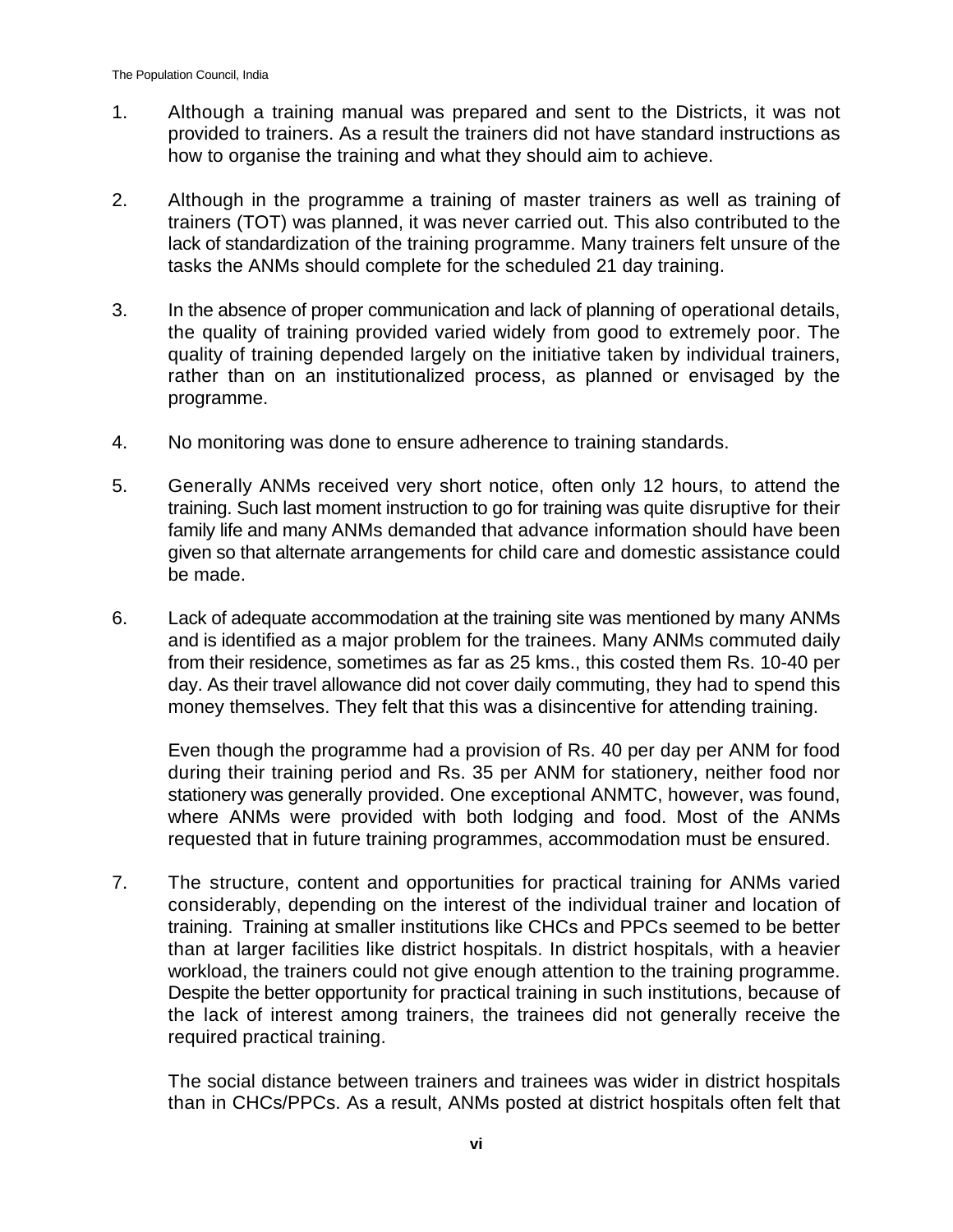- 1. Although a training manual was prepared and sent to the Districts, it was not provided to trainers. As a result the trainers did not have standard instructions as how to organise the training and what they should aim to achieve.
- 2. Although in the programme a training of master trainers as well as training of trainers (TOT) was planned, it was never carried out. This also contributed to the lack of standardization of the training programme. Many trainers felt unsure of the tasks the ANMs should complete for the scheduled 21 day training.
- 3. In the absence of proper communication and lack of planning of operational details, the quality of training provided varied widely from good to extremely poor. The quality of training depended largely on the initiative taken by individual trainers, rather than on an institutionalized process, as planned or envisaged by the programme.
- 4. No monitoring was done to ensure adherence to training standards.
- 5. Generally ANMs received very short notice, often only 12 hours, to attend the training. Such last moment instruction to go for training was quite disruptive for their family life and many ANMs demanded that advance information should have been given so that alternate arrangements for child care and domestic assistance could be made.
- 6. Lack of adequate accommodation at the training site was mentioned by many ANMs and is identified as a major problem for the trainees. Many ANMs commuted daily from their residence, sometimes as far as 25 kms., this costed them Rs. 10-40 per day. As their travel allowance did not cover daily commuting, they had to spend this money themselves. They felt that this was a disincentive for attending training.

Even though the programme had a provision of Rs. 40 per day per ANM for food during their training period and Rs. 35 per ANM for stationery, neither food nor stationery was generally provided. One exceptional ANMTC, however, was found, where ANMs were provided with both lodging and food. Most of the ANMs requested that in future training programmes, accommodation must be ensured.

7. The structure, content and opportunities for practical training for ANMs varied considerably, depending on the interest of the individual trainer and location of training. Training at smaller institutions like CHCs and PPCs seemed to be better than at larger facilities like district hospitals. In district hospitals, with a heavier workload, the trainers could not give enough attention to the training programme. Despite the better opportunity for practical training in such institutions, because of the lack of interest among trainers, the trainees did not generally receive the required practical training.

The social distance between trainers and trainees was wider in district hospitals than in CHCs/PPCs. As a result, ANMs posted at district hospitals often felt that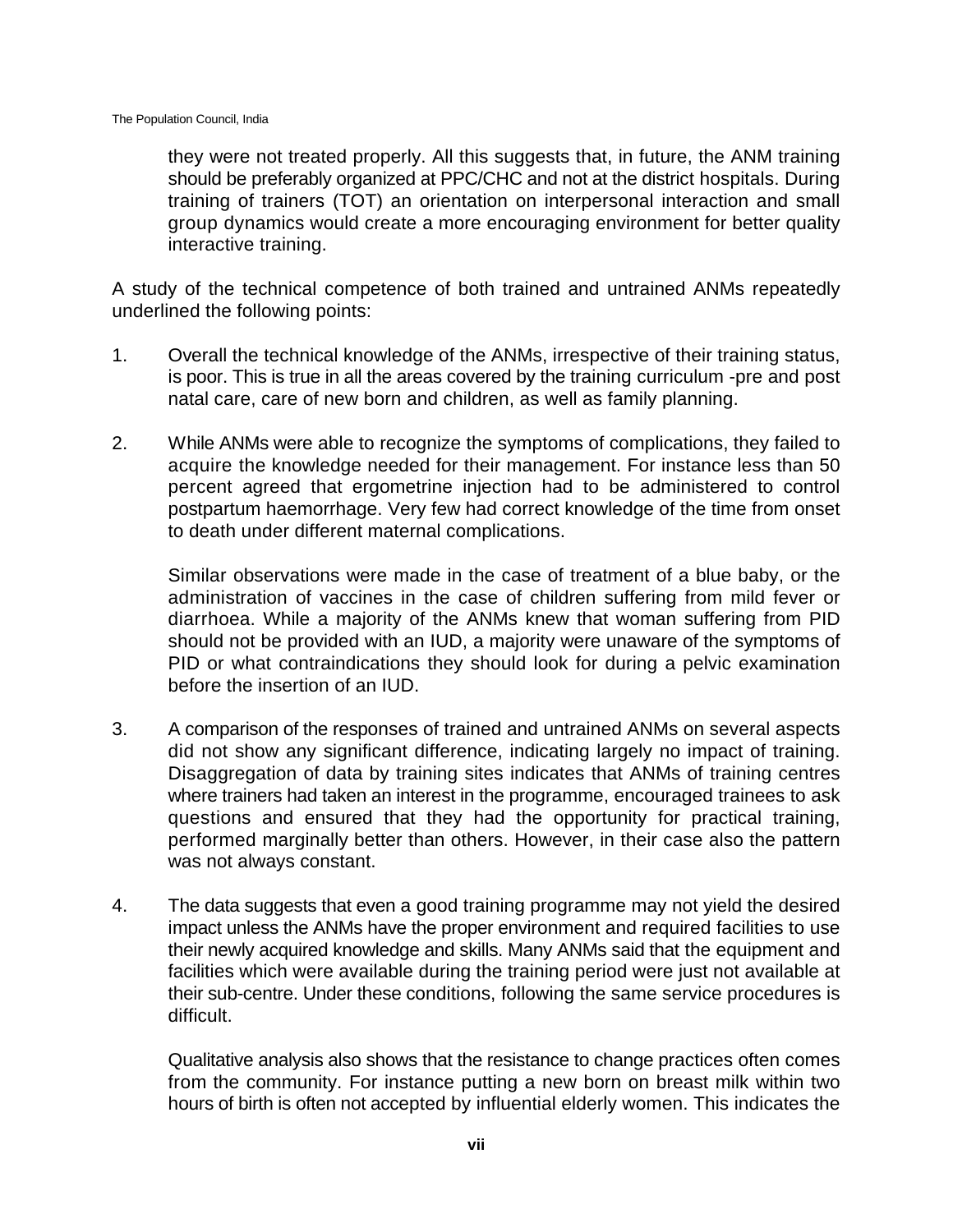they were not treated properly. All this suggests that, in future, the ANM training should be preferably organized at PPC/CHC and not at the district hospitals. During training of trainers (TOT) an orientation on interpersonal interaction and small group dynamics would create a more encouraging environment for better quality interactive training.

A study of the technical competence of both trained and untrained ANMs repeatedly underlined the following points:

- 1. Overall the technical knowledge of the ANMs, irrespective of their training status, is poor. This is true in all the areas covered by the training curriculum -pre and post natal care, care of new born and children, as well as family planning.
- 2. While ANMs were able to recognize the symptoms of complications, they failed to acquire the knowledge needed for their management. For instance less than 50 percent agreed that ergometrine injection had to be administered to control postpartum haemorrhage. Very few had correct knowledge of the time from onset to death under different maternal complications.

Similar observations were made in the case of treatment of a blue baby, or the administration of vaccines in the case of children suffering from mild fever or diarrhoea. While a majority of the ANMs knew that woman suffering from PID should not be provided with an IUD, a majority were unaware of the symptoms of PID or what contraindications they should look for during a pelvic examination before the insertion of an IUD.

- 3. A comparison of the responses of trained and untrained ANMs on several aspects did not show any significant difference, indicating largely no impact of training. Disaggregation of data by training sites indicates that ANMs of training centres where trainers had taken an interest in the programme, encouraged trainees to ask questions and ensured that they had the opportunity for practical training, performed marginally better than others. However, in their case also the pattern was not always constant.
- 4. The data suggests that even a good training programme may not yield the desired impact unless the ANMs have the proper environment and required facilities to use their newly acquired knowledge and skills. Many ANMs said that the equipment and facilities which were available during the training period were just not available at their sub-centre. Under these conditions, following the same service procedures is difficult.

Qualitative analysis also shows that the resistance to change practices often comes from the community. For instance putting a new born on breast milk within two hours of birth is often not accepted by influential elderly women. This indicates the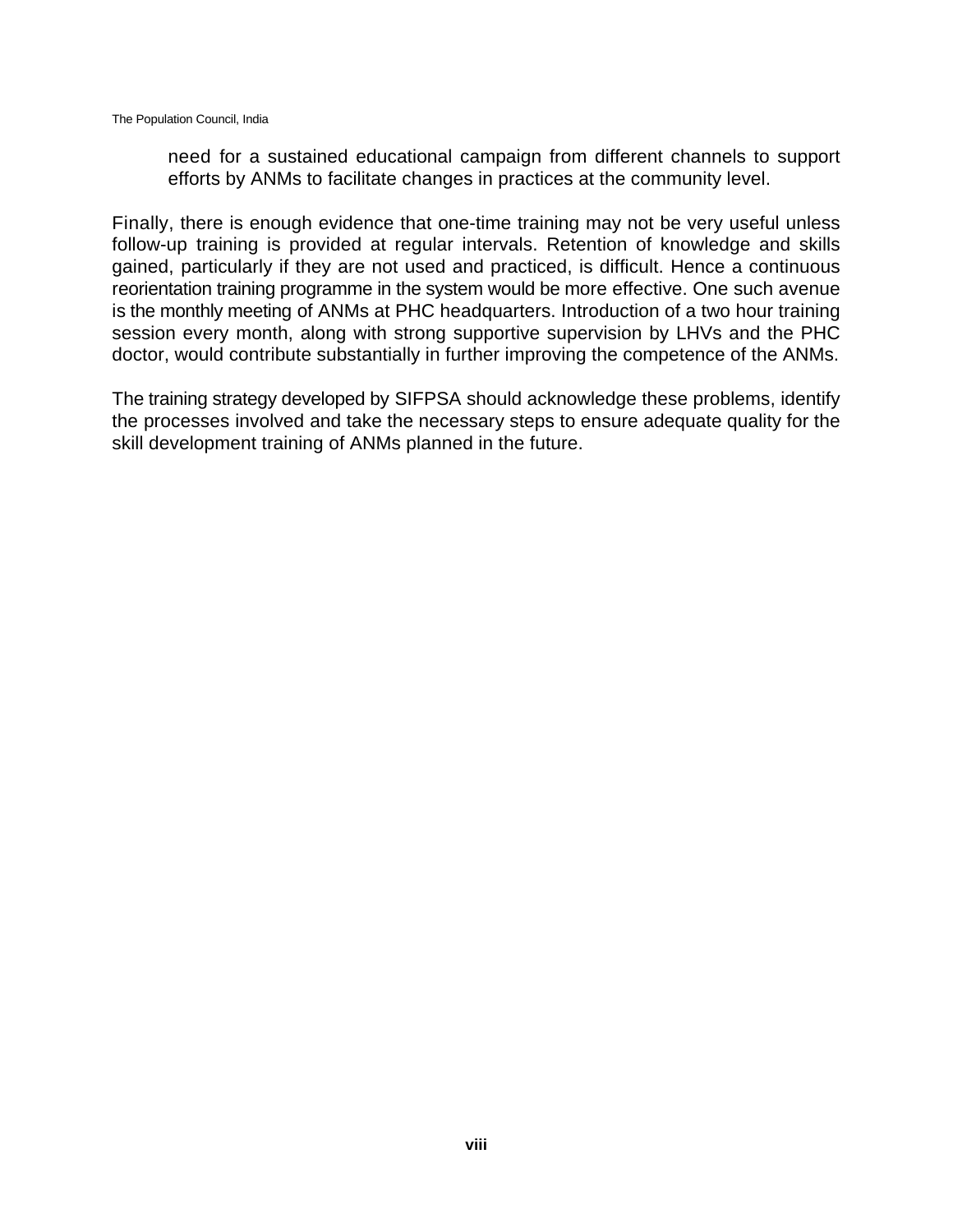need for a sustained educational campaign from different channels to support efforts by ANMs to facilitate changes in practices at the community level.

Finally, there is enough evidence that one-time training may not be very useful unless follow-up training is provided at regular intervals. Retention of knowledge and skills gained, particularly if they are not used and practiced, is difficult. Hence a continuous reorientation training programme in the system would be more effective. One such avenue is the monthly meeting of ANMs at PHC headquarters. Introduction of a two hour training session every month, along with strong supportive supervision by LHVs and the PHC doctor, would contribute substantially in further improving the competence of the ANMs.

The training strategy developed by SIFPSA should acknowledge these problems, identify the processes involved and take the necessary steps to ensure adequate quality for the skill development training of ANMs planned in the future.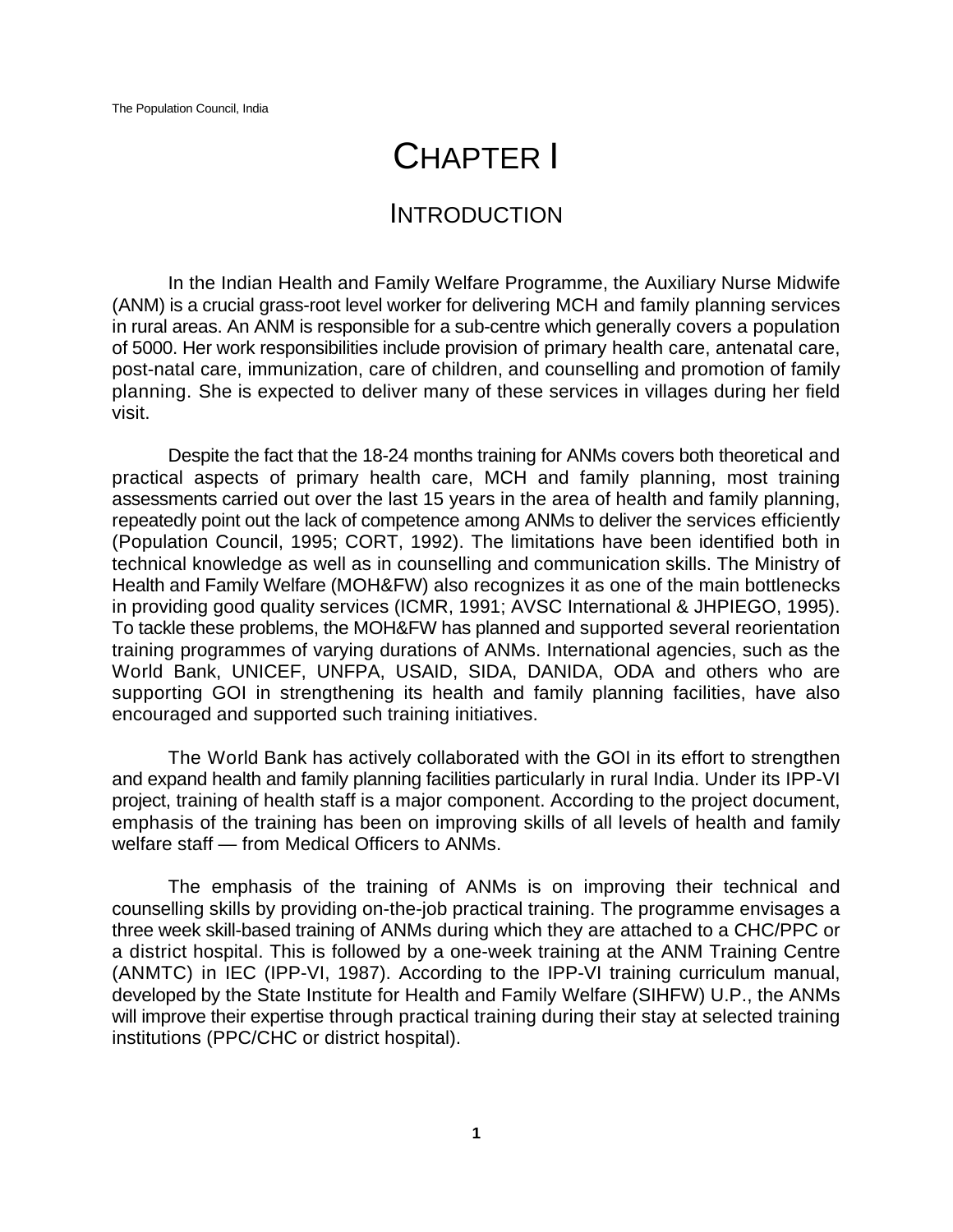# CHAPTER I

# INTRODUCTION

In the Indian Health and Family Welfare Programme, the Auxiliary Nurse Midwife (ANM) is a crucial grass-root level worker for delivering MCH and family planning services in rural areas. An ANM is responsible for a sub-centre which generally covers a population of 5000. Her work responsibilities include provision of primary health care, antenatal care, post-natal care, immunization, care of children, and counselling and promotion of family planning. She is expected to deliver many of these services in villages during her field visit.

Despite the fact that the 18-24 months training for ANMs covers both theoretical and practical aspects of primary health care, MCH and family planning, most training assessments carried out over the last 15 years in the area of health and family planning, repeatedly point out the lack of competence among ANMs to deliver the services efficiently (Population Council, 1995; CORT, 1992). The limitations have been identified both in technical knowledge as well as in counselling and communication skills. The Ministry of Health and Family Welfare (MOH&FW) also recognizes it as one of the main bottlenecks in providing good quality services (ICMR, 1991; AVSC International & JHPIEGO, 1995). To tackle these problems, the MOH&FW has planned and supported several reorientation training programmes of varying durations of ANMs. International agencies, such as the World Bank, UNICEF, UNFPA, USAID, SIDA, DANIDA, ODA and others who are supporting GOI in strengthening its health and family planning facilities, have also encouraged and supported such training initiatives.

The World Bank has actively collaborated with the GOI in its effort to strengthen and expand health and family planning facilities particularly in rural India. Under its IPP-VI project, training of health staff is a major component. According to the project document, emphasis of the training has been on improving skills of all levels of health and family welfare staff — from Medical Officers to ANMs.

The emphasis of the training of ANMs is on improving their technical and counselling skills by providing on-the-job practical training. The programme envisages a three week skill-based training of ANMs during which they are attached to a CHC/PPC or a district hospital. This is followed by a one-week training at the ANM Training Centre (ANMTC) in IEC (IPP-VI, 1987). According to the IPP-VI training curriculum manual, developed by the State Institute for Health and Family Welfare (SIHFW) U.P., the ANMs will improve their expertise through practical training during their stay at selected training institutions (PPC/CHC or district hospital).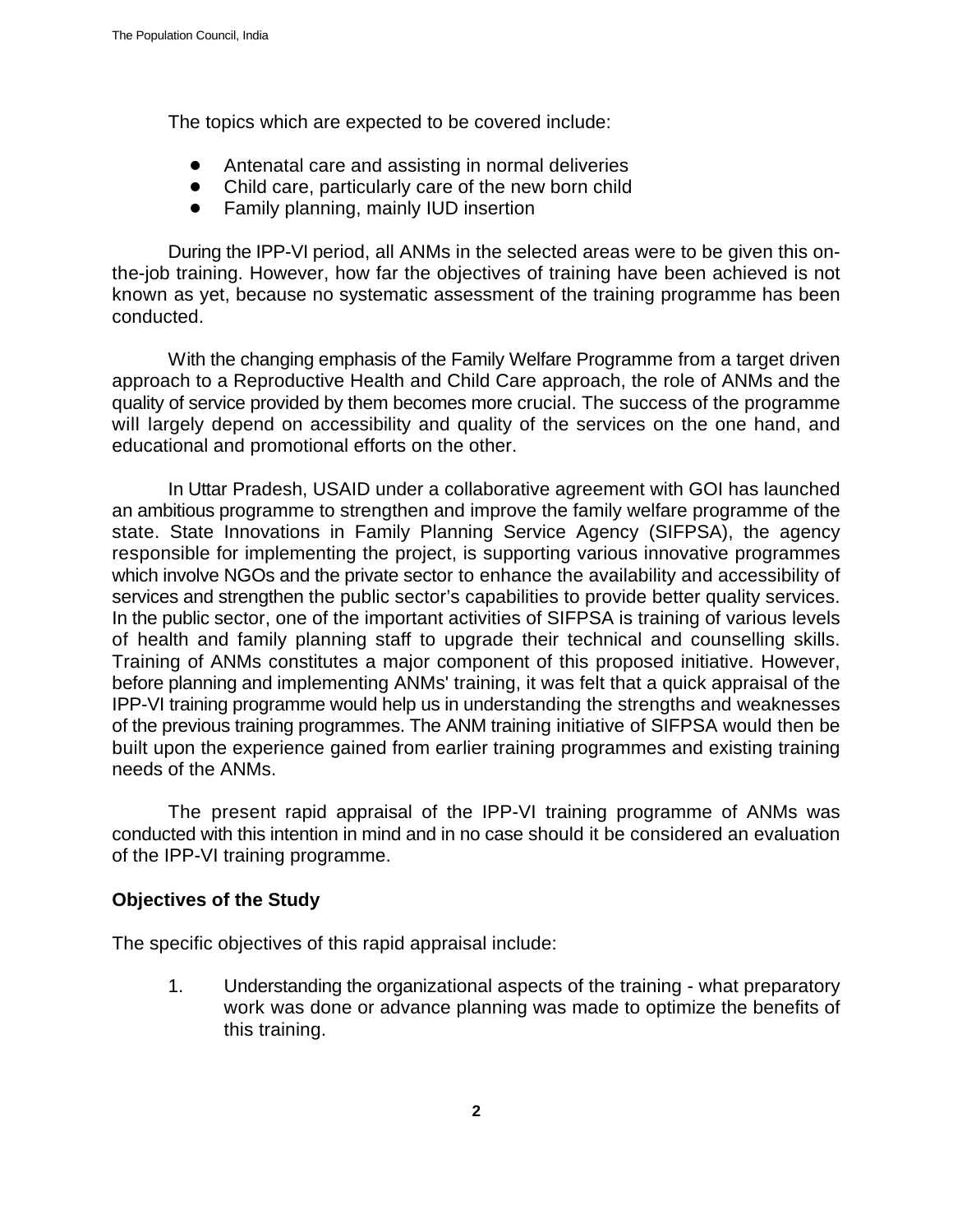The topics which are expected to be covered include:

- Antenatal care and assisting in normal deliveries
- Child care, particularly care of the new born child
- Family planning, mainly IUD insertion

During the IPP-VI period, all ANMs in the selected areas were to be given this onthe-job training. However, how far the objectives of training have been achieved is not known as yet, because no systematic assessment of the training programme has been conducted.

With the changing emphasis of the Family Welfare Programme from a target driven approach to a Reproductive Health and Child Care approach, the role of ANMs and the quality of service provided by them becomes more crucial. The success of the programme will largely depend on accessibility and quality of the services on the one hand, and educational and promotional efforts on the other.

In Uttar Pradesh, USAID under a collaborative agreement with GOI has launched an ambitious programme to strengthen and improve the family welfare programme of the state. State Innovations in Family Planning Service Agency (SIFPSA), the agency responsible for implementing the project, is supporting various innovative programmes which involve NGOs and the private sector to enhance the availability and accessibility of services and strengthen the public sector's capabilities to provide better quality services. In the public sector, one of the important activities of SIFPSA is training of various levels of health and family planning staff to upgrade their technical and counselling skills. Training of ANMs constitutes a major component of this proposed initiative. However, before planning and implementing ANMs' training, it was felt that a quick appraisal of the IPP-VI training programme would help us in understanding the strengths and weaknesses of the previous training programmes. The ANM training initiative of SIFPSA would then be built upon the experience gained from earlier training programmes and existing training needs of the ANMs.

The present rapid appraisal of the IPP-VI training programme of ANMs was conducted with this intention in mind and in no case should it be considered an evaluation of the IPP-VI training programme.

#### **Objectives of the Study**

The specific objectives of this rapid appraisal include:

1. Understanding the organizational aspects of the training - what preparatory work was done or advance planning was made to optimize the benefits of this training.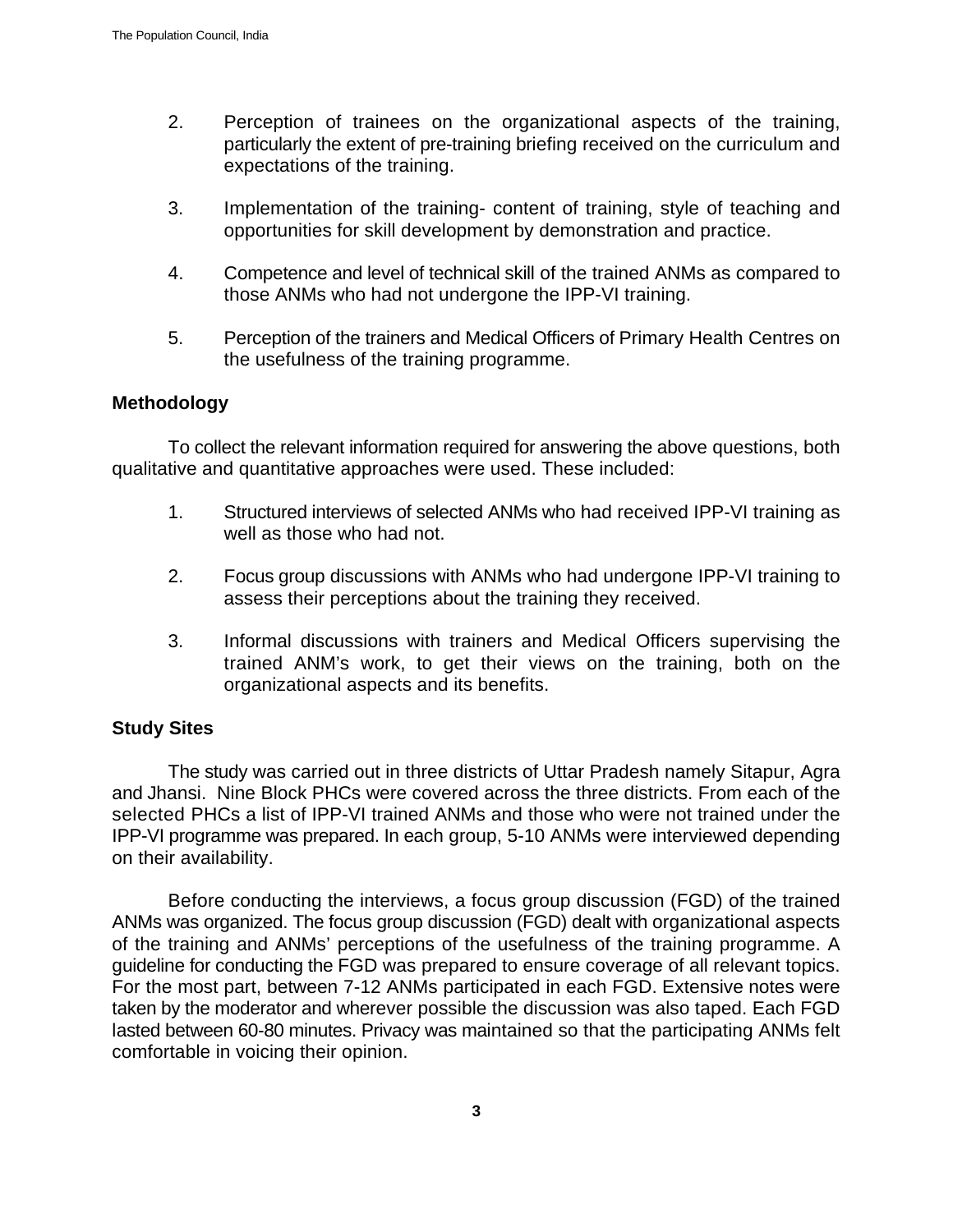- 2. Perception of trainees on the organizational aspects of the training, particularly the extent of pre-training briefing received on the curriculum and expectations of the training.
- 3. Implementation of the training- content of training, style of teaching and opportunities for skill development by demonstration and practice.
- 4. Competence and level of technical skill of the trained ANMs as compared to those ANMs who had not undergone the IPP-VI training.
- 5. Perception of the trainers and Medical Officers of Primary Health Centres on the usefulness of the training programme.

# **Methodology**

To collect the relevant information required for answering the above questions, both qualitative and quantitative approaches were used. These included:

- 1. Structured interviews of selected ANMs who had received IPP-VI training as well as those who had not.
- 2. Focus group discussions with ANMs who had undergone IPP-VI training to assess their perceptions about the training they received.
- 3. Informal discussions with trainers and Medical Officers supervising the trained ANM's work, to get their views on the training, both on the organizational aspects and its benefits.

# **Study Sites**

The study was carried out in three districts of Uttar Pradesh namely Sitapur, Agra and Jhansi. Nine Block PHCs were covered across the three districts. From each of the selected PHCs a list of IPP-VI trained ANMs and those who were not trained under the IPP-VI programme was prepared. In each group, 5-10 ANMs were interviewed depending on their availability.

Before conducting the interviews, a focus group discussion (FGD) of the trained ANMs was organized. The focus group discussion (FGD) dealt with organizational aspects of the training and ANMs' perceptions of the usefulness of the training programme. A guideline for conducting the FGD was prepared to ensure coverage of all relevant topics. For the most part, between 7-12 ANMs participated in each FGD. Extensive notes were taken by the moderator and wherever possible the discussion was also taped. Each FGD lasted between 60-80 minutes. Privacy was maintained so that the participating ANMs felt comfortable in voicing their opinion.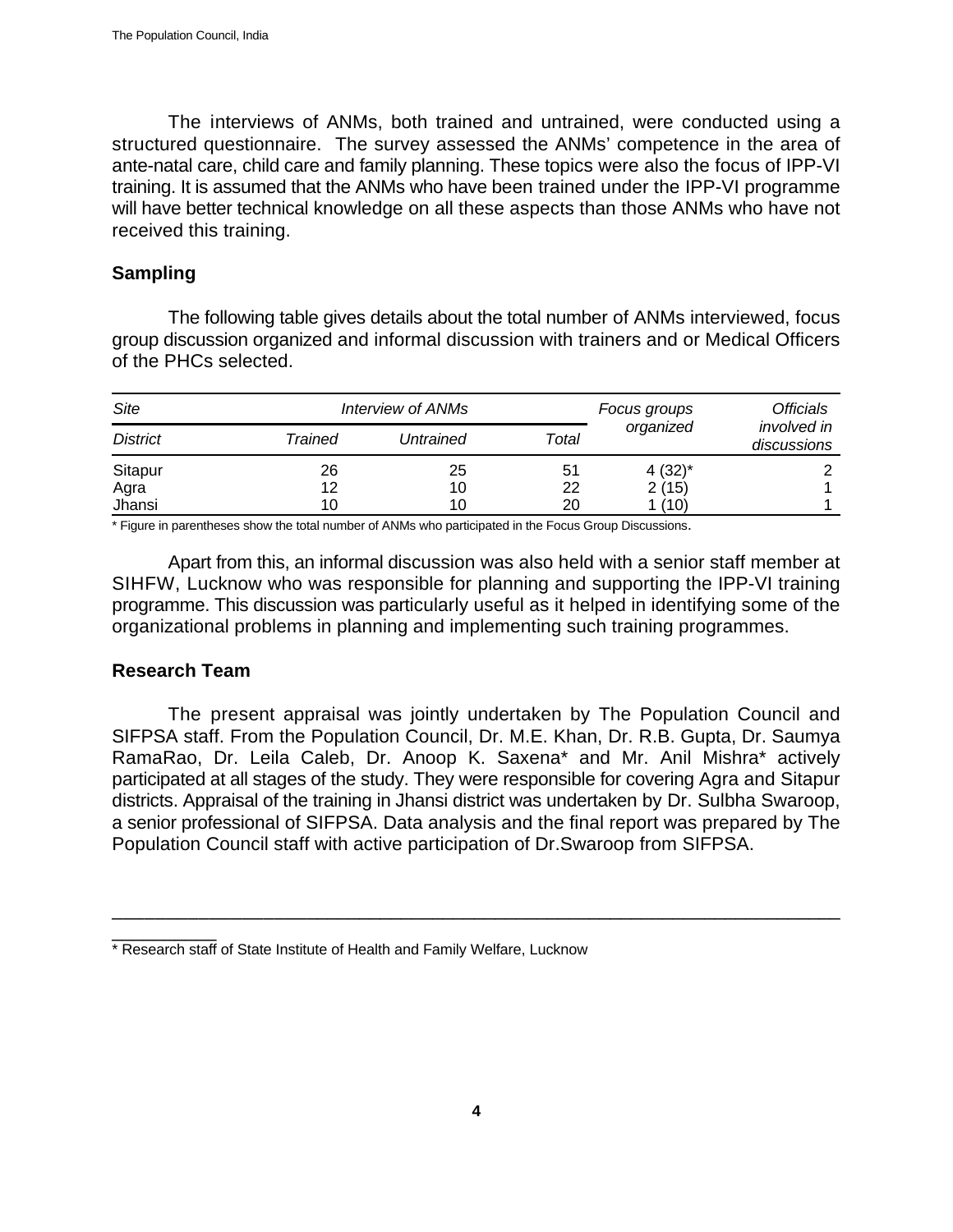The interviews of ANMs, both trained and untrained, were conducted using a structured questionnaire. The survey assessed the ANMs' competence in the area of ante-natal care, child care and family planning. These topics were also the focus of IPP-VI training. It is assumed that the ANMs who have been trained under the IPP-VI programme will have better technical knowledge on all these aspects than those ANMs who have not received this training.

# **Sampling**

The following table gives details about the total number of ANMs interviewed, focus group discussion organized and informal discussion with trainers and or Medical Officers of the PHCs selected.

| Site            |         | Interview of ANMs |       | Focus groups | Officials                         |
|-----------------|---------|-------------------|-------|--------------|-----------------------------------|
| <b>District</b> | Trained | Untrained         | Total | organized    | <i>involved in</i><br>discussions |
| Sitapur         | 26      | 25                | 51    | $4(32)^{*}$  |                                   |
| Agra            | 12      | 10                | 22    | 2(15)        |                                   |
| Jhansi          | 10      | 10                | 20    | 1 (10)       |                                   |

\* Figure in parentheses show the total number of ANMs who participated in the Focus Group Discussions.

Apart from this, an informal discussion was also held with a senior staff member at SIHFW, Lucknow who was responsible for planning and supporting the IPP-VI training programme. This discussion was particularly useful as it helped in identifying some of the organizational problems in planning and implementing such training programmes.

# **Research Team**

The present appraisal was jointly undertaken by The Population Council and SIFPSA staff. From the Population Council, Dr. M.E. Khan, Dr. R.B. Gupta, Dr. Saumya RamaRao, Dr. Leila Caleb, Dr. Anoop K. Saxena\* and Mr. Anil Mishra\* actively participated at all stages of the study. They were responsible for covering Agra and Sitapur districts. Appraisal of the training in Jhansi district was undertaken by Dr. Sulbha Swaroop, a senior professional of SIFPSA. Data analysis and the final report was prepared by The Population Council staff with active participation of Dr.Swaroop from SIFPSA.

\_\_\_\_\_\_\_\_\_\_\_\_\_\_\_\_\_\_\_\_\_\_\_\_\_\_\_\_\_\_\_\_\_\_\_\_\_\_\_\_\_\_\_\_\_\_\_\_\_\_\_\_\_\_\_\_\_\_\_\_\_\_\_\_\_\_\_\_\_

\_\_\_\_\_\_\_\_\_\_ \* Research staff of State Institute of Health and Family Welfare, Lucknow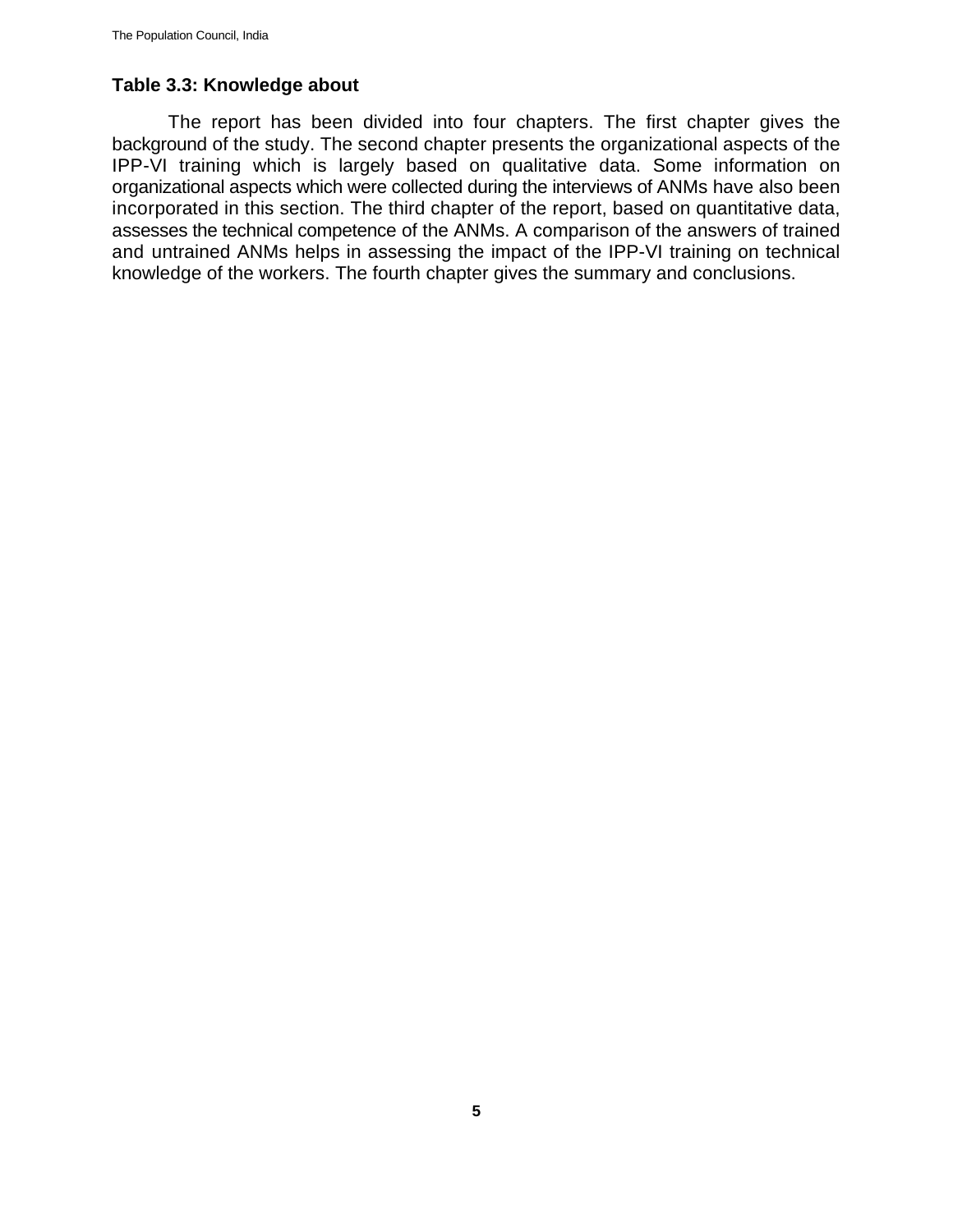# **Table 3.3: Knowledge about**

The report has been divided into four chapters. The first chapter gives the background of the study. The second chapter presents the organizational aspects of the IPP-VI training which is largely based on qualitative data. Some information on organizational aspects which were collected during the interviews of ANMs have also been incorporated in this section. The third chapter of the report, based on quantitative data, assesses the technical competence of the ANMs. A comparison of the answers of trained and untrained ANMs helps in assessing the impact of the IPP-VI training on technical knowledge of the workers. The fourth chapter gives the summary and conclusions.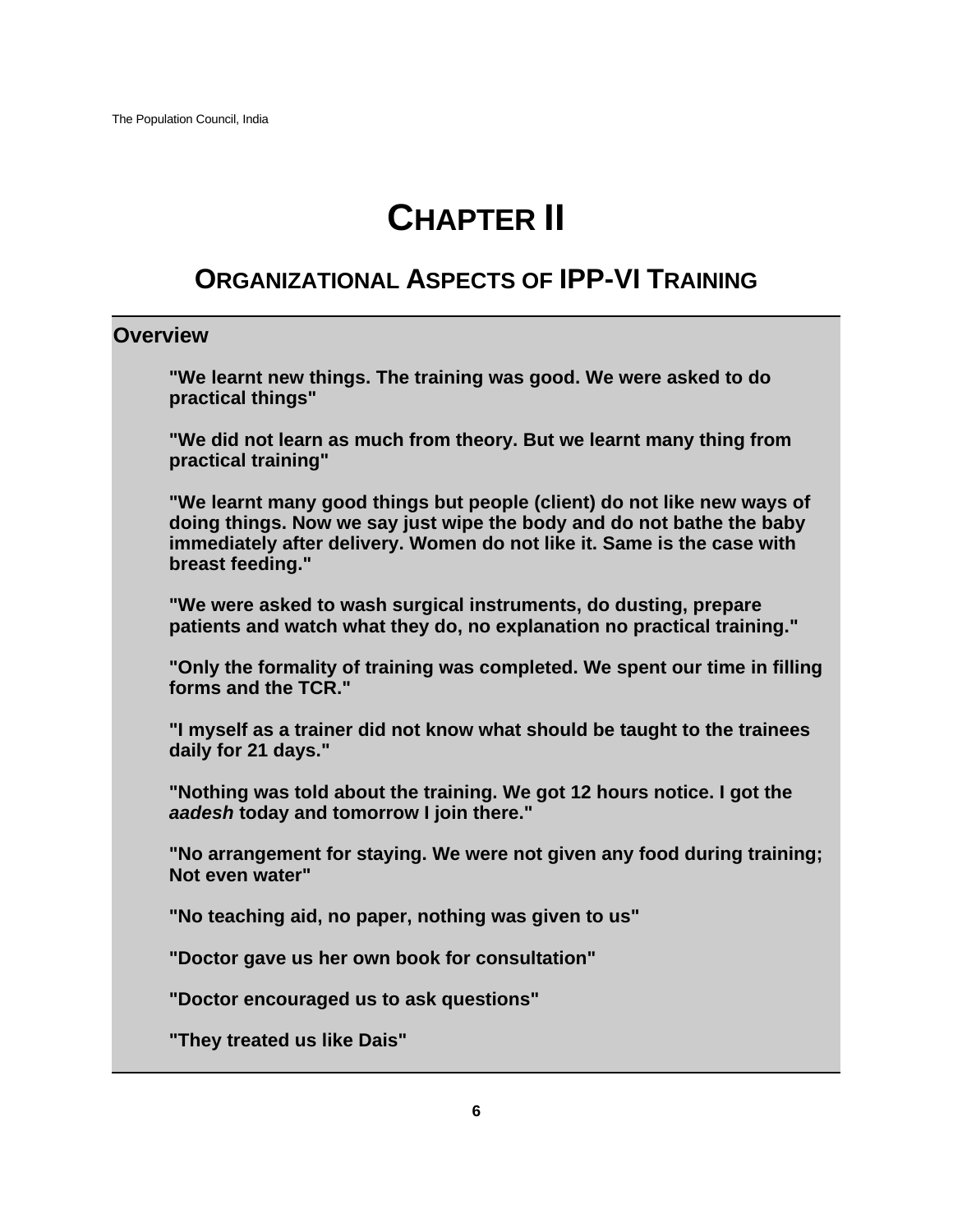# **CHAPTER II**

# **ORGANIZATIONAL ASPECTS OF IPP-VI TRAINING**

# **Overview**

**"We learnt new things. The training was good. We were asked to do practical things"**

**"We did not learn as much from theory. But we learnt many thing from practical training"**

**"We learnt many good things but people (client) do not like new ways of doing things. Now we say just wipe the body and do not bathe the baby immediately after delivery. Women do not like it. Same is the case with breast feeding."**

**"We were asked to wash surgical instruments, do dusting, prepare patients and watch what they do, no explanation no practical training."**

**"Only the formality of training was completed. We spent our time in filling forms and the TCR."**

**"I myself as a trainer did not know what should be taught to the trainees daily for 21 days."**

**"Nothing was told about the training. We got 12 hours notice. I got the** *aadesh* **today and tomorrow I join there."**

**"No arrangement for staying. We were not given any food during training; Not even water"**

**"No teaching aid, no paper, nothing was given to us"**

**"Doctor gave us her own book for consultation"**

**"Doctor encouraged us to ask questions"**

**"They treated us like Dais"**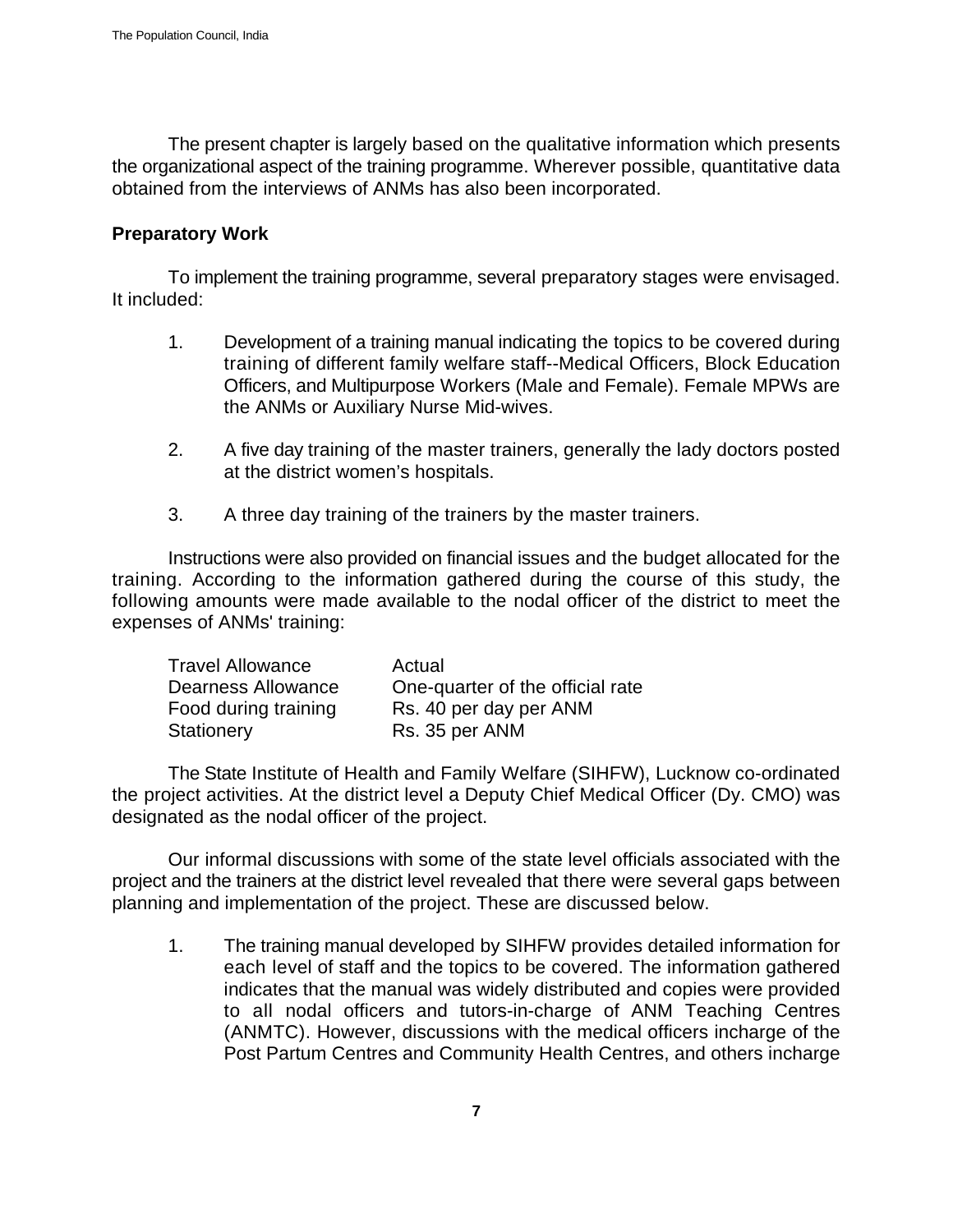The present chapter is largely based on the qualitative information which presents the organizational aspect of the training programme. Wherever possible, quantitative data obtained from the interviews of ANMs has also been incorporated.

#### **Preparatory Work**

To implement the training programme, several preparatory stages were envisaged. It included:

- 1. Development of a training manual indicating the topics to be covered during training of different family welfare staff--Medical Officers, Block Education Officers, and Multipurpose Workers (Male and Female). Female MPWs are the ANMs or Auxiliary Nurse Mid-wives.
- 2. A five day training of the master trainers, generally the lady doctors posted at the district women's hospitals.
- 3. A three day training of the trainers by the master trainers.

Instructions were also provided on financial issues and the budget allocated for the training. According to the information gathered during the course of this study, the following amounts were made available to the nodal officer of the district to meet the expenses of ANMs' training:

| <b>Travel Allowance</b> | Actual                           |
|-------------------------|----------------------------------|
| Dearness Allowance      | One-quarter of the official rate |
| Food during training    | Rs. 40 per day per ANM           |
| Stationery              | Rs. 35 per ANM                   |

The State Institute of Health and Family Welfare (SIHFW), Lucknow co-ordinated the project activities. At the district level a Deputy Chief Medical Officer (Dy. CMO) was designated as the nodal officer of the project.

Our informal discussions with some of the state level officials associated with the project and the trainers at the district level revealed that there were several gaps between planning and implementation of the project. These are discussed below.

1. The training manual developed by SIHFW provides detailed information for each level of staff and the topics to be covered. The information gathered indicates that the manual was widely distributed and copies were provided to all nodal officers and tutors-in-charge of ANM Teaching Centres (ANMTC). However, discussions with the medical officers incharge of the Post Partum Centres and Community Health Centres, and others incharge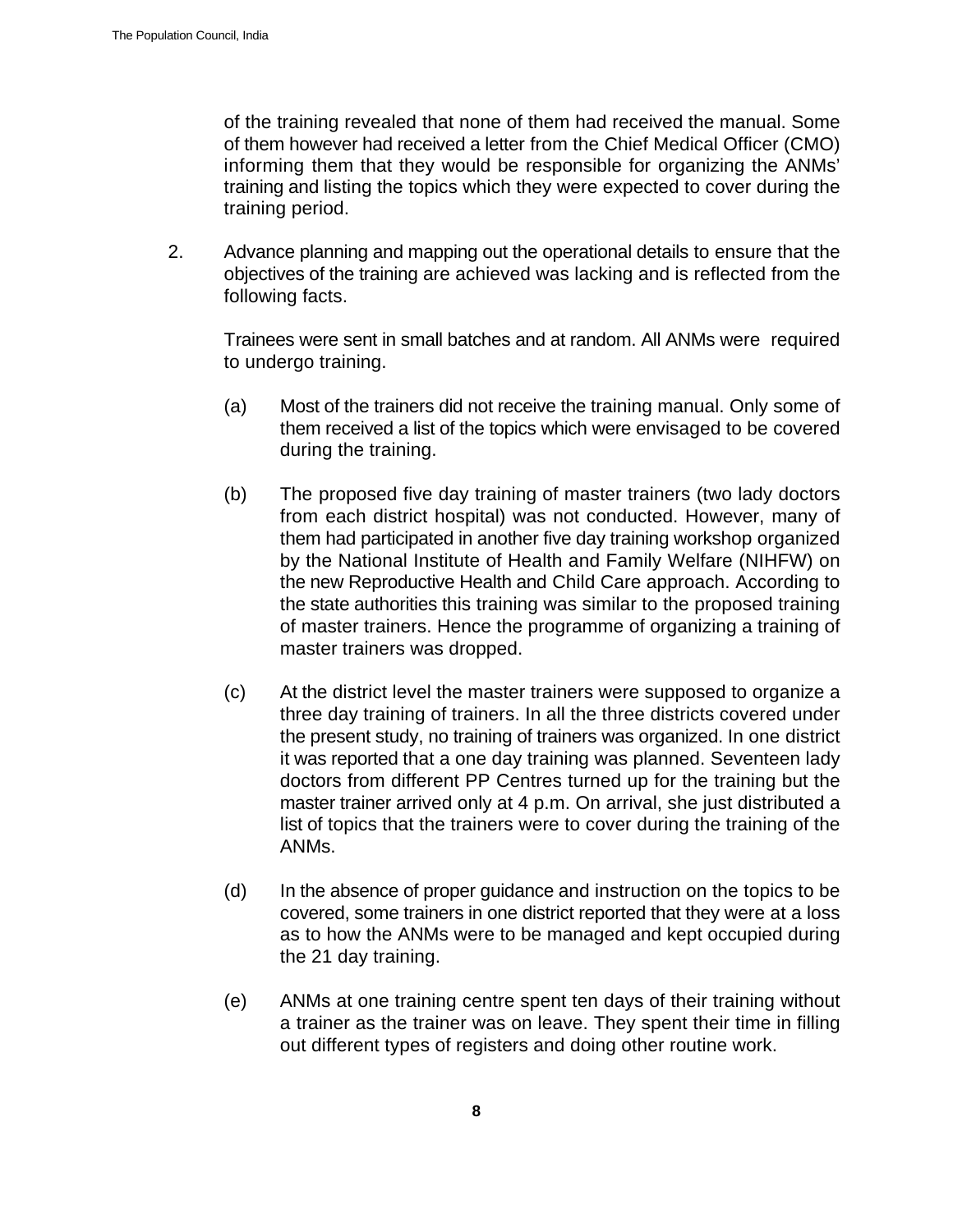of the training revealed that none of them had received the manual. Some of them however had received a letter from the Chief Medical Officer (CMO) informing them that they would be responsible for organizing the ANMs' training and listing the topics which they were expected to cover during the training period.

2. Advance planning and mapping out the operational details to ensure that the objectives of the training are achieved was lacking and is reflected from the following facts.

Trainees were sent in small batches and at random. All ANMs were required to undergo training.

- (a) Most of the trainers did not receive the training manual. Only some of them received a list of the topics which were envisaged to be covered during the training.
- (b) The proposed five day training of master trainers (two lady doctors from each district hospital) was not conducted. However, many of them had participated in another five day training workshop organized by the National Institute of Health and Family Welfare (NIHFW) on the new Reproductive Health and Child Care approach. According to the state authorities this training was similar to the proposed training of master trainers. Hence the programme of organizing a training of master trainers was dropped.
- (c) At the district level the master trainers were supposed to organize a three day training of trainers. In all the three districts covered under the present study, no training of trainers was organized. In one district it was reported that a one day training was planned. Seventeen lady doctors from different PP Centres turned up for the training but the master trainer arrived only at 4 p.m. On arrival, she just distributed a list of topics that the trainers were to cover during the training of the ANMs.
- (d) In the absence of proper guidance and instruction on the topics to be covered, some trainers in one district reported that they were at a loss as to how the ANMs were to be managed and kept occupied during the 21 day training.
- (e) ANMs at one training centre spent ten days of their training without a trainer as the trainer was on leave. They spent their time in filling out different types of registers and doing other routine work.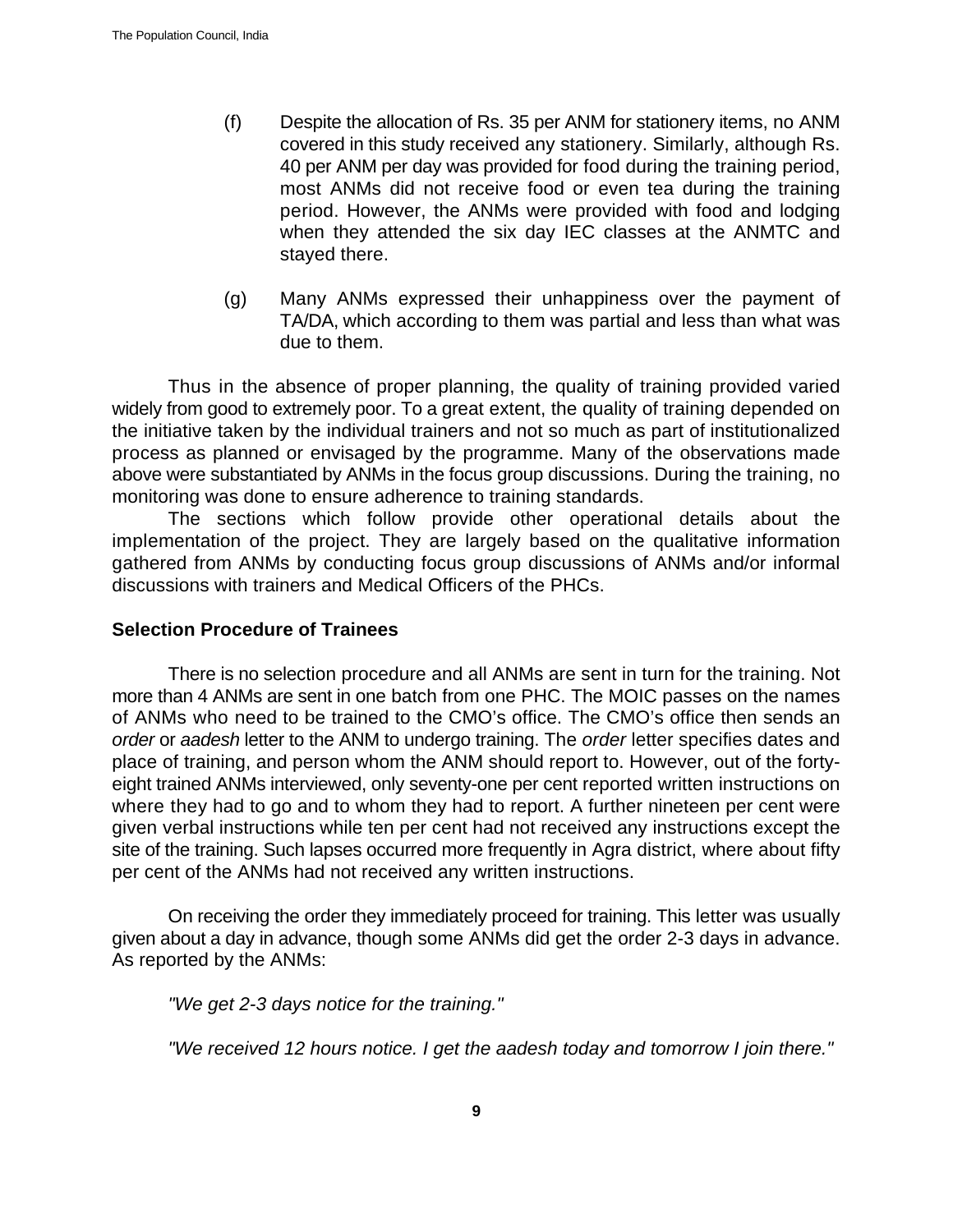- (f) Despite the allocation of Rs. 35 per ANM for stationery items, no ANM covered in this study received any stationery. Similarly, although Rs. 40 per ANM per day was provided for food during the training period, most ANMs did not receive food or even tea during the training period. However, the ANMs were provided with food and lodging when they attended the six day IEC classes at the ANMTC and stayed there.
- (g) Many ANMs expressed their unhappiness over the payment of TA/DA, which according to them was partial and less than what was due to them.

Thus in the absence of proper planning, the quality of training provided varied widely from good to extremely poor. To a great extent, the quality of training depended on the initiative taken by the individual trainers and not so much as part of institutionalized process as planned or envisaged by the programme. Many of the observations made above were substantiated by ANMs in the focus group discussions. During the training, no monitoring was done to ensure adherence to training standards.

The sections which follow provide other operational details about the implementation of the project. They are largely based on the qualitative information gathered from ANMs by conducting focus group discussions of ANMs and/or informal discussions with trainers and Medical Officers of the PHCs.

#### **Selection Procedure of Trainees**

There is no selection procedure and all ANMs are sent in turn for the training. Not more than 4 ANMs are sent in one batch from one PHC. The MOIC passes on the names of ANMs who need to be trained to the CMO's office. The CMO's office then sends an *order* or *aadesh* letter to the ANM to undergo training. The *order* letter specifies dates and place of training, and person whom the ANM should report to. However, out of the fortyeight trained ANMs interviewed, only seventy-one per cent reported written instructions on where they had to go and to whom they had to report. A further nineteen per cent were given verbal instructions while ten per cent had not received any instructions except the site of the training. Such lapses occurred more frequently in Agra district, where about fifty per cent of the ANMs had not received any written instructions.

On receiving the order they immediately proceed for training. This letter was usually given about a day in advance, though some ANMs did get the order 2-3 days in advance. As reported by the ANMs:

*"We get 2-3 days notice for the training."* 

*"We received 12 hours notice. I get the aadesh today and tomorrow I join there."*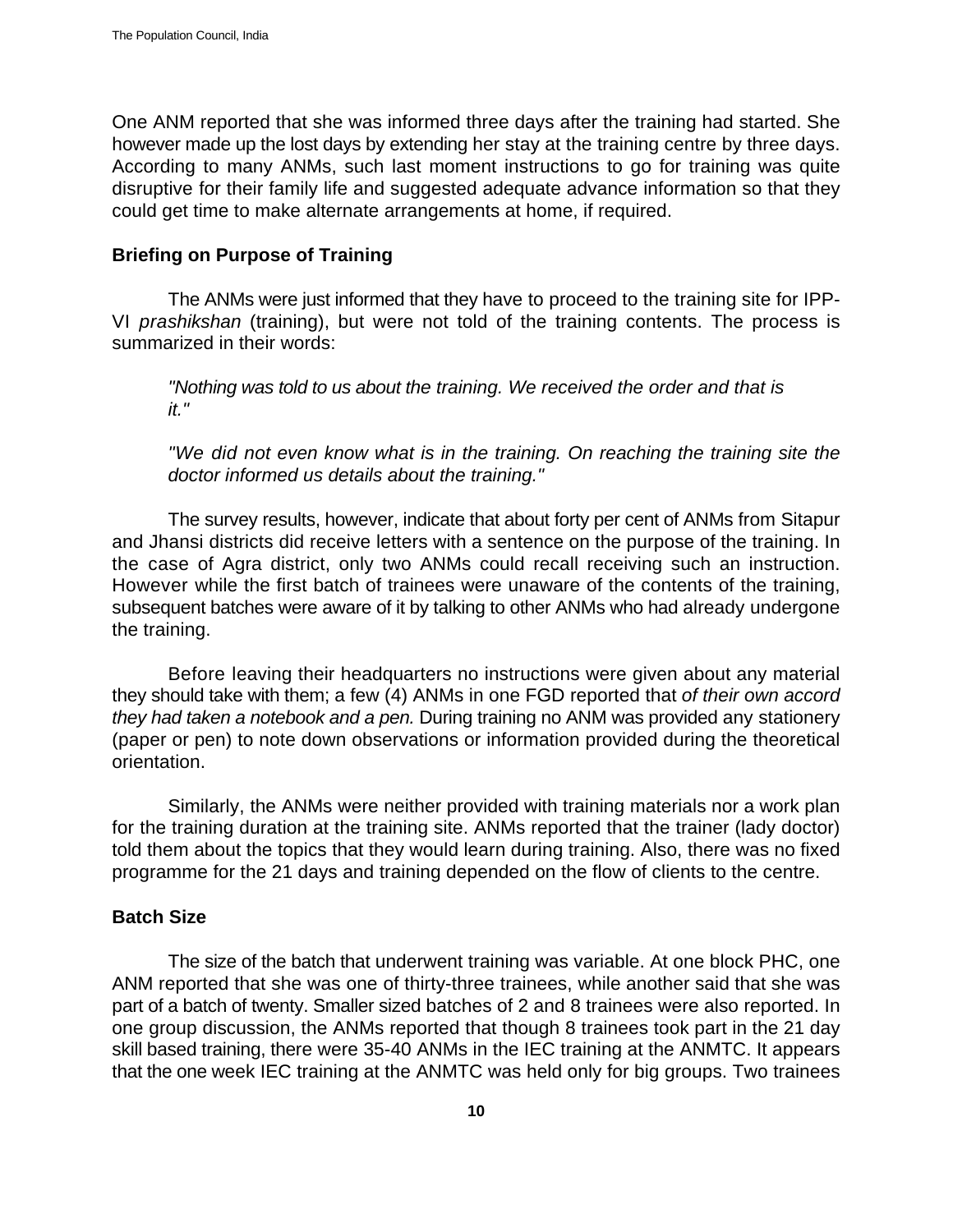One ANM reported that she was informed three days after the training had started. She however made up the lost days by extending her stay at the training centre by three days. According to many ANMs, such last moment instructions to go for training was quite disruptive for their family life and suggested adequate advance information so that they could get time to make alternate arrangements at home, if required.

#### **Briefing on Purpose of Training**

The ANMs were just informed that they have to proceed to the training site for IPP-VI *prashikshan* (training), but were not told of the training contents. The process is summarized in their words:

*"Nothing was told to us about the training. We received the order and that is it."* 

*"We did not even know what is in the training. On reaching the training site the doctor informed us details about the training."*

The survey results, however, indicate that about forty per cent of ANMs from Sitapur and Jhansi districts did receive letters with a sentence on the purpose of the training. In the case of Agra district, only two ANMs could recall receiving such an instruction. However while the first batch of trainees were unaware of the contents of the training, subsequent batches were aware of it by talking to other ANMs who had already undergone the training.

Before leaving their headquarters no instructions were given about any material they should take with them; a few (4) ANMs in one FGD reported that *of their own accord they had taken a notebook and a pen.* During training no ANM was provided any stationery (paper or pen) to note down observations or information provided during the theoretical orientation.

Similarly, the ANMs were neither provided with training materials nor a work plan for the training duration at the training site. ANMs reported that the trainer (lady doctor) told them about the topics that they would learn during training. Also, there was no fixed programme for the 21 days and training depended on the flow of clients to the centre.

# **Batch Size**

The size of the batch that underwent training was variable. At one block PHC, one ANM reported that she was one of thirty-three trainees, while another said that she was part of a batch of twenty. Smaller sized batches of 2 and 8 trainees were also reported. In one group discussion, the ANMs reported that though 8 trainees took part in the 21 day skill based training, there were 35-40 ANMs in the IEC training at the ANMTC. It appears that the one week IEC training at the ANMTC was held only for big groups. Two trainees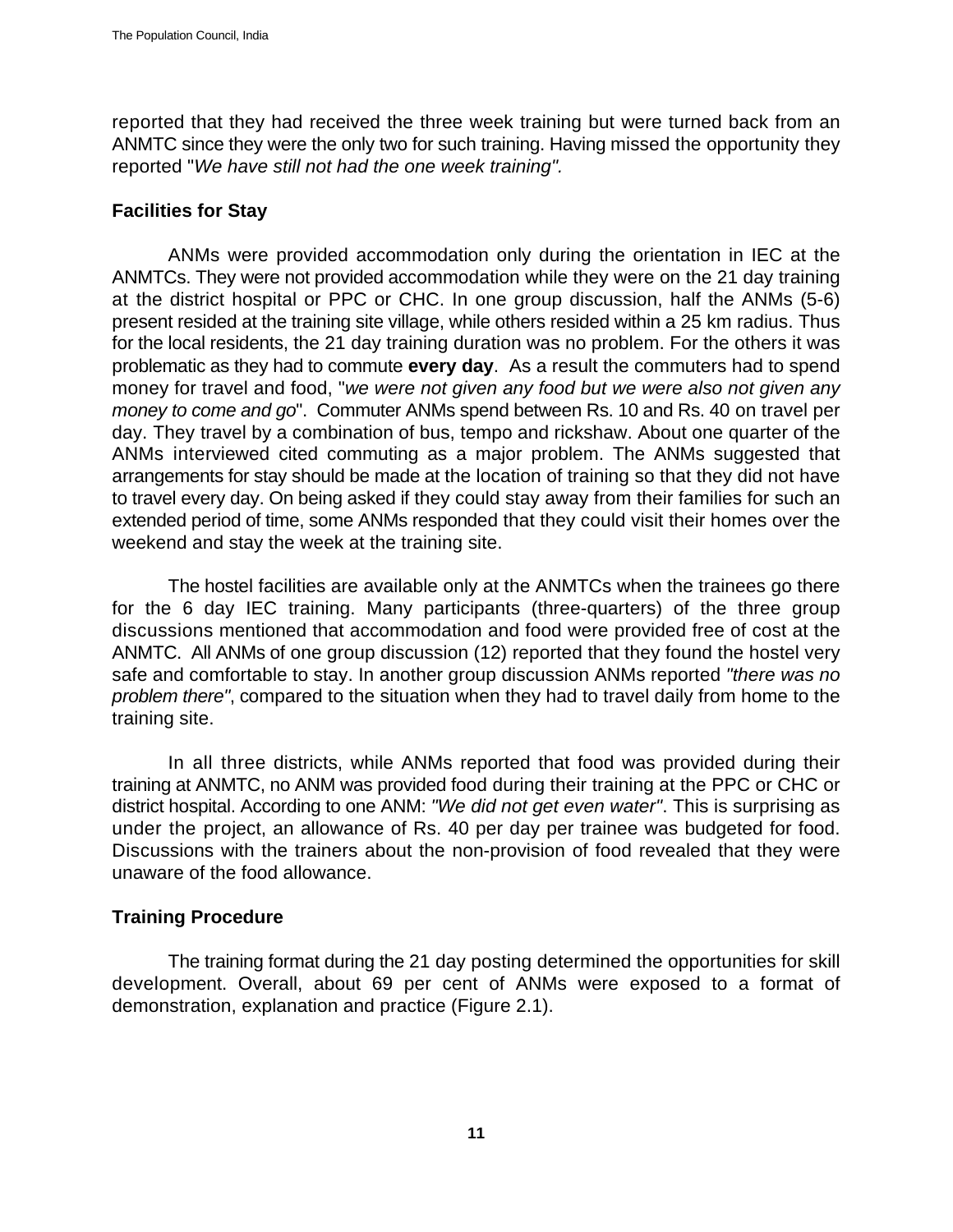reported that they had received the three week training but were turned back from an ANMTC since they were the only two for such training. Having missed the opportunity they reported "*We have still not had the one week training".* 

### **Facilities for Stay**

ANMs were provided accommodation only during the orientation in IEC at the ANMTCs. They were not provided accommodation while they were on the 21 day training at the district hospital or PPC or CHC. In one group discussion, half the ANMs (5-6) present resided at the training site village, while others resided within a 25 km radius. Thus for the local residents, the 21 day training duration was no problem. For the others it was problematic as they had to commute **every day**. As a result the commuters had to spend money for travel and food, "*we were not given any food but we were also not given any money to come and go*". Commuter ANMs spend between Rs. 10 and Rs. 40 on travel per day. They travel by a combination of bus, tempo and rickshaw. About one quarter of the ANMs interviewed cited commuting as a major problem. The ANMs suggested that arrangements for stay should be made at the location of training so that they did not have to travel every day. On being asked if they could stay away from their families for such an extended period of time, some ANMs responded that they could visit their homes over the weekend and stay the week at the training site.

The hostel facilities are available only at the ANMTCs when the trainees go there for the 6 day IEC training. Many participants (three-quarters) of the three group discussions mentioned that accommodation and food were provided free of cost at the ANMTC. All ANMs of one group discussion (12) reported that they found the hostel very safe and comfortable to stay. In another group discussion ANMs reported *"there was no problem there"*, compared to the situation when they had to travel daily from home to the training site.

In all three districts, while ANMs reported that food was provided during their training at ANMTC, no ANM was provided food during their training at the PPC or CHC or district hospital. According to one ANM: *"We did not get even water"*. This is surprising as under the project, an allowance of Rs. 40 per day per trainee was budgeted for food. Discussions with the trainers about the non-provision of food revealed that they were unaware of the food allowance.

# **Training Procedure**

The training format during the 21 day posting determined the opportunities for skill development. Overall, about 69 per cent of ANMs were exposed to a format of demonstration, explanation and practice (Figure 2.1).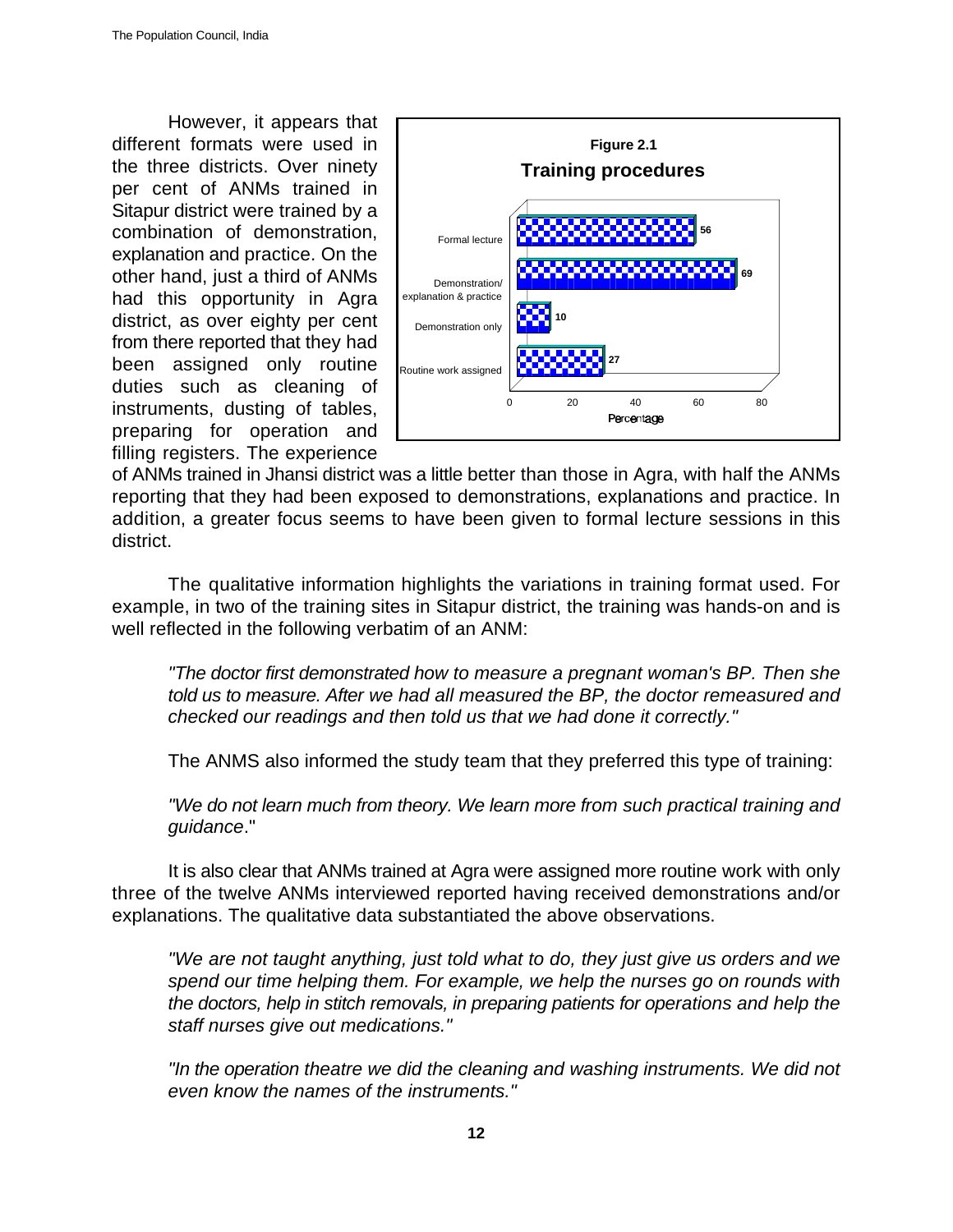However, it appears that different formats were used in the three districts. Over ninety per cent of ANMs trained in Sitapur district were trained by a combination of demonstration, explanation and practice. On the other hand, just a third of ANMs had this opportunity in Agra district, as over eighty per cent from there reported that they had been assigned only routine duties such as cleaning of instruments, dusting of tables, preparing for operation and filling registers. The experience



of ANMs trained in Jhansi district was a little better than those in Agra, with half the ANMs reporting that they had been exposed to demonstrations, explanations and practice. In addition, a greater focus seems to have been given to formal lecture sessions in this district.

The qualitative information highlights the variations in training format used. For example, in two of the training sites in Sitapur district, the training was hands-on and is well reflected in the following verbatim of an ANM:

*"The doctor first demonstrated how to measure a pregnant woman's BP. Then she told us to measure. After we had all measured the BP, the doctor remeasured and checked our readings and then told us that we had done it correctly."*

The ANMS also informed the study team that they preferred this type of training:

*"We do not learn much from theory. We learn more from such practical training and guidance*."

It is also clear that ANMs trained at Agra were assigned more routine work with only three of the twelve ANMs interviewed reported having received demonstrations and/or explanations. The qualitative data substantiated the above observations.

*"We are not taught anything, just told what to do, they just give us orders and we spend our time helping them. For example, we help the nurses go on rounds with the doctors, help in stitch removals, in preparing patients for operations and help the staff nurses give out medications."*

*"In the operation theatre we did the cleaning and washing instruments. We did not even know the names of the instruments."*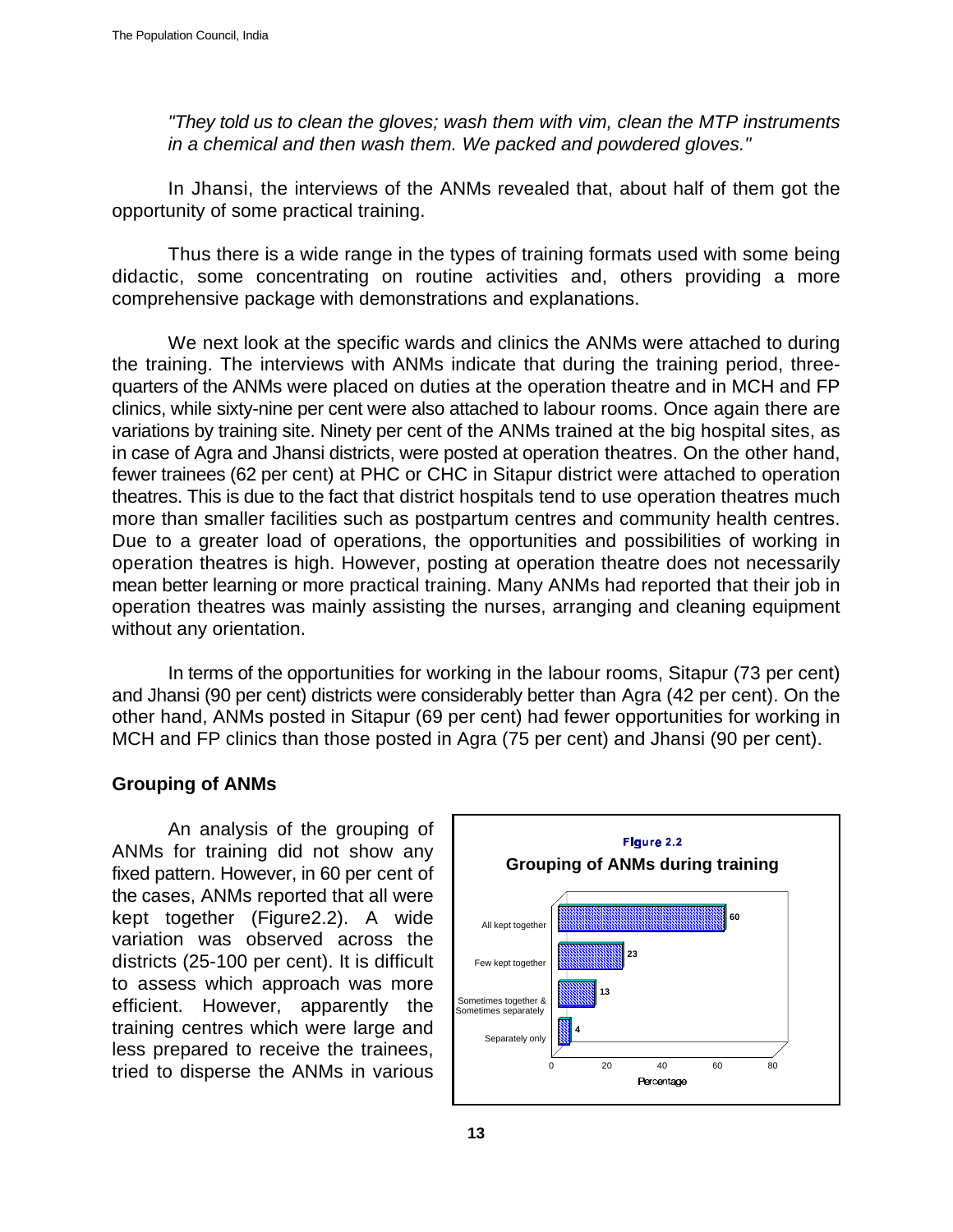*"They told us to clean the gloves; wash them with vim, clean the MTP instruments in a chemical and then wash them. We packed and powdered gloves."*

In Jhansi, the interviews of the ANMs revealed that, about half of them got the opportunity of some practical training.

Thus there is a wide range in the types of training formats used with some being didactic, some concentrating on routine activities and, others providing a more comprehensive package with demonstrations and explanations.

We next look at the specific wards and clinics the ANMs were attached to during the training. The interviews with ANMs indicate that during the training period, threequarters of the ANMs were placed on duties at the operation theatre and in MCH and FP clinics, while sixty-nine per cent were also attached to labour rooms. Once again there are variations by training site. Ninety per cent of the ANMs trained at the big hospital sites, as in case of Agra and Jhansi districts, were posted at operation theatres. On the other hand, fewer trainees (62 per cent) at PHC or CHC in Sitapur district were attached to operation theatres. This is due to the fact that district hospitals tend to use operation theatres much more than smaller facilities such as postpartum centres and community health centres. Due to a greater load of operations, the opportunities and possibilities of working in operation theatres is high. However, posting at operation theatre does not necessarily mean better learning or more practical training. Many ANMs had reported that their job in operation theatres was mainly assisting the nurses, arranging and cleaning equipment without any orientation.

In terms of the opportunities for working in the labour rooms, Sitapur (73 per cent) and Jhansi (90 per cent) districts were considerably better than Agra (42 per cent). On the other hand, ANMs posted in Sitapur (69 per cent) had fewer opportunities for working in MCH and FP clinics than those posted in Agra (75 per cent) and Jhansi (90 per cent).

#### **Grouping of ANMs**

An analysis of the grouping of ANMs for training did not show any fixed pattern. However, in 60 per cent of the cases, ANMs reported that all were kept together (Figure2.2). A wide variation was observed across the districts (25-100 per cent). It is difficult to assess which approach was more efficient. However, apparently the training centres which were large and less prepared to receive the trainees, tried to disperse the ANMs in various

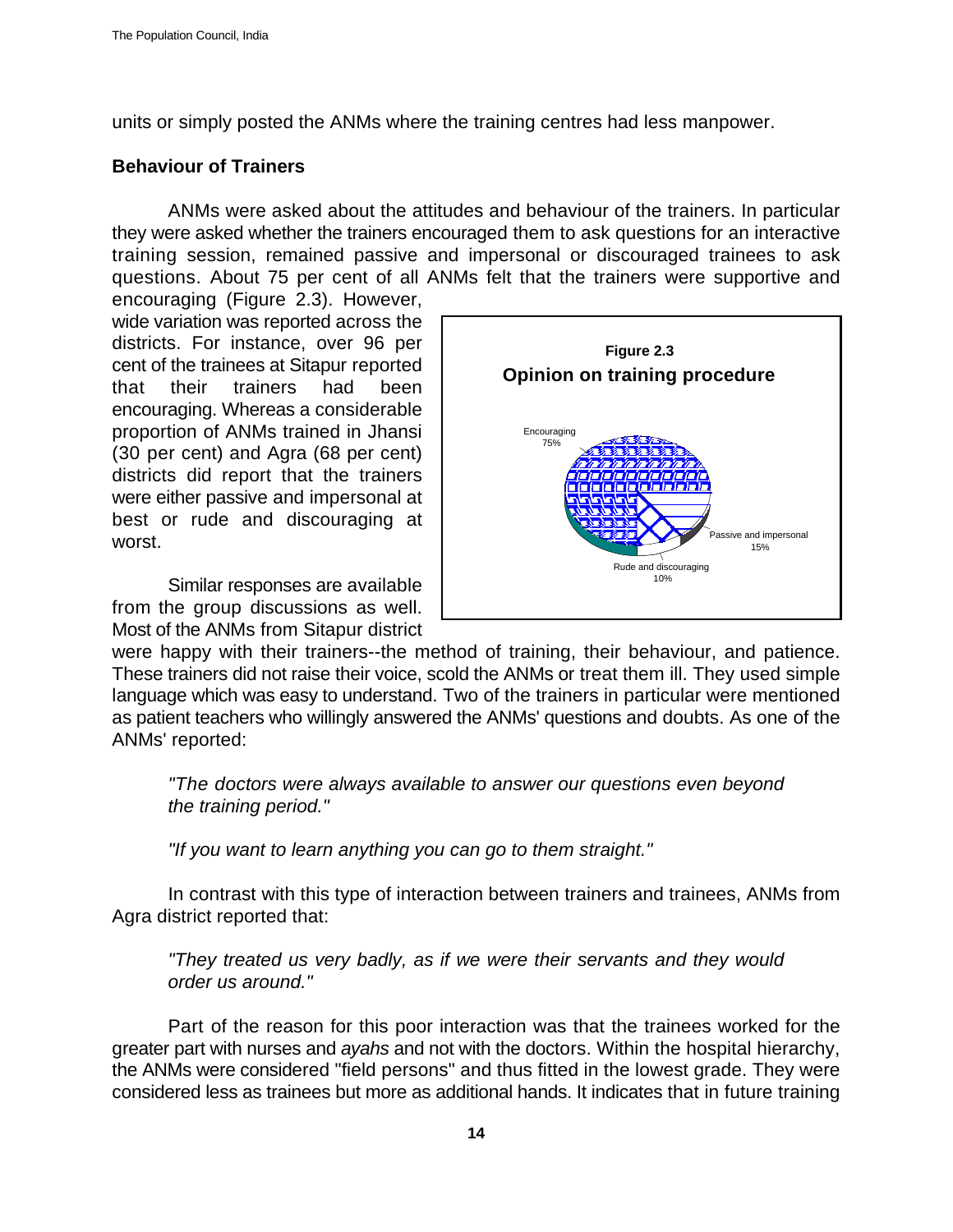units or simply posted the ANMs where the training centres had less manpower.

# **Behaviour of Trainers**

ANMs were asked about the attitudes and behaviour of the trainers. In particular they were asked whether the trainers encouraged them to ask questions for an interactive training session, remained passive and impersonal or discouraged trainees to ask questions. About 75 per cent of all ANMs felt that the trainers were supportive and encouraging (Figure 2.3). However,

wide variation was reported across the districts. For instance, over 96 per cent of the trainees at Sitapur reported that their trainers had been encouraging. Whereas a considerable proportion of ANMs trained in Jhansi (30 per cent) and Agra (68 per cent) districts did report that the trainers were either passive and impersonal at best or rude and discouraging at worst.

Similar responses are available from the group discussions as well. Most of the ANMs from Sitapur district



were happy with their trainers--the method of training, their behaviour, and patience. These trainers did not raise their voice, scold the ANMs or treat them ill. They used simple language which was easy to understand. Two of the trainers in particular were mentioned as patient teachers who willingly answered the ANMs' questions and doubts. As one of the ANMs' reported:

*"The doctors were always available to answer our questions even beyond the training period."*

*"If you want to learn anything you can go to them straight."*

In contrast with this type of interaction between trainers and trainees, ANMs from Agra district reported that:

*"They treated us very badly, as if we were their servants and they would order us around."*

Part of the reason for this poor interaction was that the trainees worked for the greater part with nurses and *ayahs* and not with the doctors. Within the hospital hierarchy, the ANMs were considered "field persons" and thus fitted in the lowest grade. They were considered less as trainees but more as additional hands. It indicates that in future training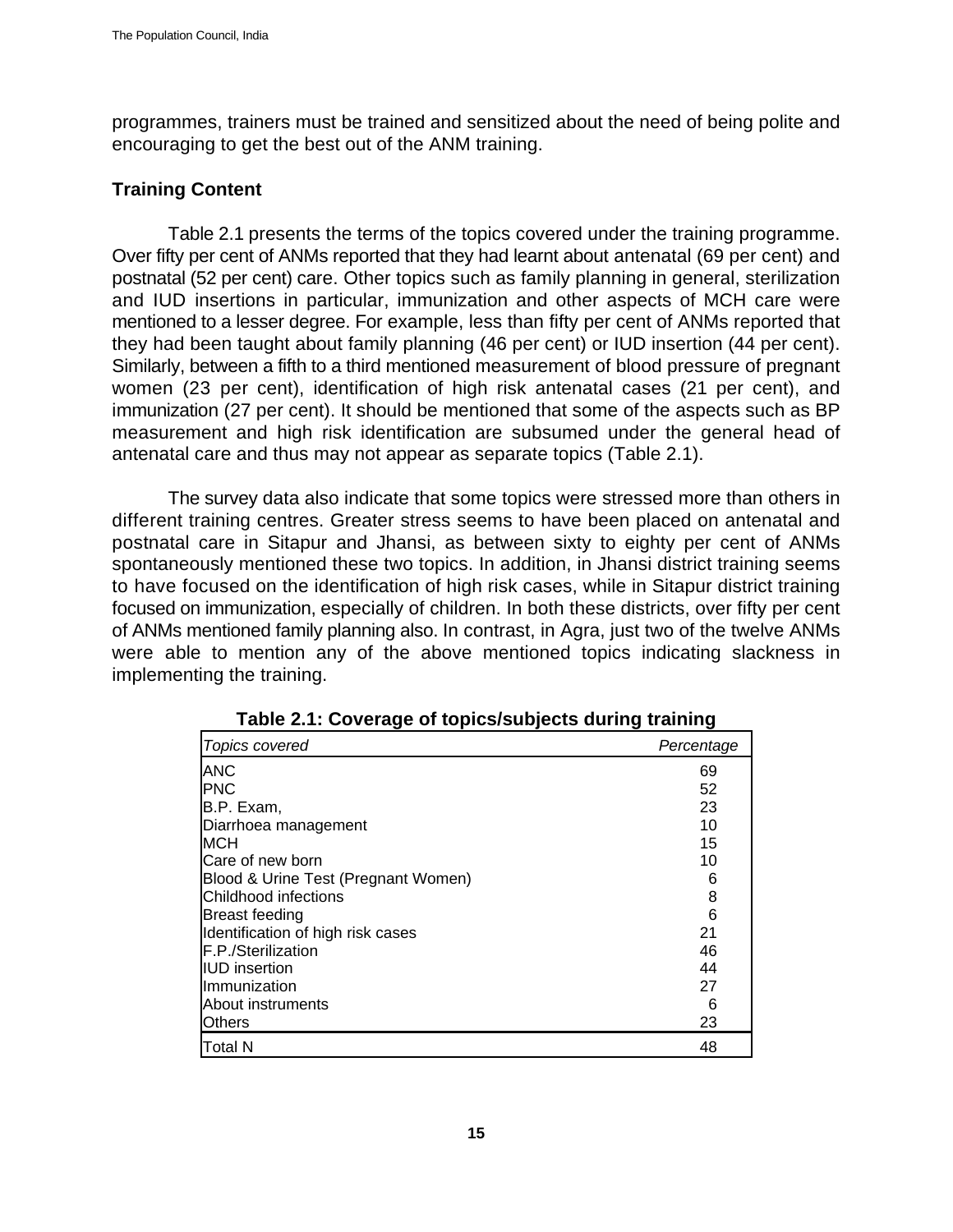programmes, trainers must be trained and sensitized about the need of being polite and encouraging to get the best out of the ANM training.

### **Training Content**

Table 2.1 presents the terms of the topics covered under the training programme. Over fifty per cent of ANMs reported that they had learnt about antenatal (69 per cent) and postnatal (52 per cent) care. Other topics such as family planning in general, sterilization and IUD insertions in particular, immunization and other aspects of MCH care were mentioned to a lesser degree. For example, less than fifty per cent of ANMs reported that they had been taught about family planning (46 per cent) or IUD insertion (44 per cent). Similarly, between a fifth to a third mentioned measurement of blood pressure of pregnant women (23 per cent), identification of high risk antenatal cases (21 per cent), and immunization (27 per cent). It should be mentioned that some of the aspects such as BP measurement and high risk identification are subsumed under the general head of antenatal care and thus may not appear as separate topics (Table 2.1).

The survey data also indicate that some topics were stressed more than others in different training centres. Greater stress seems to have been placed on antenatal and postnatal care in Sitapur and Jhansi, as between sixty to eighty per cent of ANMs spontaneously mentioned these two topics. In addition, in Jhansi district training seems to have focused on the identification of high risk cases, while in Sitapur district training focused on immunization, especially of children. In both these districts, over fifty per cent of ANMs mentioned family planning also. In contrast, in Agra, just two of the twelve ANMs were able to mention any of the above mentioned topics indicating slackness in implementing the training.

| Topics covered                      | Percentage |
|-------------------------------------|------------|
| <b>ANC</b>                          | 69         |
| <b>IPNC</b>                         | 52         |
| B.P. Exam,                          | 23         |
| Diarrhoea management                | 10         |
| MCH                                 | 15         |
| Care of new born                    | 10         |
| Blood & Urine Test (Pregnant Women) | 6          |
| Childhood infections                | 8          |
| <b>Breast feeding</b>               | 6          |
| Identification of high risk cases   | 21         |
| F.P./Sterilization                  | 46         |
| <b>IUD</b> insertion                | 44         |
| Ilmmunization                       | 27         |
| About instruments                   | 6          |
| Others                              | 23         |
| Total N                             | 48         |

**Table 2.1: Coverage of topics/subjects during training**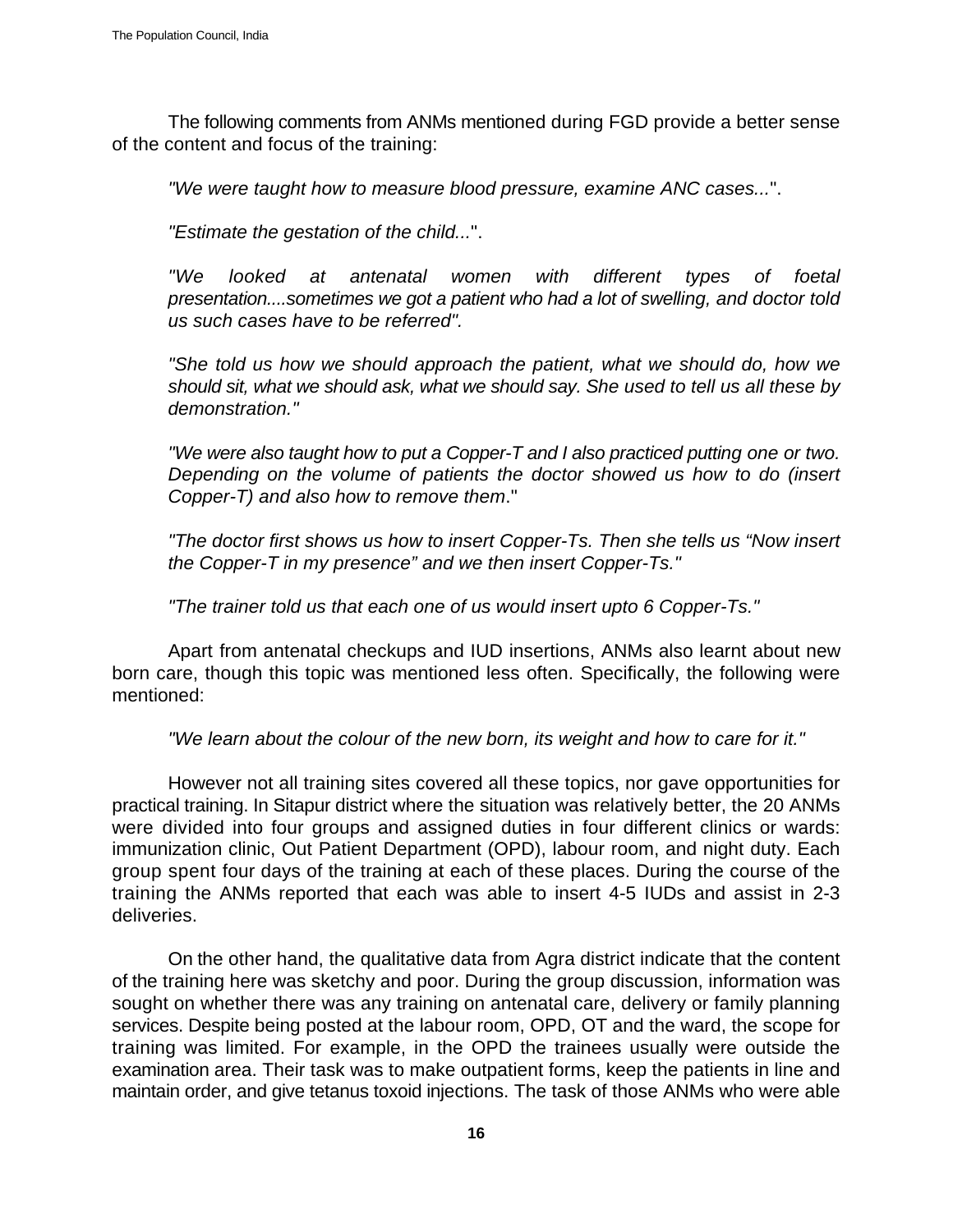The following comments from ANMs mentioned during FGD provide a better sense of the content and focus of the training:

*"We were taught how to measure blood pressure, examine ANC cases...*".

*"Estimate the gestation of the child...*".

*"We looked at antenatal women with different types of foetal presentation....sometimes we got a patient who had a lot of swelling, and doctor told us such cases have to be referred".*

*"She told us how we should approach the patient, what we should do, how we should sit, what we should ask, what we should say. She used to tell us all these by demonstration."*

*"We were also taught how to put a Copper-T and I also practiced putting one or two. Depending on the volume of patients the doctor showed us how to do (insert Copper-T) and also how to remove them*."

*"The doctor first shows us how to insert Copper-Ts. Then she tells us "Now insert the Copper-T in my presence" and we then insert Copper-Ts."*

*"The trainer told us that each one of us would insert upto 6 Copper-Ts."*

Apart from antenatal checkups and IUD insertions, ANMs also learnt about new born care, though this topic was mentioned less often. Specifically, the following were mentioned:

*"We learn about the colour of the new born, its weight and how to care for it."* 

However not all training sites covered all these topics, nor gave opportunities for practical training. In Sitapur district where the situation was relatively better, the 20 ANMs were divided into four groups and assigned duties in four different clinics or wards: immunization clinic, Out Patient Department (OPD), labour room, and night duty. Each group spent four days of the training at each of these places. During the course of the training the ANMs reported that each was able to insert 4-5 IUDs and assist in 2-3 deliveries.

On the other hand, the qualitative data from Agra district indicate that the content of the training here was sketchy and poor. During the group discussion, information was sought on whether there was any training on antenatal care, delivery or family planning services. Despite being posted at the labour room, OPD, OT and the ward, the scope for training was limited. For example, in the OPD the trainees usually were outside the examination area. Their task was to make outpatient forms, keep the patients in line and maintain order, and give tetanus toxoid injections. The task of those ANMs who were able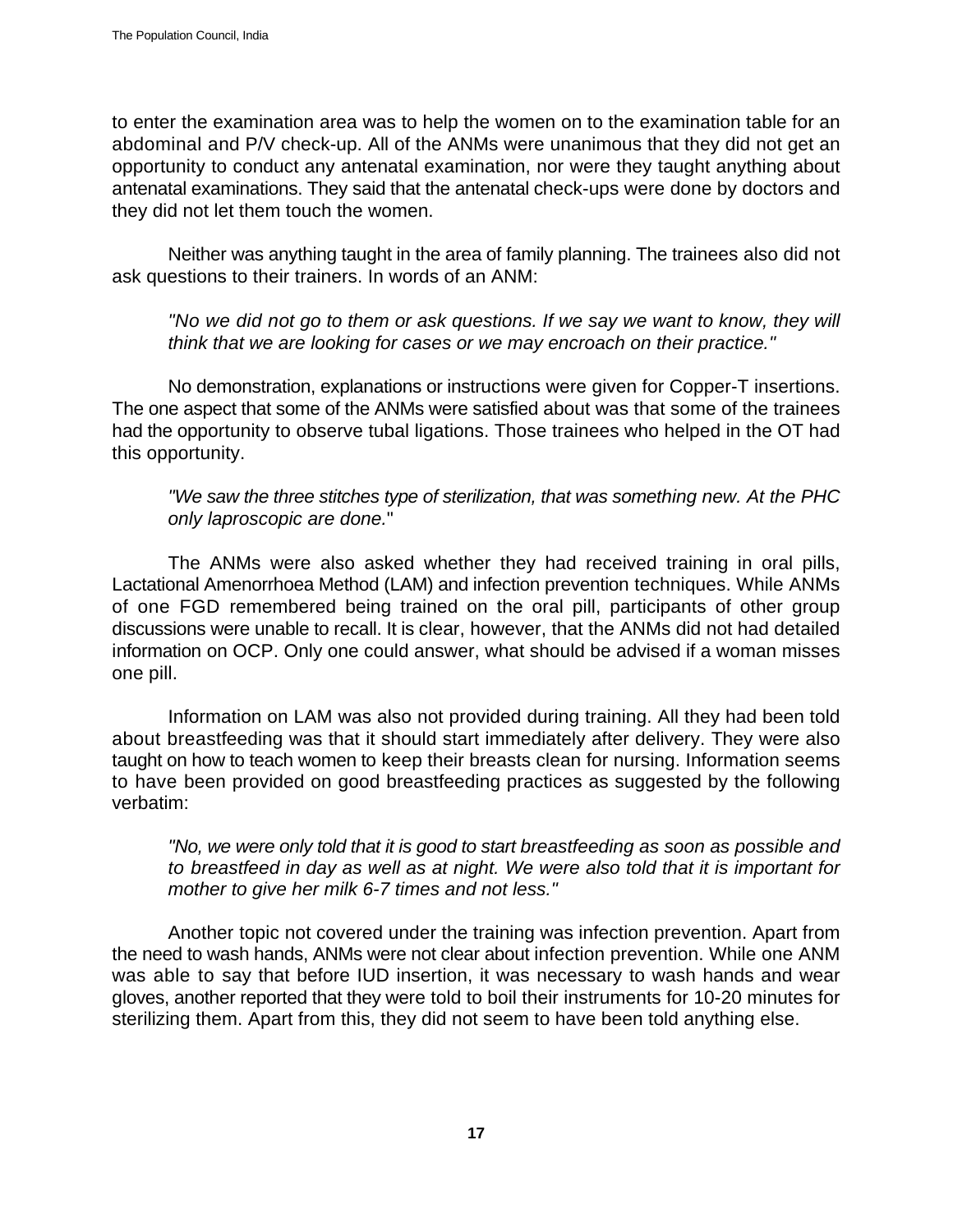to enter the examination area was to help the women on to the examination table for an abdominal and P/V check-up. All of the ANMs were unanimous that they did not get an opportunity to conduct any antenatal examination, nor were they taught anything about antenatal examinations. They said that the antenatal check-ups were done by doctors and they did not let them touch the women.

Neither was anything taught in the area of family planning. The trainees also did not ask questions to their trainers. In words of an ANM:

*"No we did not go to them or ask questions. If we say we want to know, they will think that we are looking for cases or we may encroach on their practice."*

No demonstration, explanations or instructions were given for Copper-T insertions. The one aspect that some of the ANMs were satisfied about was that some of the trainees had the opportunity to observe tubal ligations. Those trainees who helped in the OT had this opportunity.

*"We saw the three stitches type of sterilization, that was something new. At the PHC only laproscopic are done.*"

The ANMs were also asked whether they had received training in oral pills, Lactational Amenorrhoea Method (LAM) and infection prevention techniques. While ANMs of one FGD remembered being trained on the oral pill, participants of other group discussions were unable to recall. It is clear, however, that the ANMs did not had detailed information on OCP. Only one could answer, what should be advised if a woman misses one pill.

Information on LAM was also not provided during training. All they had been told about breastfeeding was that it should start immediately after delivery. They were also taught on how to teach women to keep their breasts clean for nursing. Information seems to have been provided on good breastfeeding practices as suggested by the following verbatim:

*"No, we were only told that it is good to start breastfeeding as soon as possible and to breastfeed in day as well as at night. We were also told that it is important for mother to give her milk 6-7 times and not less."*

Another topic not covered under the training was infection prevention. Apart from the need to wash hands, ANMs were not clear about infection prevention. While one ANM was able to say that before IUD insertion, it was necessary to wash hands and wear gloves, another reported that they were told to boil their instruments for 10-20 minutes for sterilizing them. Apart from this, they did not seem to have been told anything else.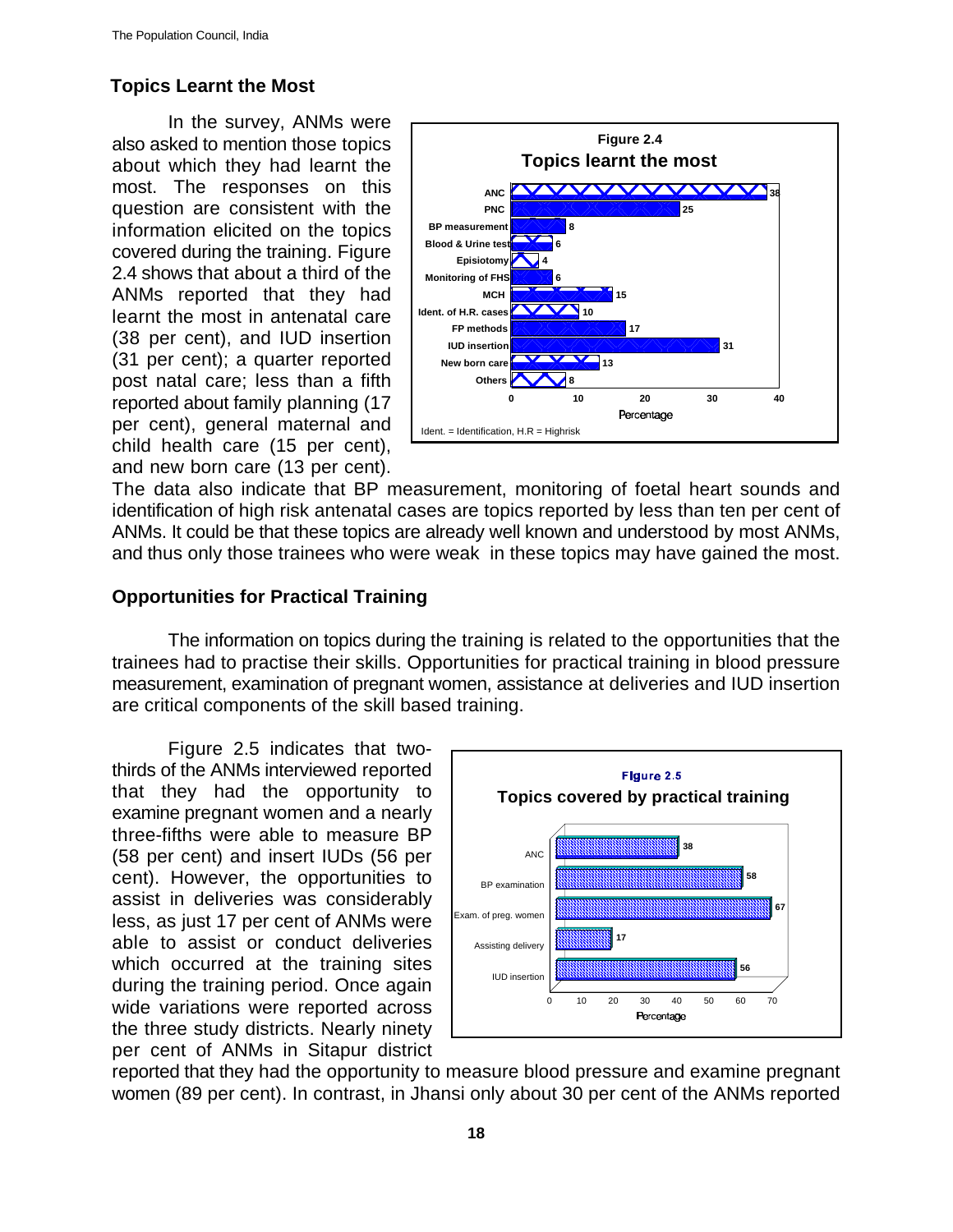# **Topics Learnt the Most**

In the survey, ANMs were also asked to mention those topics about which they had learnt the most. The responses on this question are consistent with the information elicited on the topics covered during the training. Figure 2.4 shows that about a third of the ANMs reported that they had learnt the most in antenatal care (38 per cent), and IUD insertion (31 per cent); a quarter reported post natal care; less than a fifth reported about family planning (17 per cent), general maternal and child health care (15 per cent), and new born care (13 per cent).



The data also indicate that BP measurement, monitoring of foetal heart sounds and identification of high risk antenatal cases are topics reported by less than ten per cent of ANMs. It could be that these topics are already well known and understood by most ANMs, and thus only those trainees who were weak in these topics may have gained the most.

# **Opportunities for Practical Training**

The information on topics during the training is related to the opportunities that the trainees had to practise their skills. Opportunities for practical training in blood pressure measurement, examination of pregnant women, assistance at deliveries and IUD insertion are critical components of the skill based training.

Figure 2.5 indicates that twothirds of the ANMs interviewed reported that they had the opportunity to examine pregnant women and a nearly three-fifths were able to measure BP (58 per cent) and insert IUDs (56 per cent). However, the opportunities to assist in deliveries was considerably less, as just 17 per cent of ANMs were able to assist or conduct deliveries which occurred at the training sites during the training period. Once again wide variations were reported across the three study districts. Nearly ninety per cent of ANMs in Sitapur district



reported that they had the opportunity to measure blood pressure and examine pregnant women (89 per cent). In contrast, in Jhansi only about 30 per cent of the ANMs reported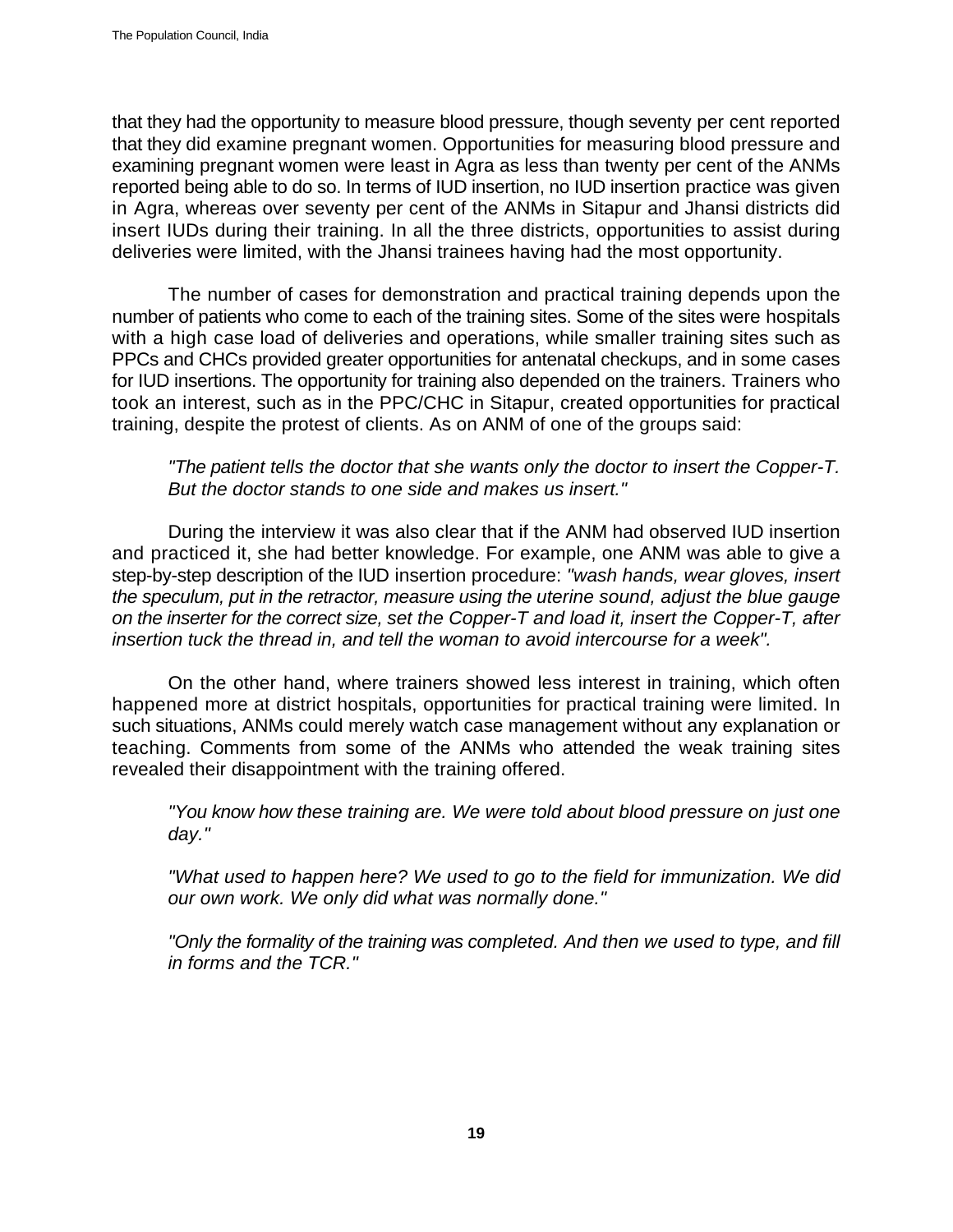that they had the opportunity to measure blood pressure, though seventy per cent reported that they did examine pregnant women. Opportunities for measuring blood pressure and examining pregnant women were least in Agra as less than twenty per cent of the ANMs reported being able to do so. In terms of IUD insertion, no IUD insertion practice was given in Agra, whereas over seventy per cent of the ANMs in Sitapur and Jhansi districts did insert IUDs during their training. In all the three districts, opportunities to assist during deliveries were limited, with the Jhansi trainees having had the most opportunity.

The number of cases for demonstration and practical training depends upon the number of patients who come to each of the training sites. Some of the sites were hospitals with a high case load of deliveries and operations, while smaller training sites such as PPCs and CHCs provided greater opportunities for antenatal checkups, and in some cases for IUD insertions. The opportunity for training also depended on the trainers. Trainers who took an interest, such as in the PPC/CHC in Sitapur, created opportunities for practical training, despite the protest of clients. As on ANM of one of the groups said:

*"The patient tells the doctor that she wants only the doctor to insert the Copper-T. But the doctor stands to one side and makes us insert."*

During the interview it was also clear that if the ANM had observed IUD insertion and practiced it, she had better knowledge. For example, one ANM was able to give a step-by-step description of the IUD insertion procedure: *"wash hands, wear gloves, insert the speculum, put in the retractor, measure using the uterine sound, adjust the blue gauge on the inserter for the correct size, set the Copper-T and load it, insert the Copper-T, after insertion tuck the thread in, and tell the woman to avoid intercourse for a week".*

On the other hand, where trainers showed less interest in training, which often happened more at district hospitals, opportunities for practical training were limited. In such situations, ANMs could merely watch case management without any explanation or teaching. Comments from some of the ANMs who attended the weak training sites revealed their disappointment with the training offered.

*"You know how these training are. We were told about blood pressure on just one day."*

*"What used to happen here? We used to go to the field for immunization. We did our own work. We only did what was normally done."*

*"Only the formality of the training was completed. And then we used to type, and fill in forms and the TCR."*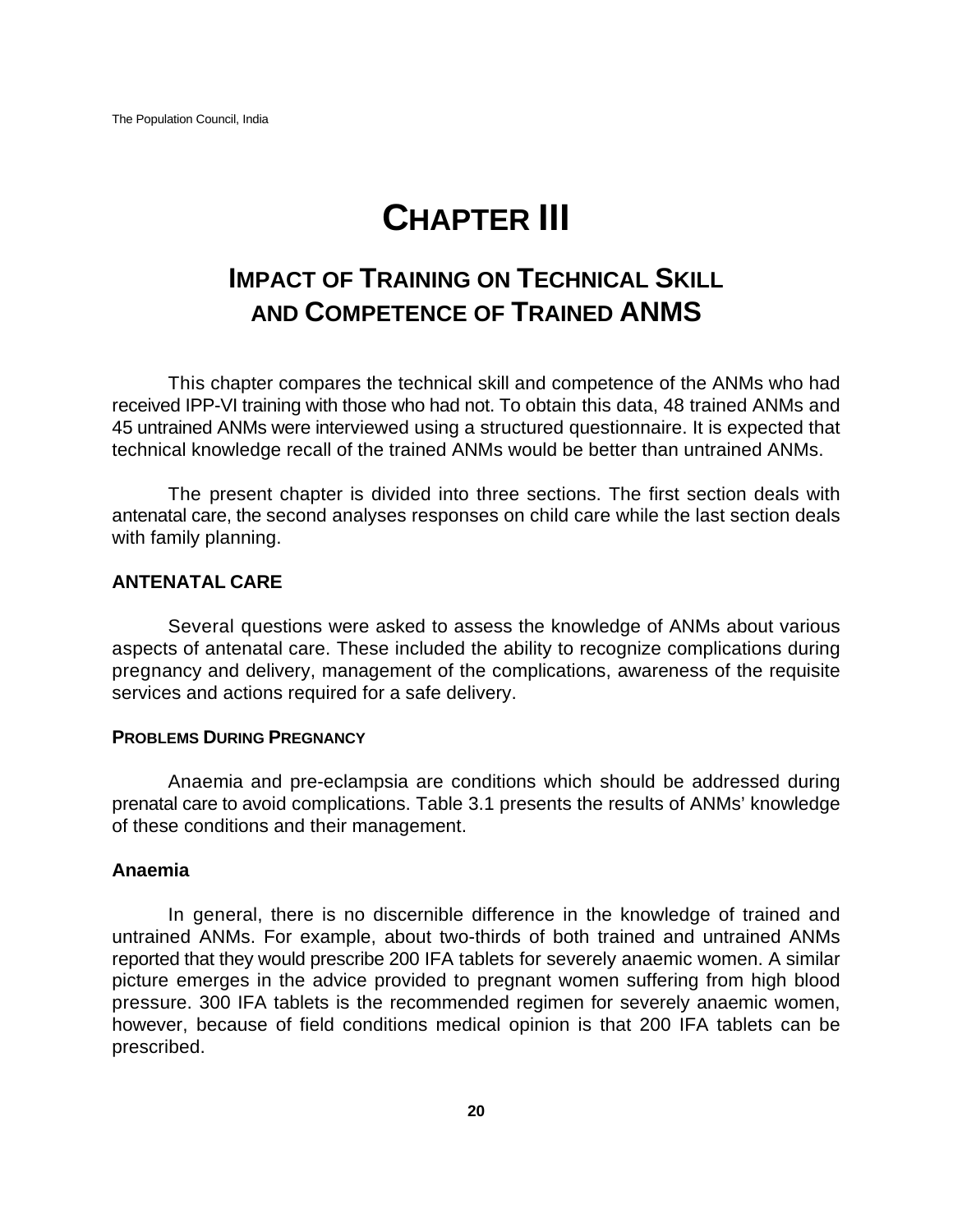# **CHAPTER III**

# **IMPACT OF TRAINING ON TECHNICAL SKILL AND COMPETENCE OF TRAINED ANMS**

This chapter compares the technical skill and competence of the ANMs who had received IPP-VI training with those who had not. To obtain this data, 48 trained ANMs and 45 untrained ANMs were interviewed using a structured questionnaire. It is expected that technical knowledge recall of the trained ANMs would be better than untrained ANMs.

The present chapter is divided into three sections. The first section deals with antenatal care, the second analyses responses on child care while the last section deals with family planning.

#### **ANTENATAL CARE**

Several questions were asked to assess the knowledge of ANMs about various aspects of antenatal care. These included the ability to recognize complications during pregnancy and delivery, management of the complications, awareness of the requisite services and actions required for a safe delivery.

#### **PROBLEMS DURING PREGNANCY**

Anaemia and pre-eclampsia are conditions which should be addressed during prenatal care to avoid complications. Table 3.1 presents the results of ANMs' knowledge of these conditions and their management.

#### **Anaemia**

In general, there is no discernible difference in the knowledge of trained and untrained ANMs. For example, about two-thirds of both trained and untrained ANMs reported that they would prescribe 200 IFA tablets for severely anaemic women. A similar picture emerges in the advice provided to pregnant women suffering from high blood pressure. 300 IFA tablets is the recommended regimen for severely anaemic women, however, because of field conditions medical opinion is that 200 IFA tablets can be prescribed.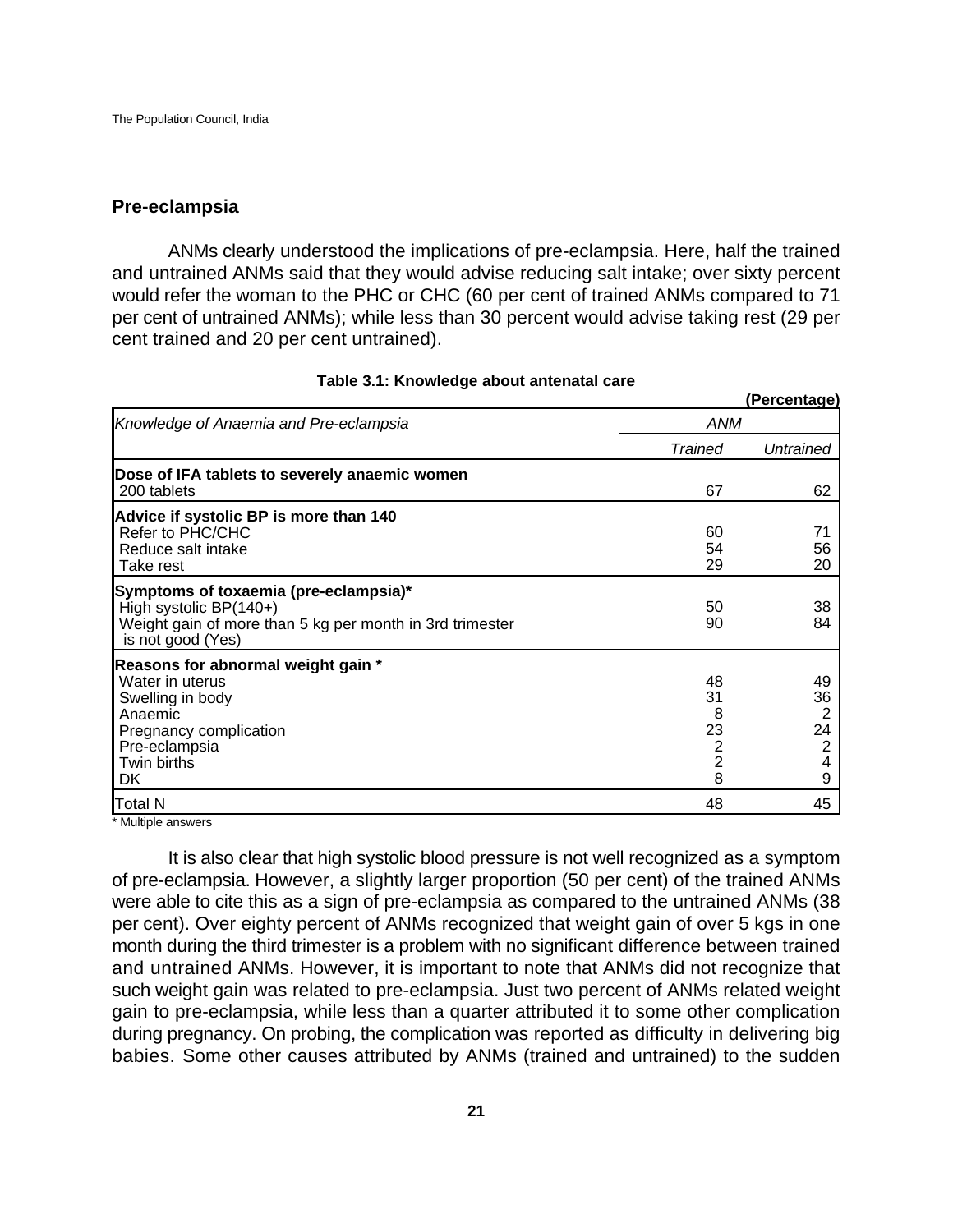#### **Pre-eclampsia**

ANMs clearly understood the implications of pre-eclampsia. Here, half the trained and untrained ANMs said that they would advise reducing salt intake; over sixty percent would refer the woman to the PHC or CHC (60 per cent of trained ANMs compared to 71 per cent of untrained ANMs); while less than 30 percent would advise taking rest (29 per cent trained and 20 per cent untrained).

|                                                                                                                                                       |                                           | u vrvomago                         |  |
|-------------------------------------------------------------------------------------------------------------------------------------------------------|-------------------------------------------|------------------------------------|--|
| Knowledge of Anaemia and Pre-eclampsia                                                                                                                |                                           | ANM                                |  |
|                                                                                                                                                       | <b>Trained</b>                            | Untrained                          |  |
| Dose of IFA tablets to severely anaemic women<br>200 tablets                                                                                          | 67                                        | 62                                 |  |
| Advice if systolic BP is more than 140<br>Refer to PHC/CHC<br>Reduce salt intake<br>Take rest                                                         | 60<br>54<br>29                            | 71<br>56<br>20                     |  |
| Symptoms of toxaemia (pre-eclampsia)*<br>High systolic BP(140+)<br>Weight gain of more than 5 kg per month in 3rd trimester<br>is not good (Yes)      | 50<br>90                                  | 38<br>84                           |  |
| Reasons for abnormal weight gain *<br>Water in uterus<br>Swelling in body<br>Anaemic<br>Pregnancy complication<br>Pre-eclampsia<br>Twin births<br>DK. | 48<br>31<br>8<br>23<br>$\frac{2}{2}$<br>8 | 49<br>36<br>2<br>24<br>2<br>4<br>9 |  |
| Total N<br>.                                                                                                                                          | 48                                        | 45                                 |  |

#### **Table 3.1: Knowledge about antenatal care**

**(Percentage)**

Multiple answers

It is also clear that high systolic blood pressure is not well recognized as a symptom of pre-eclampsia. However, a slightly larger proportion (50 per cent) of the trained ANMs were able to cite this as a sign of pre-eclampsia as compared to the untrained ANMs (38 per cent). Over eighty percent of ANMs recognized that weight gain of over 5 kgs in one month during the third trimester is a problem with no significant difference between trained and untrained ANMs. However, it is important to note that ANMs did not recognize that such weight gain was related to pre-eclampsia. Just two percent of ANMs related weight gain to pre-eclampsia, while less than a quarter attributed it to some other complication during pregnancy. On probing, the complication was reported as difficulty in delivering big babies. Some other causes attributed by ANMs (trained and untrained) to the sudden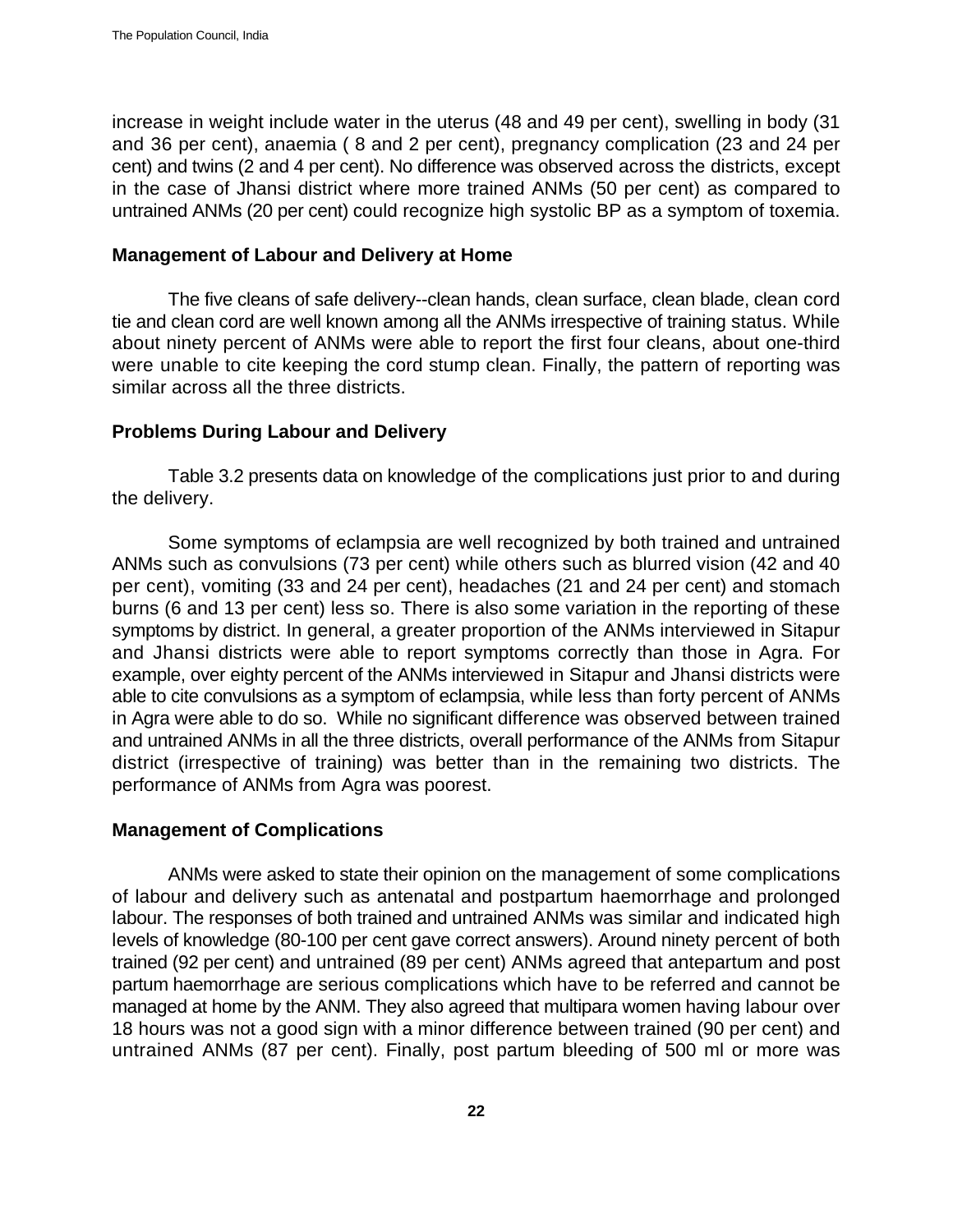increase in weight include water in the uterus (48 and 49 per cent), swelling in body (31 and 36 per cent), anaemia ( 8 and 2 per cent), pregnancy complication (23 and 24 per cent) and twins (2 and 4 per cent). No difference was observed across the districts, except in the case of Jhansi district where more trained ANMs (50 per cent) as compared to untrained ANMs (20 per cent) could recognize high systolic BP as a symptom of toxemia.

#### **Management of Labour and Delivery at Home**

The five cleans of safe delivery--clean hands, clean surface, clean blade, clean cord tie and clean cord are well known among all the ANMs irrespective of training status. While about ninety percent of ANMs were able to report the first four cleans, about one-third were unable to cite keeping the cord stump clean. Finally, the pattern of reporting was similar across all the three districts.

### **Problems During Labour and Delivery**

Table 3.2 presents data on knowledge of the complications just prior to and during the delivery.

Some symptoms of eclampsia are well recognized by both trained and untrained ANMs such as convulsions (73 per cent) while others such as blurred vision (42 and 40 per cent), vomiting (33 and 24 per cent), headaches (21 and 24 per cent) and stomach burns (6 and 13 per cent) less so. There is also some variation in the reporting of these symptoms by district. In general, a greater proportion of the ANMs interviewed in Sitapur and Jhansi districts were able to report symptoms correctly than those in Agra. For example, over eighty percent of the ANMs interviewed in Sitapur and Jhansi districts were able to cite convulsions as a symptom of eclampsia, while less than forty percent of ANMs in Agra were able to do so. While no significant difference was observed between trained and untrained ANMs in all the three districts, overall performance of the ANMs from Sitapur district (irrespective of training) was better than in the remaining two districts. The performance of ANMs from Agra was poorest.

# **Management of Complications**

ANMs were asked to state their opinion on the management of some complications of labour and delivery such as antenatal and postpartum haemorrhage and prolonged labour. The responses of both trained and untrained ANMs was similar and indicated high levels of knowledge (80-100 per cent gave correct answers). Around ninety percent of both trained (92 per cent) and untrained (89 per cent) ANMs agreed that antepartum and post partum haemorrhage are serious complications which have to be referred and cannot be managed at home by the ANM. They also agreed that multipara women having labour over 18 hours was not a good sign with a minor difference between trained (90 per cent) and untrained ANMs (87 per cent). Finally, post partum bleeding of 500 ml or more was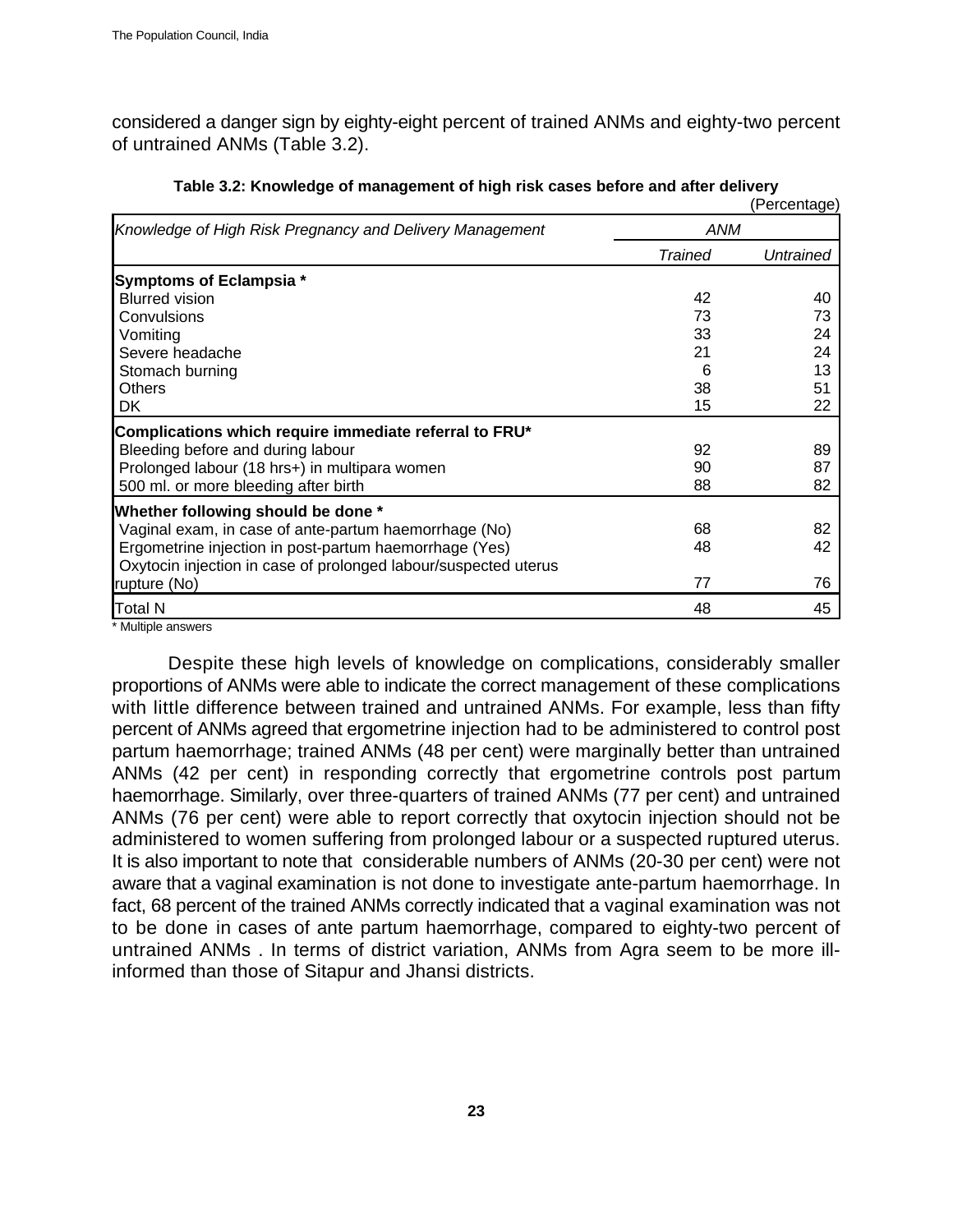considered a danger sign by eighty-eight percent of trained ANMs and eighty-two percent of untrained ANMs (Table 3.2).

|                                                                 |                | (Percentage) |
|-----------------------------------------------------------------|----------------|--------------|
| Knowledge of High Risk Pregnancy and Delivery Management        | ANM            |              |
|                                                                 | <b>Trained</b> | Untrained    |
| Symptoms of Eclampsia *                                         |                |              |
| <b>Blurred vision</b>                                           | 42             | 40           |
| Convulsions                                                     | 73             | 73           |
| Vomiting                                                        | 33             | 24           |
| Severe headache                                                 | 21             | 24           |
| Stomach burning                                                 | 6              | 13           |
| <b>Others</b>                                                   | 38             | 51           |
| DK                                                              | 15             | 22           |
| Complications which require immediate referral to FRU*          |                |              |
| Bleeding before and during labour                               | 92             | 89           |
| Prolonged labour (18 hrs+) in multipara women                   | 90             | 87           |
| 500 ml. or more bleeding after birth                            | 88             | 82           |
| Whether following should be done *                              |                |              |
| Vaginal exam, in case of ante-partum haemorrhage (No)           | 68             | 82           |
| Ergometrine injection in post-partum haemorrhage (Yes)          | 48             | 42           |
| Oxytocin injection in case of prolonged labour/suspected uterus |                |              |
| rupture (No)                                                    | 77             | 76           |
| Total N                                                         | 48             | 45           |

#### **Table 3.2: Knowledge of management of high risk cases before and after delivery**

\* Multiple answers

Despite these high levels of knowledge on complications, considerably smaller proportions of ANMs were able to indicate the correct management of these complications with little difference between trained and untrained ANMs. For example, less than fifty percent of ANMs agreed that ergometrine injection had to be administered to control post partum haemorrhage; trained ANMs (48 per cent) were marginally better than untrained ANMs (42 per cent) in responding correctly that ergometrine controls post partum haemorrhage. Similarly, over three-quarters of trained ANMs (77 per cent) and untrained ANMs (76 per cent) were able to report correctly that oxytocin injection should not be administered to women suffering from prolonged labour or a suspected ruptured uterus. It is also important to note that considerable numbers of ANMs (20-30 per cent) were not aware that a vaginal examination is not done to investigate ante-partum haemorrhage. In fact, 68 percent of the trained ANMs correctly indicated that a vaginal examination was not to be done in cases of ante partum haemorrhage, compared to eighty-two percent of untrained ANMs . In terms of district variation, ANMs from Agra seem to be more illinformed than those of Sitapur and Jhansi districts.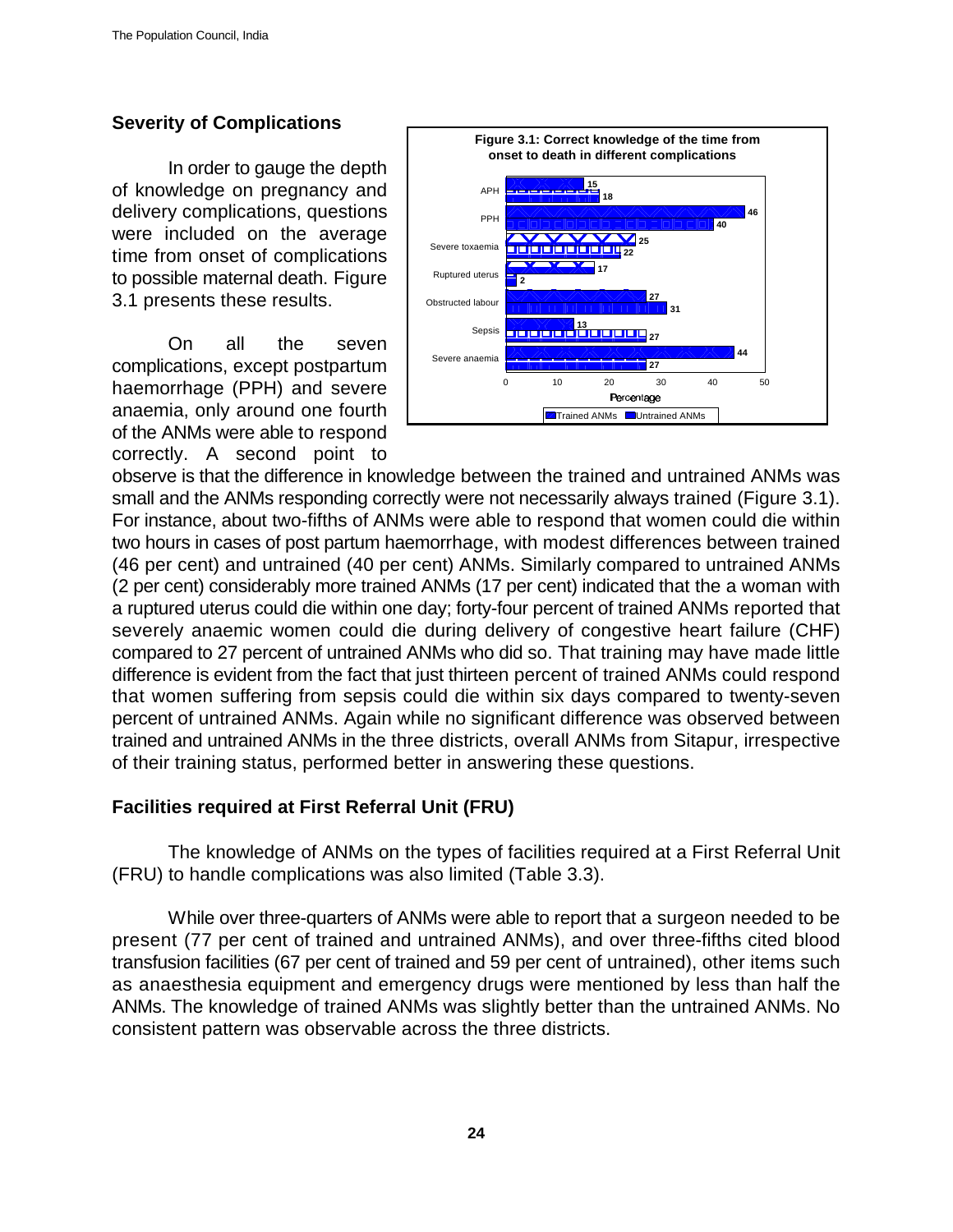# **Severity of Complications**

In order to gauge the depth of knowledge on pregnancy and delivery complications, questions were included on the average time from onset of complications to possible maternal death. Figure 3.1 presents these results.

On all the seven complications, except postpartum haemorrhage (PPH) and severe anaemia, only around one fourth of the ANMs were able to respond correctly. A second point to



observe is that the difference in knowledge between the trained and untrained ANMs was small and the ANMs responding correctly were not necessarily always trained (Figure 3.1). For instance, about two-fifths of ANMs were able to respond that women could die within two hours in cases of post partum haemorrhage, with modest differences between trained (46 per cent) and untrained (40 per cent) ANMs. Similarly compared to untrained ANMs (2 per cent) considerably more trained ANMs (17 per cent) indicated that the a woman with a ruptured uterus could die within one day; forty-four percent of trained ANMs reported that severely anaemic women could die during delivery of congestive heart failure (CHF) compared to 27 percent of untrained ANMs who did so. That training may have made little difference is evident from the fact that just thirteen percent of trained ANMs could respond that women suffering from sepsis could die within six days compared to twenty-seven percent of untrained ANMs. Again while no significant difference was observed between trained and untrained ANMs in the three districts, overall ANMs from Sitapur, irrespective of their training status, performed better in answering these questions.

# **Facilities required at First Referral Unit (FRU)**

The knowledge of ANMs on the types of facilities required at a First Referral Unit (FRU) to handle complications was also limited (Table 3.3).

While over three-quarters of ANMs were able to report that a surgeon needed to be present (77 per cent of trained and untrained ANMs), and over three-fifths cited blood transfusion facilities (67 per cent of trained and 59 per cent of untrained), other items such as anaesthesia equipment and emergency drugs were mentioned by less than half the ANMs. The knowledge of trained ANMs was slightly better than the untrained ANMs. No consistent pattern was observable across the three districts.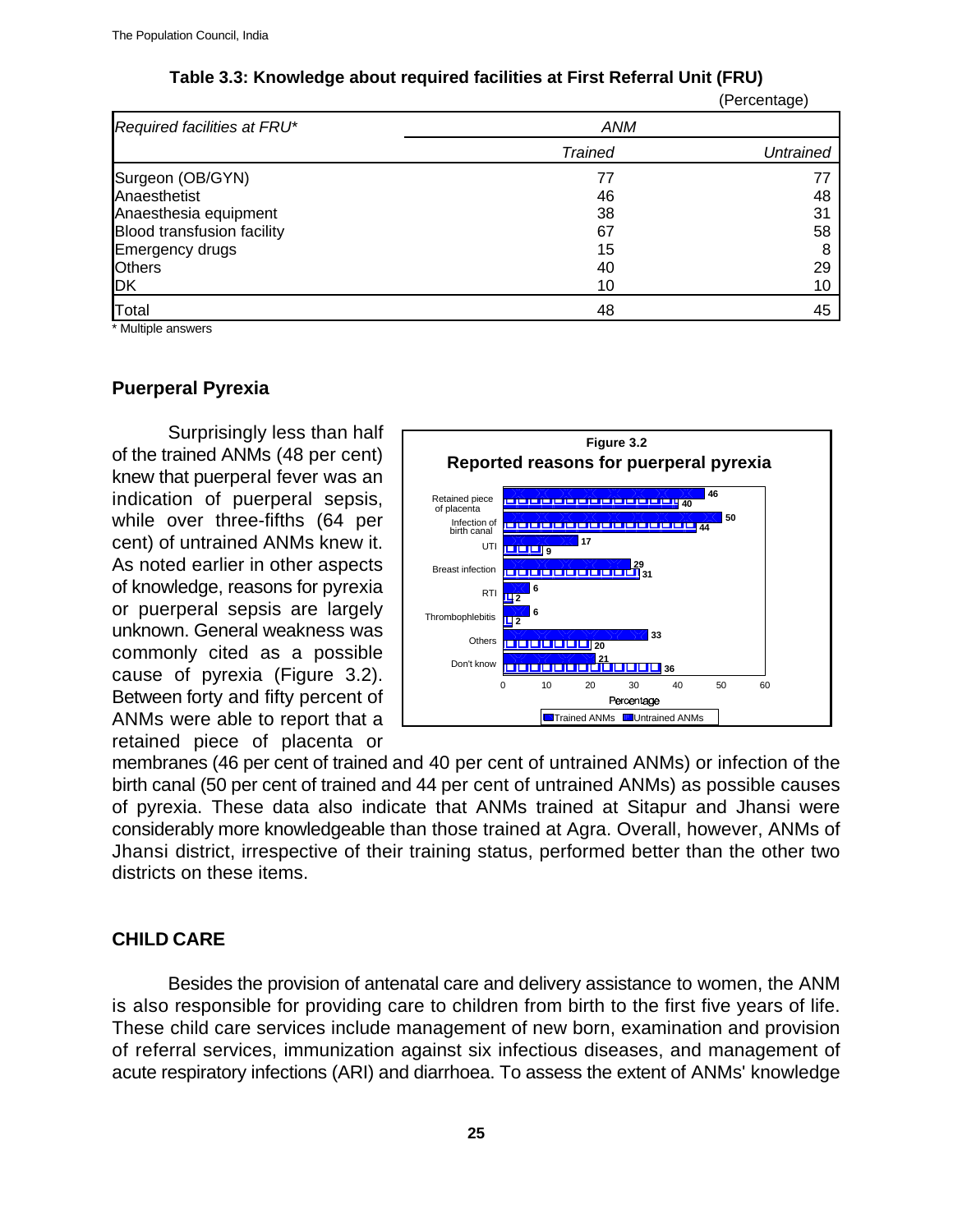| Table 3.3: Knowledge about required facilities at First Referral Unit (FRU) |  |
|-----------------------------------------------------------------------------|--|
|-----------------------------------------------------------------------------|--|

|                                   |                | u vivoniago <i>j</i> |
|-----------------------------------|----------------|----------------------|
| Required facilities at FRU*       | ANM            |                      |
|                                   | <b>Trained</b> | <b>Untrained</b>     |
| Surgeon (OB/GYN)                  | 77             |                      |
| Anaesthetist                      | 46             | 48                   |
| Anaesthesia equipment             | 38             | 31                   |
| <b>Blood transfusion facility</b> | 67             | 58                   |
| <b>Emergency drugs</b>            | 15             | 8                    |
| <b>Others</b>                     | 40             | 29                   |
| DK                                | 10             | 10                   |
| Total                             | 48             | 45                   |
|                                   |                |                      |

Multiple answers

### **Puerperal Pyrexia**

Surprisingly less than half of the trained ANMs (48 per cent) knew that puerperal fever was an indication of puerperal sepsis, while over three-fifths (64 per cent) of untrained ANMs knew it. As noted earlier in other aspects of knowledge, reasons for pyrexia or puerperal sepsis are largely unknown. General weakness was commonly cited as a possible cause of pyrexia (Figure 3.2). Between forty and fifty percent of ANMs were able to report that a retained piece of placenta or



(Percentage)

membranes (46 per cent of trained and 40 per cent of untrained ANMs) or infection of the birth canal (50 per cent of trained and 44 per cent of untrained ANMs) as possible causes of pyrexia. These data also indicate that ANMs trained at Sitapur and Jhansi were considerably more knowledgeable than those trained at Agra. Overall, however, ANMs of Jhansi district, irrespective of their training status, performed better than the other two districts on these items.

#### **CHILD CARE**

Besides the provision of antenatal care and delivery assistance to women, the ANM is also responsible for providing care to children from birth to the first five years of life. These child care services include management of new born, examination and provision of referral services, immunization against six infectious diseases, and management of acute respiratory infections (ARI) and diarrhoea. To assess the extent of ANMs' knowledge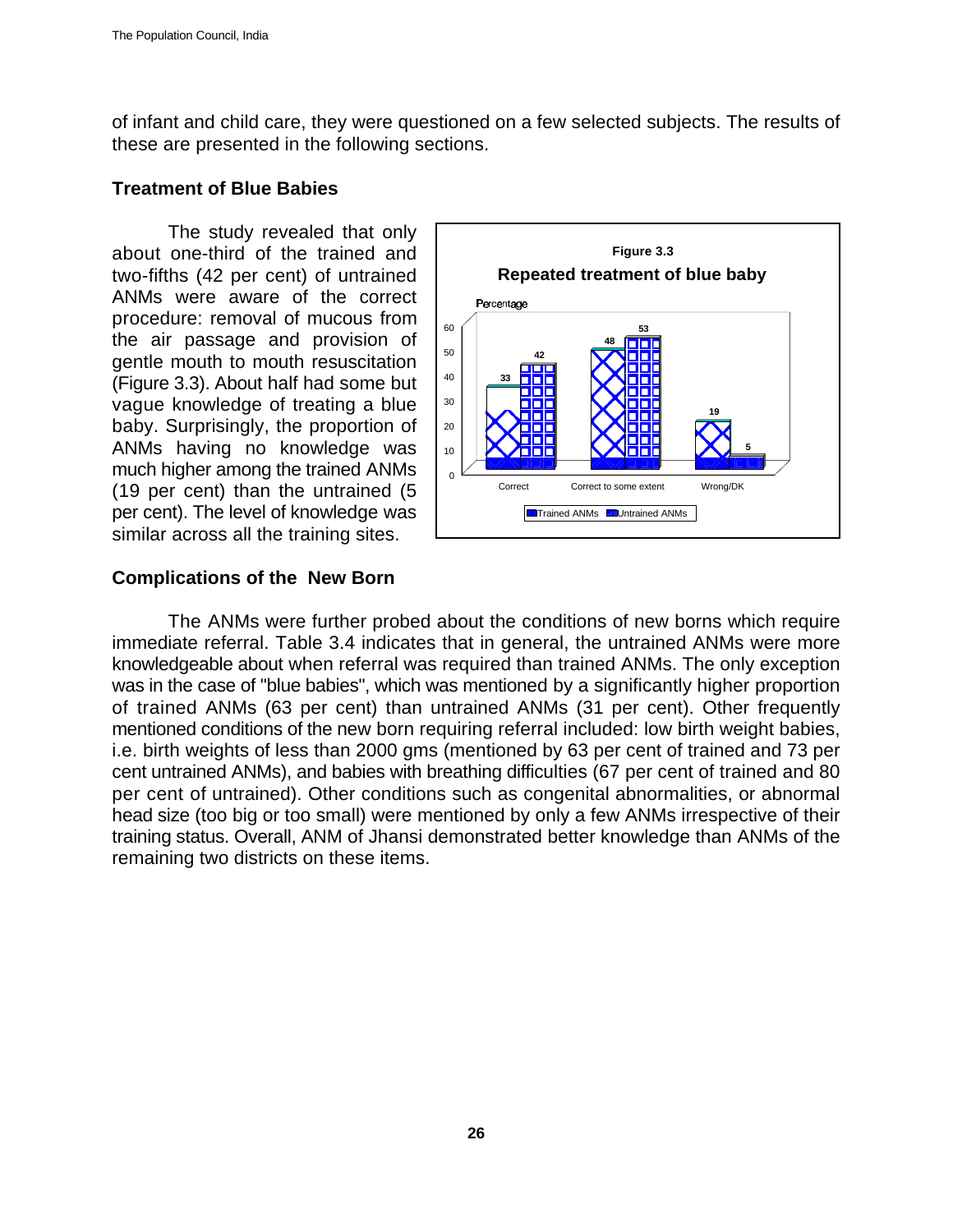of infant and child care, they were questioned on a few selected subjects. The results of these are presented in the following sections.

#### **Treatment of Blue Babies**

The study revealed that only about one-third of the trained and two-fifths (42 per cent) of untrained ANMs were aware of the correct procedure: removal of mucous from the air passage and provision of gentle mouth to mouth resuscitation (Figure 3.3). About half had some but vague knowledge of treating a blue baby. Surprisingly, the proportion of ANMs having no knowledge was much higher among the trained ANMs (19 per cent) than the untrained (5 per cent). The level of knowledge was similar across all the training sites.



### **Complications of the New Born**

The ANMs were further probed about the conditions of new borns which require immediate referral. Table 3.4 indicates that in general, the untrained ANMs were more knowledgeable about when referral was required than trained ANMs. The only exception was in the case of "blue babies", which was mentioned by a significantly higher proportion of trained ANMs (63 per cent) than untrained ANMs (31 per cent). Other frequently mentioned conditions of the new born requiring referral included: low birth weight babies, i.e. birth weights of less than 2000 gms (mentioned by 63 per cent of trained and 73 per cent untrained ANMs), and babies with breathing difficulties (67 per cent of trained and 80 per cent of untrained). Other conditions such as congenital abnormalities, or abnormal head size (too big or too small) were mentioned by only a few ANMs irrespective of their training status. Overall, ANM of Jhansi demonstrated better knowledge than ANMs of the remaining two districts on these items.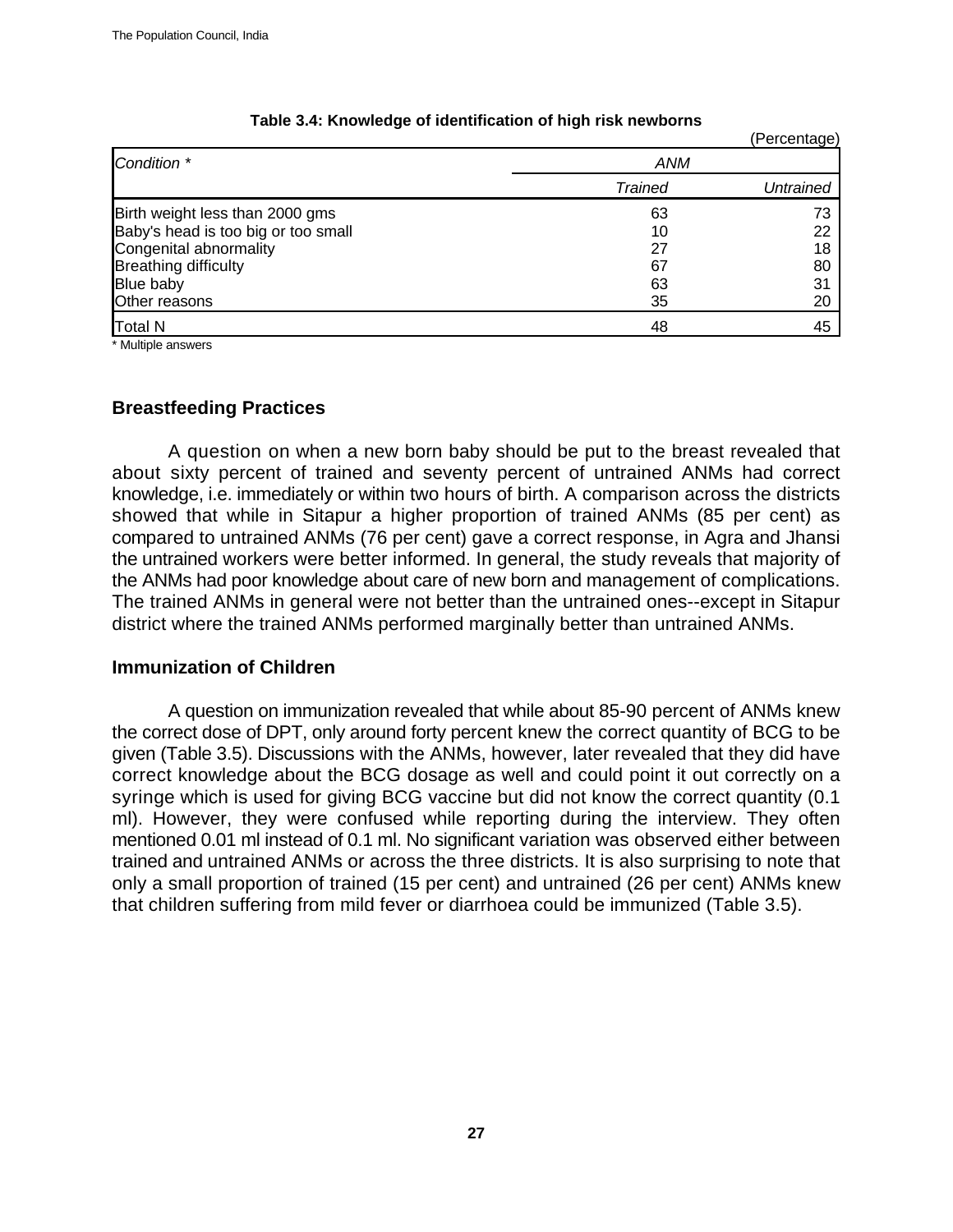|                                     |                | (Percentage) |
|-------------------------------------|----------------|--------------|
| Condition *                         | ANM            |              |
|                                     | <b>Trained</b> | Untrained    |
| Birth weight less than 2000 gms     | 63             | 73           |
| Baby's head is too big or too small | 10             | 22           |
| Congenital abnormality              | 27             | 18           |
| <b>Breathing difficulty</b>         | 67             | 80           |
| Blue baby                           | 63             | 31           |
| Other reasons                       | 35             | 20           |
| <b>Total N</b>                      | 48             | 45           |

#### **Table 3.4: Knowledge of identification of high risk newborns**

\* Multiple answers

#### **Breastfeeding Practices**

A question on when a new born baby should be put to the breast revealed that about sixty percent of trained and seventy percent of untrained ANMs had correct knowledge, i.e. immediately or within two hours of birth. A comparison across the districts showed that while in Sitapur a higher proportion of trained ANMs (85 per cent) as compared to untrained ANMs (76 per cent) gave a correct response, in Agra and Jhansi the untrained workers were better informed. In general, the study reveals that majority of the ANMs had poor knowledge about care of new born and management of complications. The trained ANMs in general were not better than the untrained ones--except in Sitapur district where the trained ANMs performed marginally better than untrained ANMs.

#### **Immunization of Children**

A question on immunization revealed that while about 85-90 percent of ANMs knew the correct dose of DPT, only around forty percent knew the correct quantity of BCG to be given (Table 3.5). Discussions with the ANMs, however, later revealed that they did have correct knowledge about the BCG dosage as well and could point it out correctly on a syringe which is used for giving BCG vaccine but did not know the correct quantity (0.1 ml). However, they were confused while reporting during the interview. They often mentioned 0.01 ml instead of 0.1 ml. No significant variation was observed either between trained and untrained ANMs or across the three districts. It is also surprising to note that only a small proportion of trained (15 per cent) and untrained (26 per cent) ANMs knew that children suffering from mild fever or diarrhoea could be immunized (Table 3.5).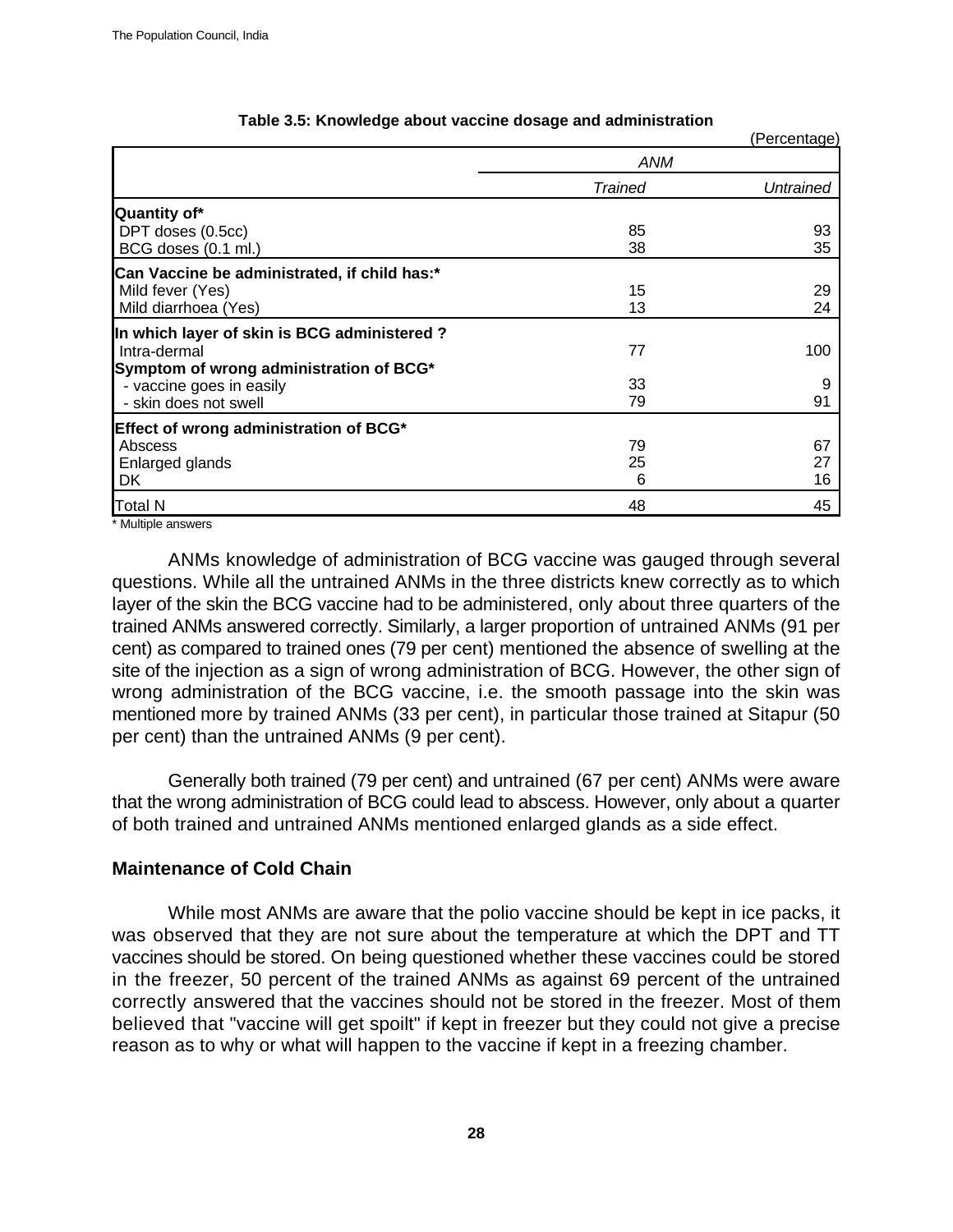|                                              |         | (Percentage) |
|----------------------------------------------|---------|--------------|
|                                              | ANM     |              |
|                                              | Trained | Untrained    |
| Quantity of*                                 |         |              |
| DPT doses (0.5cc)                            | 85      | 93           |
| BCG doses (0.1 ml.)                          | 38      | 35           |
| Can Vaccine be administrated, if child has:* |         |              |
| Mild fever (Yes)                             | 15      | 29           |
| Mild diarrhoea (Yes)                         | 13      | 24           |
| In which layer of skin is BCG administered?  |         |              |
| Intra-dermal                                 | 77      | 100          |
| Symptom of wrong administration of BCG*      |         |              |
| - vaccine goes in easily                     | 33      | 9            |
| - skin does not swell                        | 79      | 91           |
| Effect of wrong administration of BCG*       |         |              |
| Abscess                                      | 79      | 67           |
| Enlarged glands                              | 25      | 27           |
| DK                                           | 6       | 16           |
| Total N                                      | 48      | 45           |
| $*$ <b>N</b> Association 1 is                |         |              |

#### **Table 3.5: Knowledge about vaccine dosage and administration**

Multiple answers

ANMs knowledge of administration of BCG vaccine was gauged through several questions. While all the untrained ANMs in the three districts knew correctly as to which layer of the skin the BCG vaccine had to be administered, only about three quarters of the trained ANMs answered correctly. Similarly, a larger proportion of untrained ANMs (91 per cent) as compared to trained ones (79 per cent) mentioned the absence of swelling at the site of the injection as a sign of wrong administration of BCG. However, the other sign of wrong administration of the BCG vaccine, i.e. the smooth passage into the skin was mentioned more by trained ANMs (33 per cent), in particular those trained at Sitapur (50 per cent) than the untrained ANMs (9 per cent).

Generally both trained (79 per cent) and untrained (67 per cent) ANMs were aware that the wrong administration of BCG could lead to abscess. However, only about a quarter of both trained and untrained ANMs mentioned enlarged glands as a side effect.

#### **Maintenance of Cold Chain**

While most ANMs are aware that the polio vaccine should be kept in ice packs, it was observed that they are not sure about the temperature at which the DPT and TT vaccines should be stored. On being questioned whether these vaccines could be stored in the freezer, 50 percent of the trained ANMs as against 69 percent of the untrained correctly answered that the vaccines should not be stored in the freezer. Most of them believed that "vaccine will get spoilt" if kept in freezer but they could not give a precise reason as to why or what will happen to the vaccine if kept in a freezing chamber.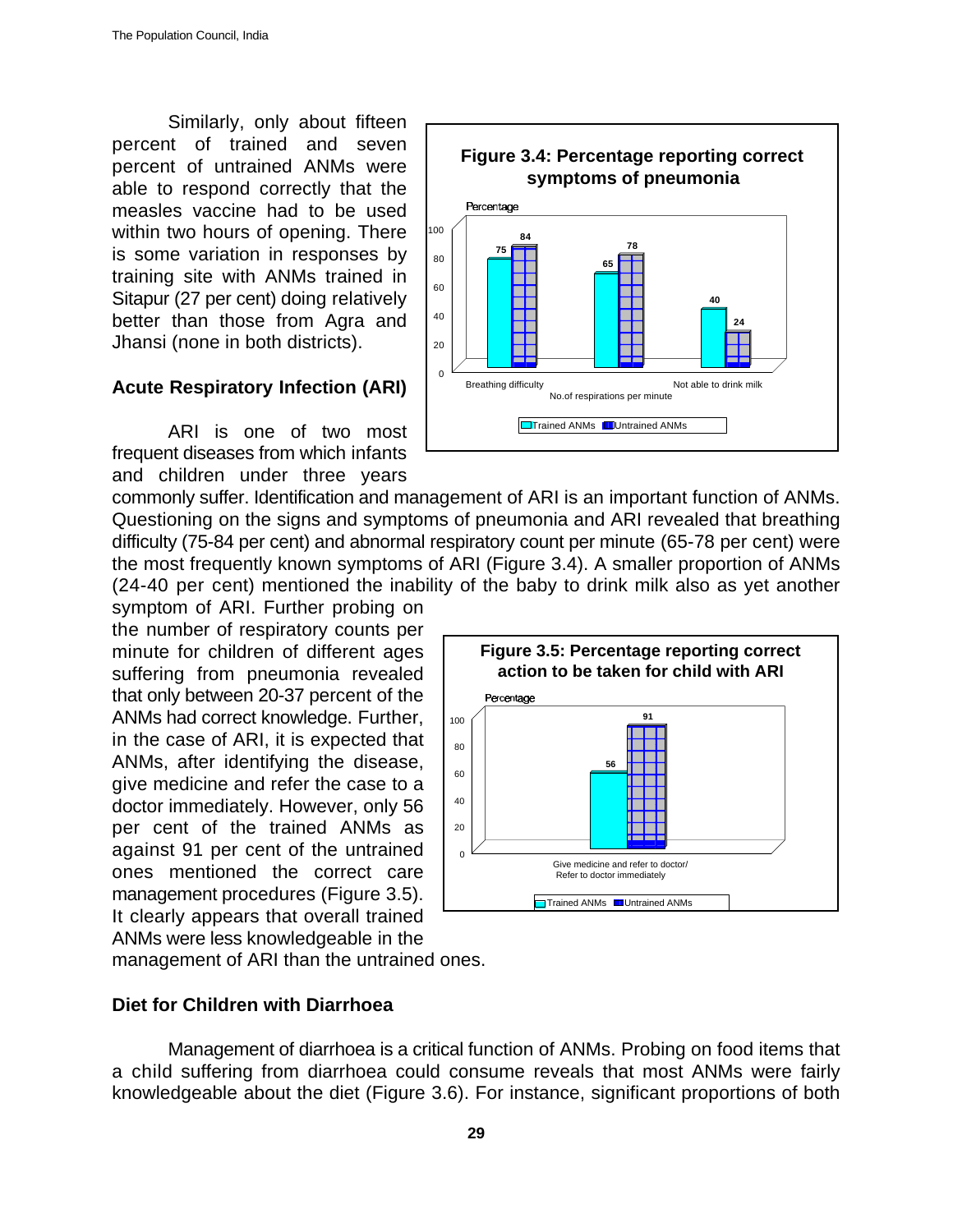Similarly, only about fifteen percent of trained and seven percent of untrained ANMs were able to respond correctly that the measles vaccine had to be used within two hours of opening. There is some variation in responses by training site with ANMs trained in Sitapur (27 per cent) doing relatively better than those from Agra and Jhansi (none in both districts).

#### **Acute Respiratory Infection (ARI)**

ARI is one of two most frequent diseases from which infants and children under three years



commonly suffer. Identification and management of ARI is an important function of ANMs. Questioning on the signs and symptoms of pneumonia and ARI revealed that breathing difficulty (75-84 per cent) and abnormal respiratory count per minute (65-78 per cent) were the most frequently known symptoms of ARI (Figure 3.4). A smaller proportion of ANMs (24-40 per cent) mentioned the inability of the baby to drink milk also as yet another

symptom of ARI. Further probing on the number of respiratory counts per minute for children of different ages suffering from pneumonia revealed that only between 20-37 percent of the ANMs had correct knowledge. Further, in the case of ARI, it is expected that ANMs, after identifying the disease, give medicine and refer the case to a doctor immediately. However, only 56 per cent of the trained ANMs as against 91 per cent of the untrained ones mentioned the correct care management procedures (Figure 3.5). It clearly appears that overall trained ANMs were less knowledgeable in the



management of ARI than the untrained ones.

#### **Diet for Children with Diarrhoea**

Management of diarrhoea is a critical function of ANMs. Probing on food items that a child suffering from diarrhoea could consume reveals that most ANMs were fairly knowledgeable about the diet (Figure 3.6). For instance, significant proportions of both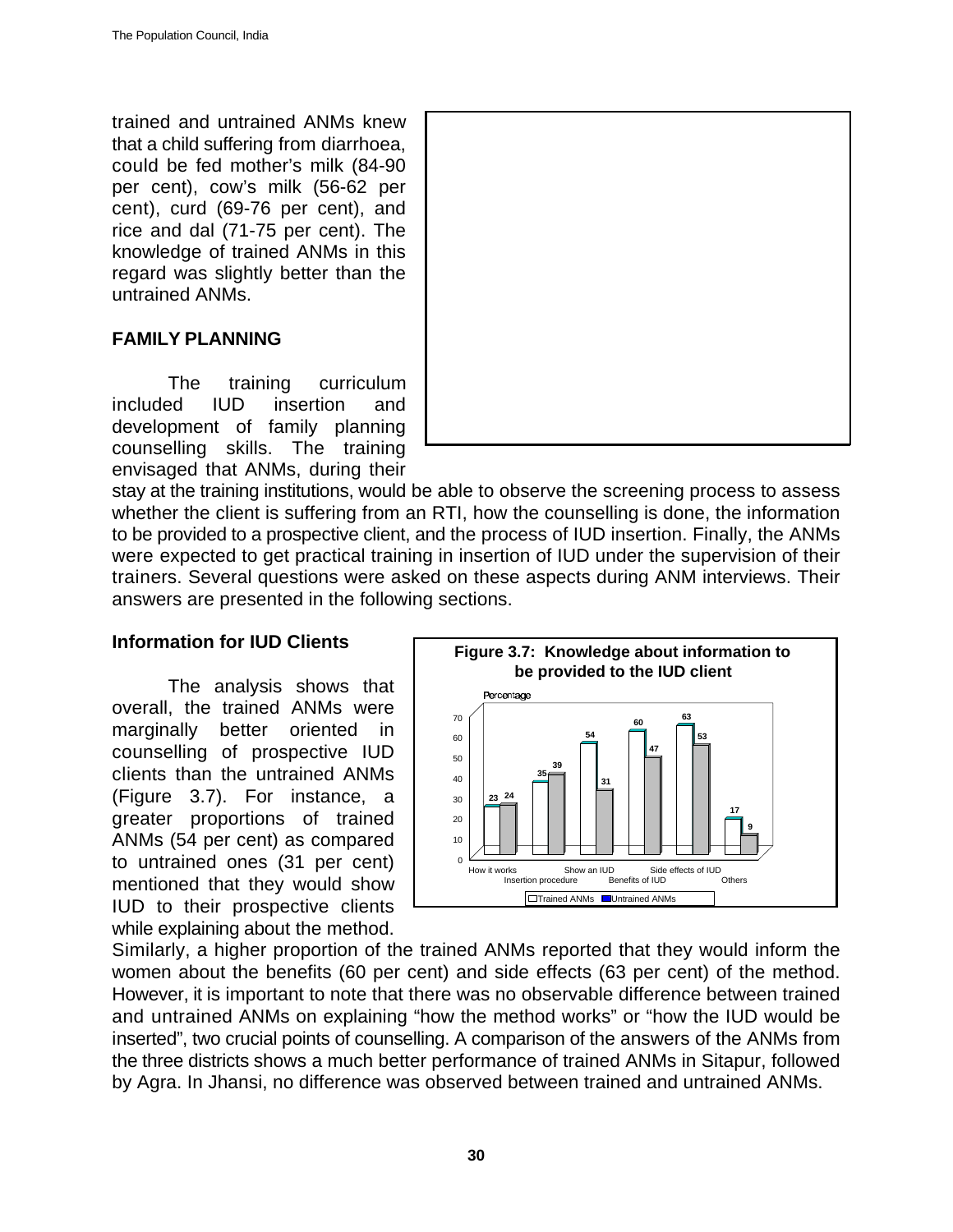trained and untrained ANMs knew that a child suffering from diarrhoea, could be fed mother's milk (84-90 per cent), cow's milk (56-62 per cent), curd (69-76 per cent), and rice and dal (71-75 per cent). The knowledge of trained ANMs in this regard was slightly better than the untrained ANMs.

# **FAMILY PLANNING**

The training curriculum included IUD insertion and development of family planning counselling skills. The training envisaged that ANMs, during their



stay at the training institutions, would be able to observe the screening process to assess whether the client is suffering from an RTI, how the counselling is done, the information to be provided to a prospective client, and the process of IUD insertion. Finally, the ANMs were expected to get practical training in insertion of IUD under the supervision of their trainers. Several questions were asked on these aspects during ANM interviews. Their answers are presented in the following sections.

# **Information for IUD Clients**

The analysis shows that overall, the trained ANMs were marginally better oriented in counselling of prospective IUD clients than the untrained ANMs (Figure 3.7). For instance, a greater proportions of trained ANMs (54 per cent) as compared to untrained ones (31 per cent) mentioned that they would show IUD to their prospective clients while explaining about the method.



Similarly, a higher proportion of the trained ANMs reported that they would inform the women about the benefits (60 per cent) and side effects (63 per cent) of the method. However, it is important to note that there was no observable difference between trained and untrained ANMs on explaining "how the method works" or "how the IUD would be inserted", two crucial points of counselling. A comparison of the answers of the ANMs from the three districts shows a much better performance of trained ANMs in Sitapur, followed by Agra. In Jhansi, no difference was observed between trained and untrained ANMs.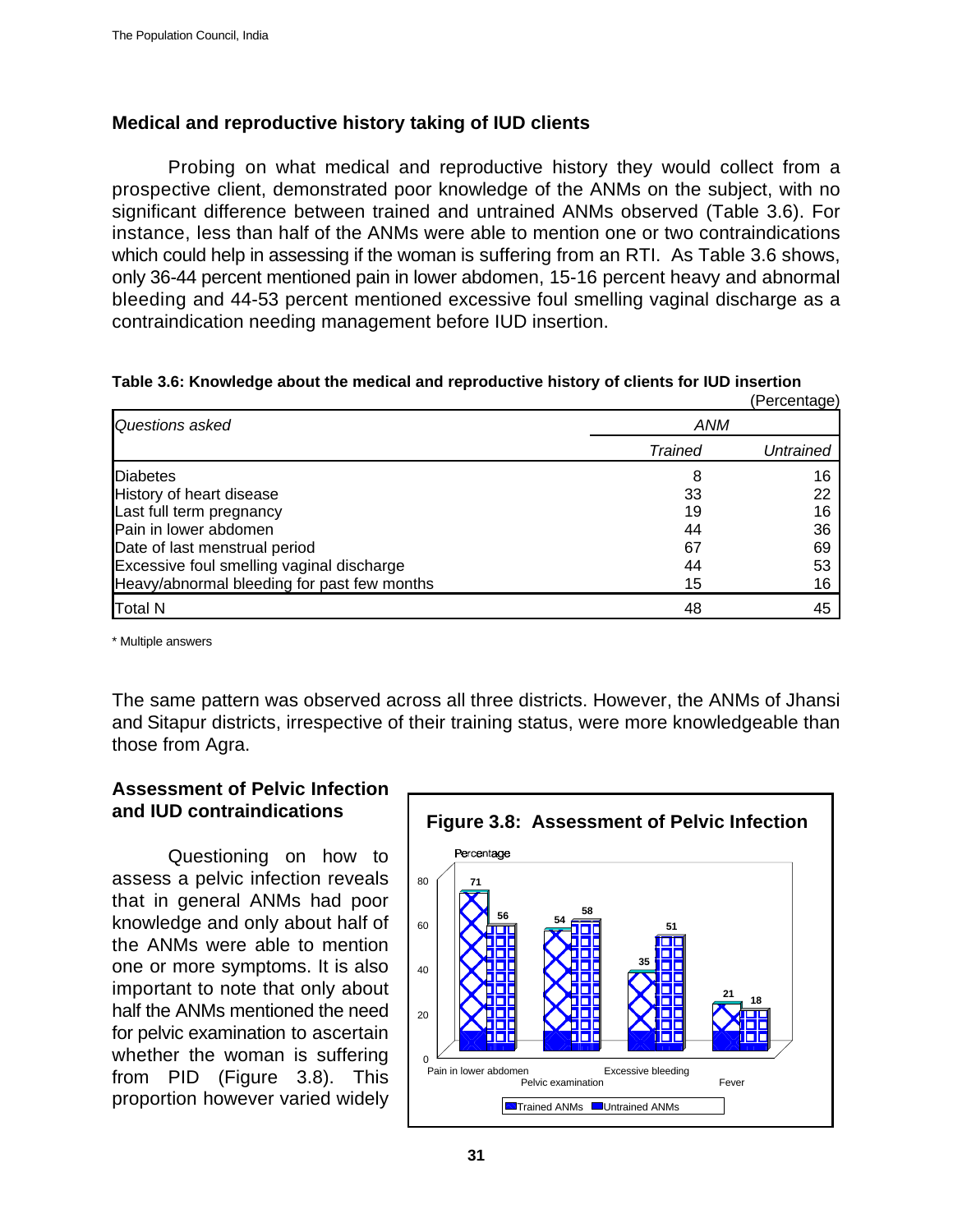# **Medical and reproductive history taking of IUD clients**

Probing on what medical and reproductive history they would collect from a prospective client, demonstrated poor knowledge of the ANMs on the subject, with no significant difference between trained and untrained ANMs observed (Table 3.6). For instance, less than half of the ANMs were able to mention one or two contraindications which could help in assessing if the woman is suffering from an RTI. As Table 3.6 shows, only 36-44 percent mentioned pain in lower abdomen, 15-16 percent heavy and abnormal bleeding and 44-53 percent mentioned excessive foul smelling vaginal discharge as a contraindication needing management before IUD insertion.

|  |  |  | Table 3.6: Knowledge about the medical and reproductive history of clients for IUD insertion |
|--|--|--|----------------------------------------------------------------------------------------------|
|  |  |  | (Dorcont                                                                                     |

|                                             |                | (Percentage) |  |
|---------------------------------------------|----------------|--------------|--|
| Questions asked                             | ANM            |              |  |
|                                             | <b>Trained</b> | Untrained    |  |
| <b>Diabetes</b>                             | 8              | 16           |  |
| History of heart disease                    | 33             | 22           |  |
| Last full term pregnancy                    | 19             | 16           |  |
| Pain in lower abdomen                       | 44             | 36           |  |
| Date of last menstrual period               | 67             | 69           |  |
| Excessive foul smelling vaginal discharge   | 44             | 53           |  |
| Heavy/abnormal bleeding for past few months | 15             | 16           |  |
| Total N                                     | 48             | 45           |  |

\* Multiple answers

The same pattern was observed across all three districts. However, the ANMs of Jhansi and Sitapur districts, irrespective of their training status, were more knowledgeable than those from Agra.

# **Assessment of Pelvic Infection and IUD contraindications**

Questioning on how to assess a pelvic infection reveals that in general ANMs had poor knowledge and only about half of the ANMs were able to mention one or more symptoms. It is also important to note that only about half the ANMs mentioned the need for pelvic examination to ascertain whether the woman is suffering from PID (Figure 3.8). This proportion however varied widely

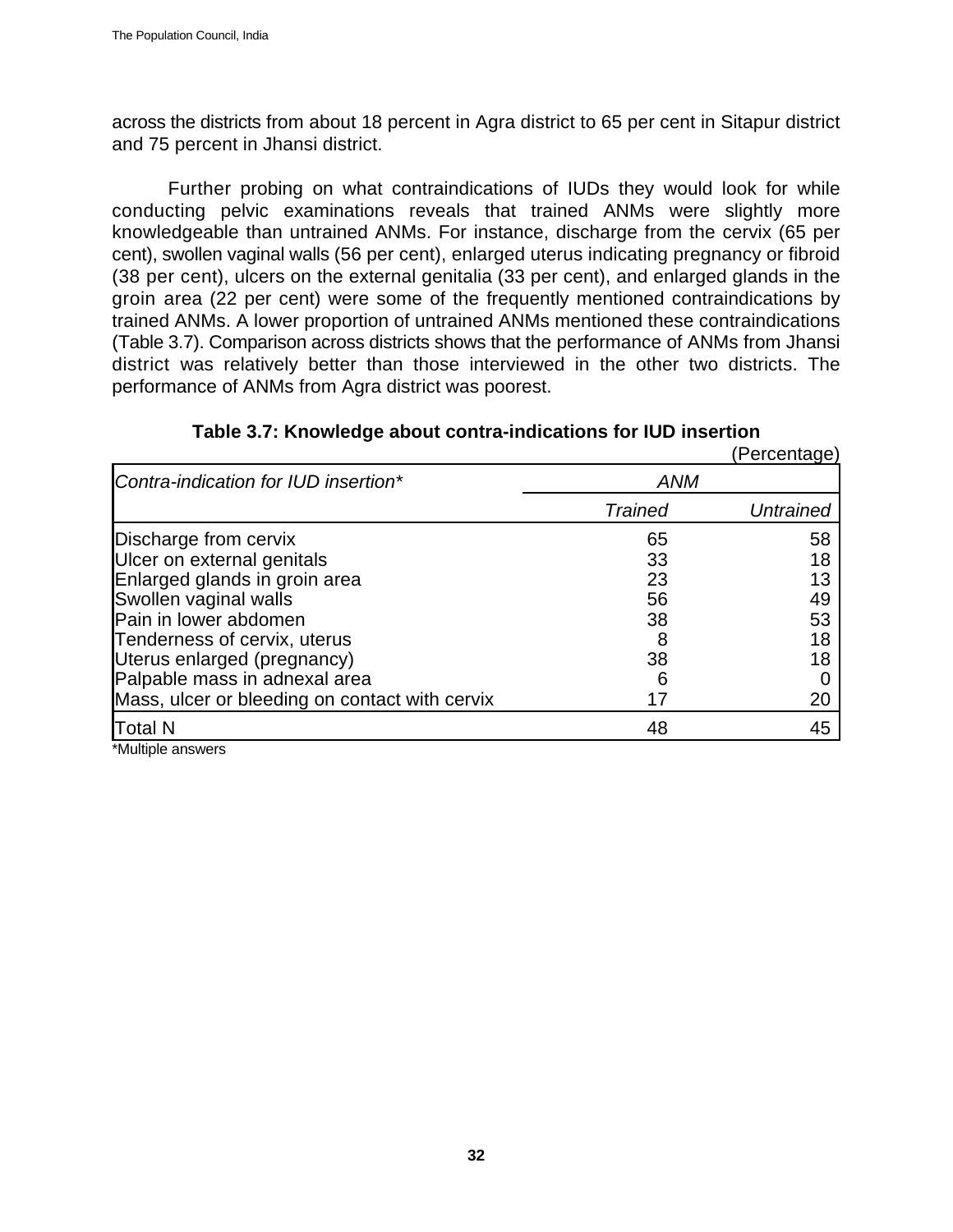across the districts from about 18 percent in Agra district to 65 per cent in Sitapur district and 75 percent in Jhansi district.

Further probing on what contraindications of IUDs they would look for while conducting pelvic examinations reveals that trained ANMs were slightly more knowledgeable than untrained ANMs. For instance, discharge from the cervix (65 per cent), swollen vaginal walls (56 per cent), enlarged uterus indicating pregnancy or fibroid (38 per cent), ulcers on the external genitalia (33 per cent), and enlarged glands in the groin area (22 per cent) were some of the frequently mentioned contraindications by trained ANMs. A lower proportion of untrained ANMs mentioned these contraindications (Table 3.7). Comparison across districts shows that the performance of ANMs from Jhansi district was relatively better than those interviewed in the other two districts. The performance of ANMs from Agra district was poorest.

|                                                |                | (Percentage)     |
|------------------------------------------------|----------------|------------------|
| Contra-indication for IUD insertion*           | <b>ANM</b>     |                  |
|                                                | <b>Trained</b> | <b>Untrained</b> |
| Discharge from cervix                          | 65             | 58               |
| Ulcer on external genitals                     | 33             | 18               |
| Enlarged glands in groin area                  | 23             | 13               |
| Swollen vaginal walls                          | 56             | 49               |
| Pain in lower abdomen                          | 38             | 53               |
| Tenderness of cervix, uterus                   | 8              | 18               |
| Uterus enlarged (pregnancy)                    | 38             | 18               |
| Palpable mass in adnexal area                  | 6              |                  |
| Mass, ulcer or bleeding on contact with cervix | 17             | 20               |
| <b>Total N</b>                                 | 48             | 45               |

\*Multiple answers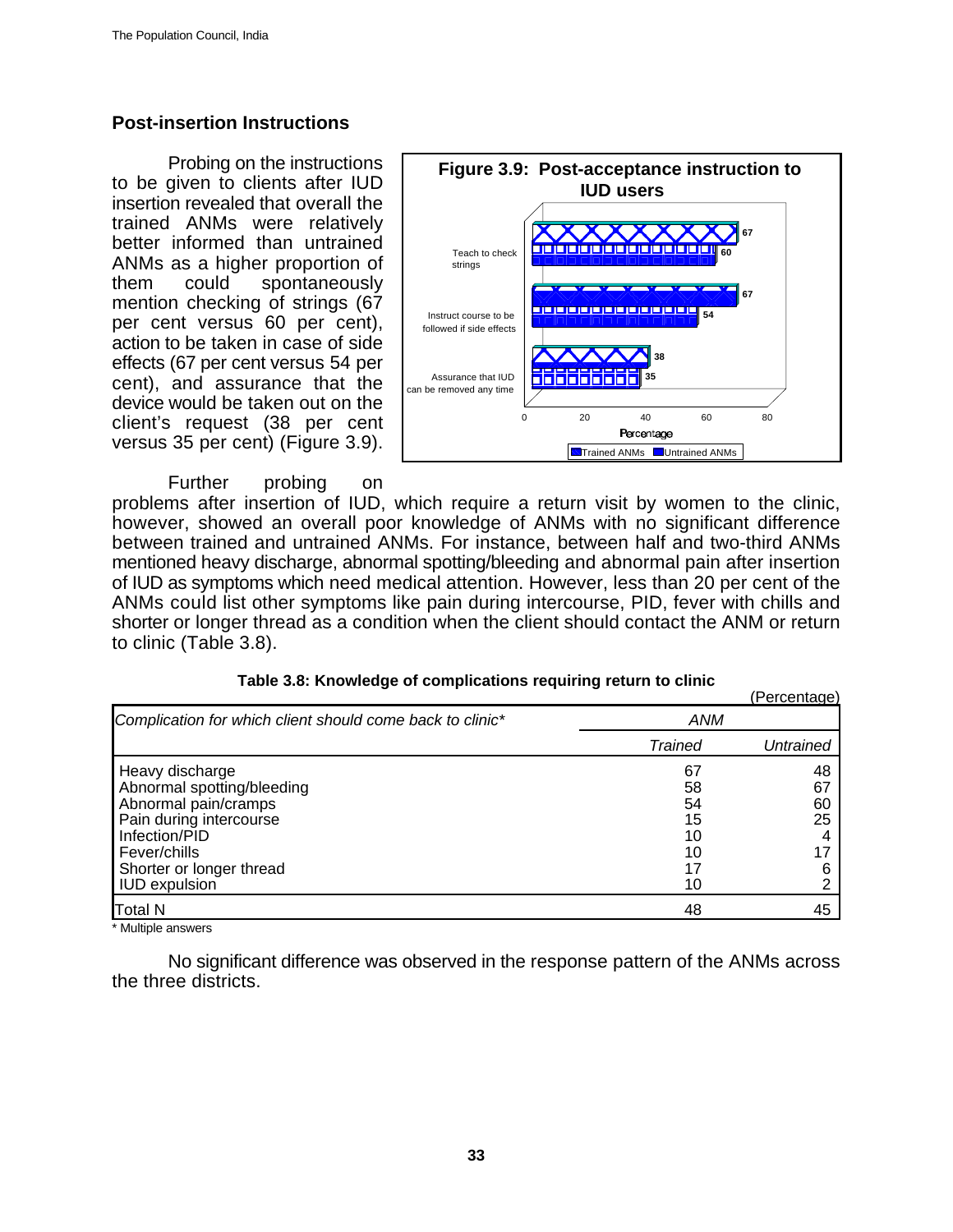### **Post-insertion Instructions**

Probing on the instructions to be given to clients after IUD insertion revealed that overall the trained ANMs were relatively better informed than untrained ANMs as a higher proportion of them could spontaneously mention checking of strings (67 per cent versus 60 per cent), action to be taken in case of side effects (67 per cent versus 54 per cent), and assurance that the device would be taken out on the client's request (38 per cent versus 35 per cent) (Figure 3.9).

Further probing on



problems after insertion of IUD, which require a return visit by women to the clinic, however, showed an overall poor knowledge of ANMs with no significant difference between trained and untrained ANMs. For instance, between half and two-third ANMs mentioned heavy discharge, abnormal spotting/bleeding and abnormal pain after insertion of IUD as symptoms which need medical attention. However, less than 20 per cent of the ANMs could list other symptoms like pain during intercourse, PID, fever with chills and shorter or longer thread as a condition when the client should contact the ANM or return to clinic (Table 3.8).

|                                                           |         | (Percentage) |
|-----------------------------------------------------------|---------|--------------|
| Complication for which client should come back to clinic* | ANM     |              |
|                                                           | Trained | Untrained    |
| Heavy discharge                                           | 67      | 48           |
| Abnormal spotting/bleeding                                | 58      | 67           |
| Abnormal pain/cramps                                      | 54      | 60           |
| Pain during intercourse                                   | 15      | 25           |
| Infection/PID                                             | 10      |              |
| Fever/chills                                              | 10      |              |
| Shorter or longer thread                                  |         | 6            |
| <b>IUD</b> expulsion                                      | 10      |              |

Multiple answers

No significant difference was observed in the response pattern of the ANMs across the three districts.

Total N 48 45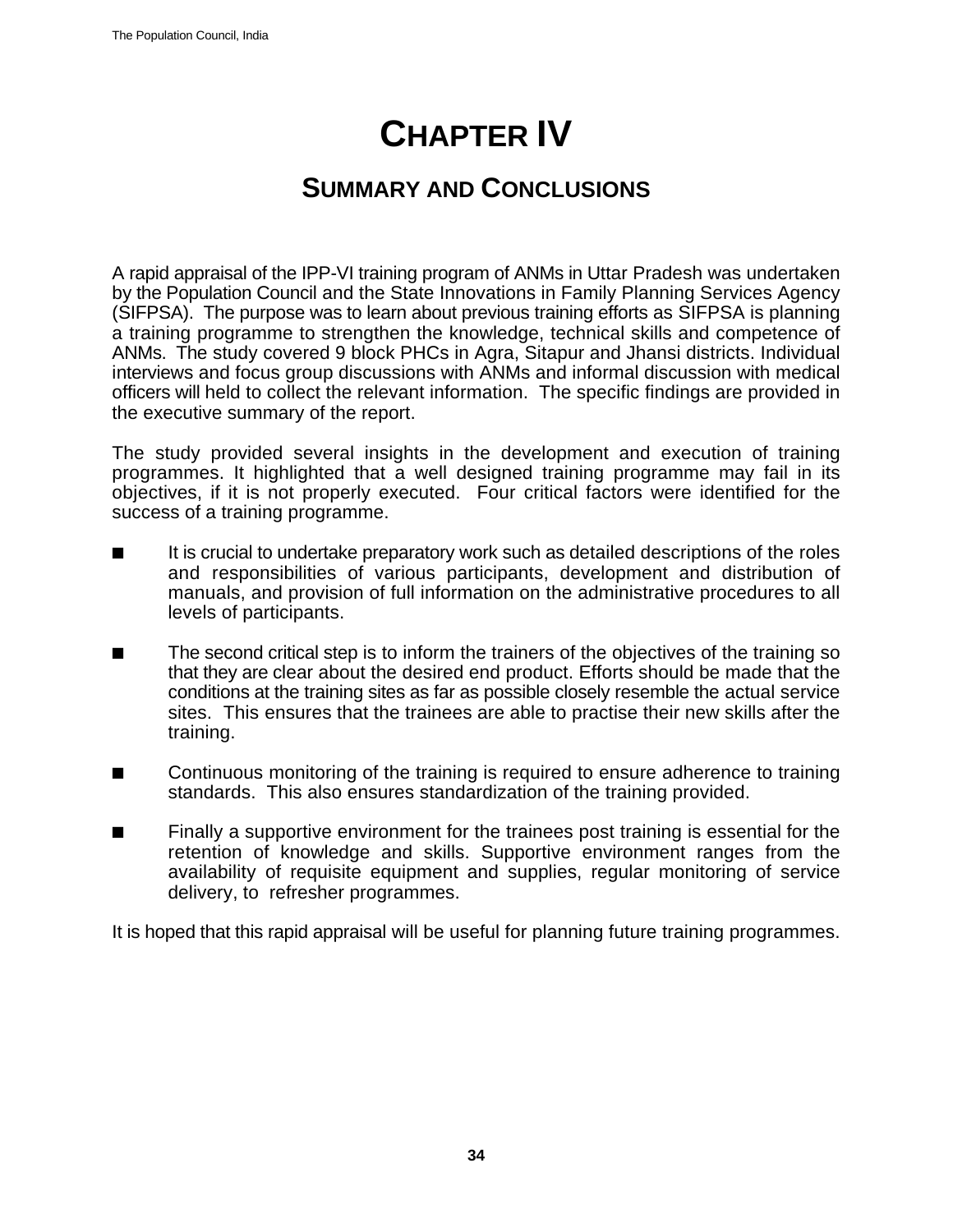# **CHAPTER IV**

# **SUMMARY AND CONCLUSIONS**

A rapid appraisal of the IPP-VI training program of ANMs in Uttar Pradesh was undertaken by the Population Council and the State Innovations in Family Planning Services Agency (SIFPSA). The purpose was to learn about previous training efforts as SIFPSA is planning a training programme to strengthen the knowledge, technical skills and competence of ANMs. The study covered 9 block PHCs in Agra, Sitapur and Jhansi districts. Individual interviews and focus group discussions with ANMs and informal discussion with medical officers will held to collect the relevant information. The specific findings are provided in the executive summary of the report.

The study provided several insights in the development and execution of training programmes. It highlighted that a well designed training programme may fail in its objectives, if it is not properly executed. Four critical factors were identified for the success of a training programme.

- $\blacksquare$  It is crucial to undertake preparatory work such as detailed descriptions of the roles and responsibilities of various participants, development and distribution of manuals, and provision of full information on the administrative procedures to all levels of participants.
- $\blacksquare$  The second critical step is to inform the trainers of the objectives of the training so that they are clear about the desired end product. Efforts should be made that the conditions at the training sites as far as possible closely resemble the actual service sites. This ensures that the trainees are able to practise their new skills after the training.
- $\blacksquare$  Continuous monitoring of the training is required to ensure adherence to training standards. This also ensures standardization of the training provided.
- **EXECT** Finally a supportive environment for the trainees post training is essential for the retention of knowledge and skills. Supportive environment ranges from the availability of requisite equipment and supplies, regular monitoring of service delivery, to refresher programmes.

It is hoped that this rapid appraisal will be useful for planning future training programmes.